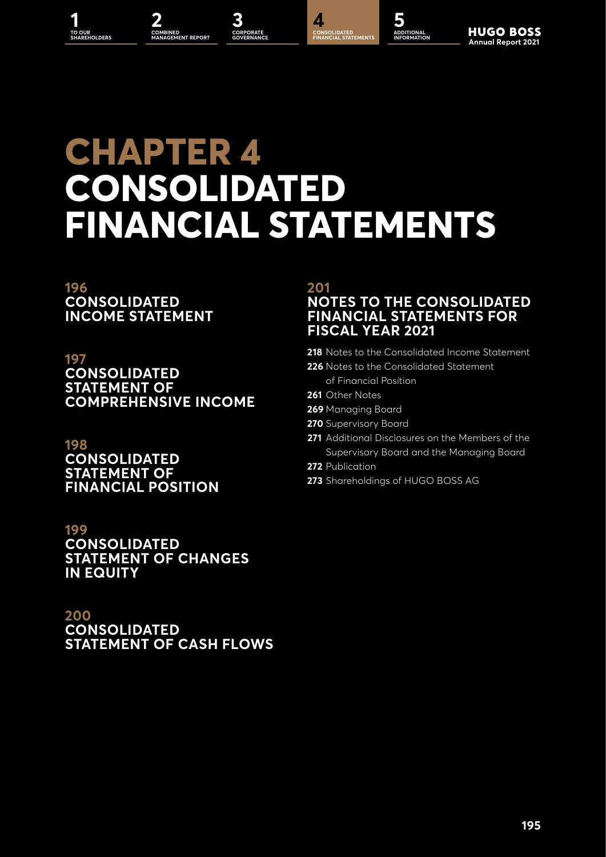<span id="page-0-0"></span>

**CORPORATE** 



# **CHAPTER 4 CONSOLIDATED FINANCIAL STATEMENTS**

## **[196](#page-1-0)**

**[CONSOLIDATED](#page-1-0)  INCOME [STATEMENT](#page-1-0)**

## **[197](#page-2-0)**

**[CONSOLIDATED](#page-2-0)  [STATEMENT OF](#page-2-0)  [COMPREHENSIVE INCOME](#page-2-0)**

### **[198](#page-3-0)**

**[CONSOLIDATED](#page-3-0)  [STATEMENT OF](#page-3-0)  [FINANCIAL](#page-3-0) POSITION**

## **[199](#page-4-0)**

**[CONSOLIDATED](#page-4-0)  [STATEMENT OF CHANGES](#page-4-0) [IN EQUITY](#page-4-0)**

### **[200](#page-5-0)**

**[CONSOLIDATED](#page-5-0)  [STATEMENT OF](#page-5-0) CASH FLOWS**

## **[201](#page-6-0)**

## **[NOTES TO THE CONSOLIDATED](#page-6-0)  [FINANCIAL STATEMENTS FOR](#page-6-0)  [FISCAL YEAR 2021](#page-6-0)**

**ADDITIONAL INFORMATION**

- **218** [Notes to the Consolidated Income Statement](#page-23-0)
- **226** [Notes to the Consolidated Statement](#page-31-0)  of [Financial Position](#page-31-0)
- **261** [Other Notes](#page-66-0)
- **269** [Managing Board](#page-74-0)
- **270** [Supervisory Board](#page-75-0)
- **271** [Additional Disclosures on the Members of the](#page-76-0)  [Supervisory Board and the Managing Board](#page-76-0)
- **272** [Publication](#page-77-0)
- **273** [Shareholdings of HUGO](#page-78-0) BOSS AG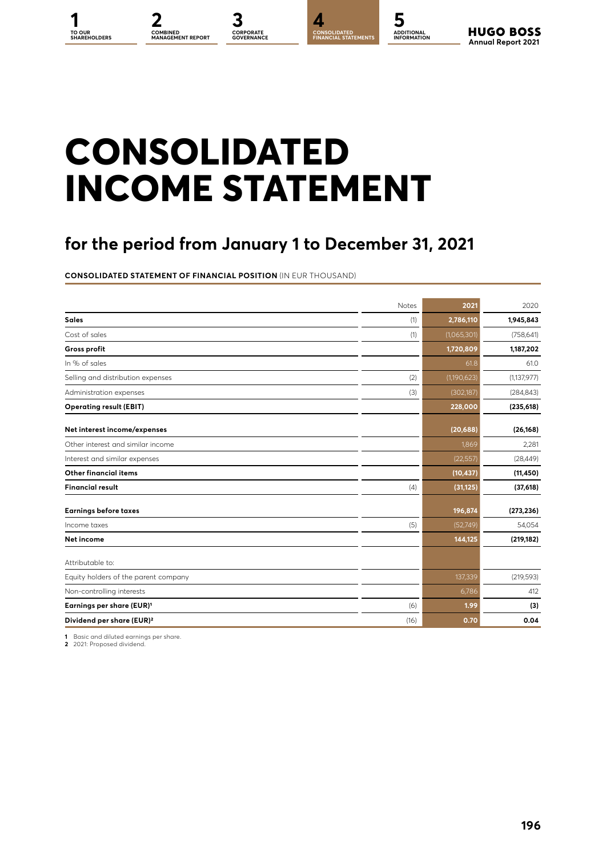<span id="page-1-0"></span>

**ADDITIONAL INFORMATION**

# **CONSOLIDATED INCOME STATEMENT**

# **for the period from January 1 to December 31, 2021**

**CONSOLIDATED STATEMENT OF FINANCIAL POSITION** (IN EUR THOUSAND)

|                                       | Notes | 2021        | 2020          |
|---------------------------------------|-------|-------------|---------------|
| <b>Sales</b>                          | (1)   | 2,786,110   | 1,945,843     |
| Cost of sales                         | (1)   | (1,065,301) | (758, 641)    |
| <b>Gross profit</b>                   |       | 1,720,809   | 1,187,202     |
| In % of sales                         |       | 61.8        | 61.0          |
| Selling and distribution expenses     | (2)   | (1,190,623) | (1, 137, 977) |
| Administration expenses               | (3)   | (302, 187)  | (284, 843)    |
| <b>Operating result (EBIT)</b>        |       | 228,000     | (235, 618)    |
| Net interest income/expenses          |       | (20, 688)   | (26, 168)     |
| Other interest and similar income     |       | 1,869       | 2,281         |
| Interest and similar expenses         |       | (22, 557)   | (28, 449)     |
| <b>Other financial items</b>          |       | (10, 437)   | (11, 450)     |
| <b>Financial result</b>               | (4)   | (31, 125)   | (37,618)      |
| <b>Earnings before taxes</b>          |       | 196,874     | (273, 236)    |
| Income taxes                          | (5)   | (52,749)    | 54,054        |
| Net income                            |       | 144,125     | (219, 182)    |
| Attributable to:                      |       |             |               |
| Equity holders of the parent company  |       | 137,339     | (219, 593)    |
| Non-controlling interests             |       | 6,786       | 412           |
| Earnings per share (EUR) <sup>1</sup> | (6)   | 1.99        | (3)           |
| Dividend per share (EUR) <sup>2</sup> | (16)  | 0.70        | 0.04          |

**1** Basic and diluted earnings per share.

**2** 2021: Proposed dividend.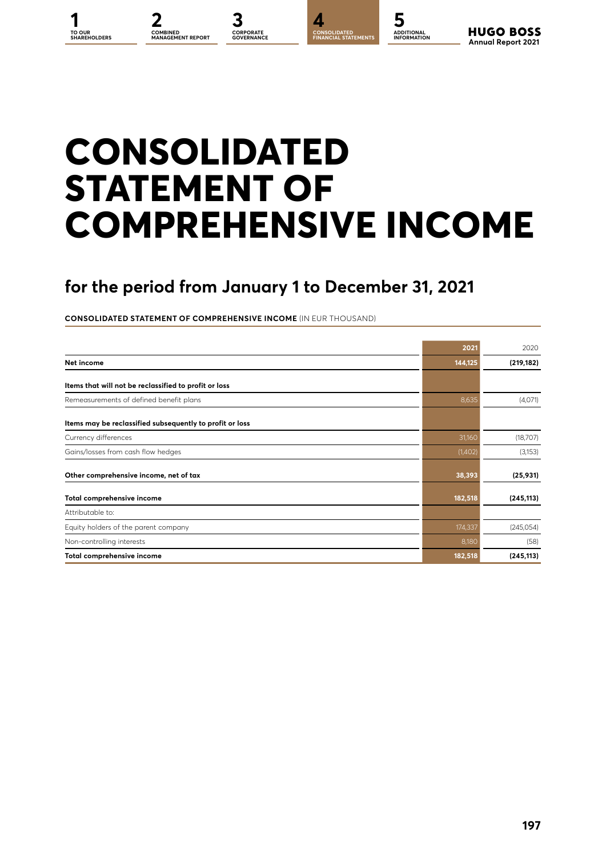<span id="page-2-0"></span>

# **CONSOLIDATED STATEMENT OF COMPREHENSIVE INCOME**

# **for the period from January 1 to December 31, 2021**

**CONSOLIDATED STATEMENT OF COMPREHENSIVE INCOME** (IN EUR THOUSAND)

|                                                          | 2021    | 2020       |
|----------------------------------------------------------|---------|------------|
| Net income                                               | 144,125 | (219, 182) |
| Items that will not be reclassified to profit or loss    |         |            |
| Remeasurements of defined benefit plans                  | 8,635   | (4,071)    |
| Items may be reclassified subsequently to profit or loss |         |            |
| Currency differences                                     | 31,160  | (18,707)   |
| Gains/losses from cash flow hedges                       | (1,402) | (3, 153)   |
| Other comprehensive income, net of tax                   | 38,393  | (25, 931)  |
| Total comprehensive income                               | 182,518 | (245, 113) |
| Attributable to:                                         |         |            |
| Equity holders of the parent company                     | 174,337 | (245, 054) |
| Non-controlling interests                                | 8,180   | (58)       |
| Total comprehensive income                               | 182,518 | (245, 113) |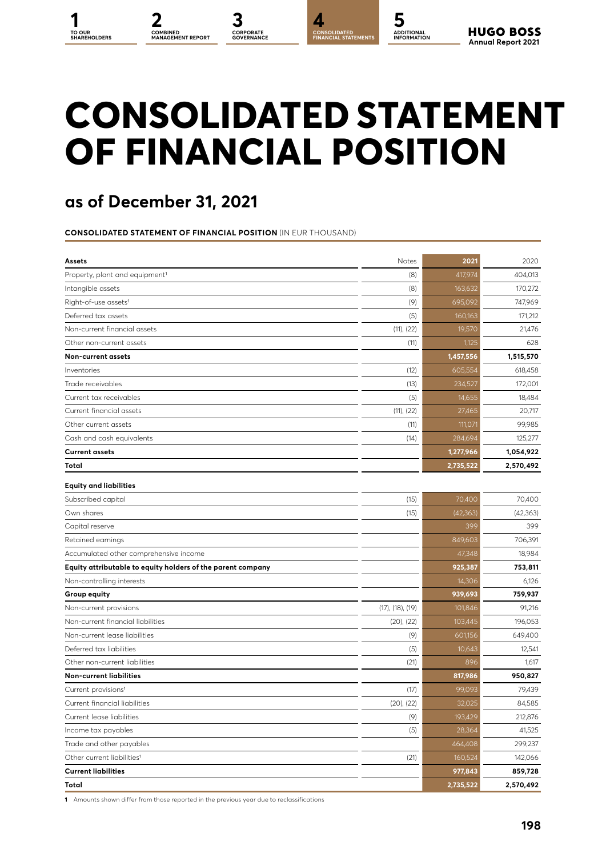<span id="page-3-0"></span>**CONSOLIDATED STATEMENT OF FINANCIAL POSITION**

**CONSOLIDATED FINANCIAL STATEMENTS**

**ADDITIONAL INFORMATION**

**Annual Report 2021** 

**HUGO BOSS** 

# **as of December 31, 2021**

**CONSOLIDATED STATEMENT OF FINANCIAL POSITION** (IN EUR THOUSAND)

| Assets                                                      | Notes                    | 2021      | 2020      |
|-------------------------------------------------------------|--------------------------|-----------|-----------|
| Property, plant and equipment <sup>1</sup>                  | (8)                      | 417,974   | 404,013   |
| Intangible assets                                           | (8)                      | 163,632   | 170,272   |
| Right-of-use assets <sup>1</sup>                            | (9)                      | 695,092   | 747,969   |
| Deferred tax assets                                         | (5)                      | 160,163   | 171,212   |
| Non-current financial assets                                | (11), (22)               | 19,570    | 21,476    |
| Other non-current assets                                    | (11)                     | 1,125     | 628       |
| Non-current assets                                          |                          | 1,457,556 | 1,515,570 |
| Inventories                                                 | (12)                     | 605.554   | 618,458   |
| Trade receivables                                           | (13)                     | 234,527   | 172,001   |
| Current tax receivables                                     | (5)                      | 14,655    | 18,484    |
| Current financial assets                                    | (11), (22)               | 27,465    | 20,717    |
| Other current assets                                        | (11)                     | 111,071   | 99,985    |
| Cash and cash equivalents                                   | (14)                     | 284,694   | 125,277   |
| <b>Current assets</b>                                       |                          | 1,277,966 | 1,054,922 |
| Total                                                       |                          | 2,735,522 | 2,570,492 |
| <b>Equity and liabilities</b>                               |                          |           |           |
| Subscribed capital                                          | (15)                     | 70,400    | 70,400    |
| Own shares                                                  | (15)                     | (42, 363) | (42, 363) |
| Capital reserve                                             |                          | 399       | 399       |
| Retained earnings                                           |                          | 849,603   | 706,391   |
| Accumulated other comprehensive income                      |                          | 47,348    | 18,984    |
| Equity attributable to equity holders of the parent company |                          | 925,387   | 753,811   |
| Non-controlling interests                                   |                          | 14,306    | 6,126     |
| Group equity                                                |                          | 939,693   | 759,937   |
| Non-current provisions                                      | $(17)$ , $(18)$ , $(19)$ | 101,846   | 91,216    |
| Non-current financial liabilities                           | $(20)$ , $(22)$          | 103,445   | 196,053   |
| Non-current lease liabilities                               | (9)                      | 601,156   | 649,400   |
| Deferred tax liabilities                                    | (5)                      | 10,643    | 12,541    |
| Other non-current liabilities                               | (21)                     | 896       | 1,617     |
| <b>Non-current liabilities</b>                              |                          | 817,986   | 950,827   |
| Current provisions <sup>1</sup>                             | (17)                     | 99,093    | 79,439    |
| Current financial liabilities                               | $(20)$ , $(22)$          | 32,025    | 84,585    |
| Current lease liabilities                                   | (9)                      | 193,429   | 212,876   |
| Income tax payables                                         | (5)                      | 28,364    | 41,525    |
| Trade and other payables                                    |                          | 464,408   | 299,237   |
| Other current liabilities <sup>1</sup>                      | (21)                     | 160,524   | 142,066   |
| <b>Current liabilities</b>                                  |                          | 977,843   | 859,728   |
| Total                                                       |                          | 2,735,522 | 2,570,492 |

**1** Amounts shown differ from those reported in the previous year due to reclassifications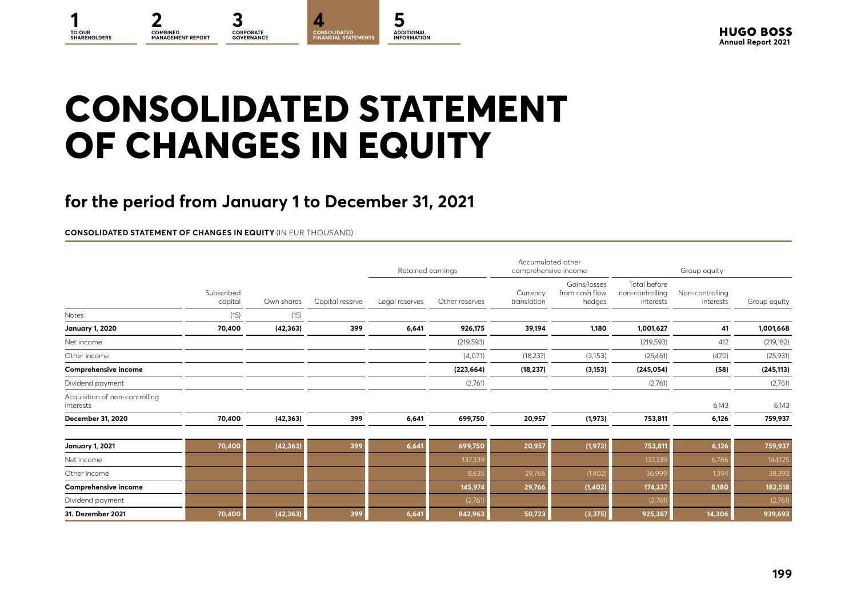# **CONSOLIDATED STATEMENT OF CHANGES IN EQUITY**

**CONSOLIDATED FINANCIAL STATEMENTS**

**ADDITIONAL INFORMATION**

## **for the period from January 1 to December 31, 2021**

<span id="page-4-0"></span>**1 2 3 [4](#page-0-0) 5**

**COMBINED MANAGEMENT REPORT**

**TO OUR [SHAREHOLDERS](#page--1-0)**

**CORPORATE GOVERNANCE**

**CONSOLIDATED STATEMENT OF CHANGES IN EQUITY** (IN EUR THOUSAND)

|                                             |                       |            |                 | Retained earnings |                | Accumulated other<br>comprehensive income |                                          |                                              | Group equity                 |              |
|---------------------------------------------|-----------------------|------------|-----------------|-------------------|----------------|-------------------------------------------|------------------------------------------|----------------------------------------------|------------------------------|--------------|
|                                             | Subscribed<br>capital | Own shares | Capital reserve | Legal reserves    | Other reserves | Currency<br>translation                   | Gains/losses<br>from cash flow<br>hedges | Total before<br>non-controlling<br>interests | Non-controlling<br>interests | Group equity |
| <b>Notes</b>                                | (15)                  | (15)       |                 |                   |                |                                           |                                          |                                              |                              |              |
| <b>January 1, 2020</b>                      | 70,400                | (42, 363)  | 399             | 6,641             | 926,175        | 39,194                                    | 1,180                                    | 1,001,627                                    | 41                           | 1,001,668    |
| Net income                                  |                       |            |                 |                   | (219, 593)     |                                           |                                          | (219, 593)                                   | 412                          | (219, 182)   |
| Other income                                |                       |            |                 |                   | (4,071)        | (18, 237)                                 | (3, 153)                                 | (25, 461)                                    | (470)                        | (25,931)     |
| Comprehensive income                        |                       |            |                 |                   | (223, 664)     | (18, 237)                                 | (3, 153)                                 | (245, 054)                                   | (58)                         | (245, 113)   |
| Dividend payment                            |                       |            |                 |                   | (2,761)        |                                           |                                          | (2,761)                                      |                              | (2,761)      |
| Acquisition of non-controlling<br>interests |                       |            |                 |                   |                |                                           |                                          |                                              | 6,143                        | 6,143        |
| December 31, 2020                           | 70,400                | (42, 363)  | 399             | 6,641             | 699,750        | 20,957                                    | (1, 973)                                 | 753,811                                      | 6,126                        | 759,937      |
| <b>January 1, 2021</b>                      | 70,400                | (42, 363)  | 399             | 6,641             | 699,750        | 20,957                                    | (1,973)                                  | 753,811                                      | 6,126                        | 759,937      |
| Net income                                  |                       |            |                 |                   | 137,339        |                                           |                                          | 137,339                                      | 6,786                        | 144,125      |
| Other income                                |                       |            |                 |                   | 8,635          | 29,766                                    | (1,402)                                  | 36,999                                       | 1,394                        | 38,393       |
| Comprehensive income                        |                       |            |                 |                   | 145,974        | 29,766                                    | (1,402)                                  | 174,337                                      | 8,180                        | 182,518      |
| Dividend payment                            |                       |            |                 |                   | (2,761)        |                                           |                                          | (2,761)                                      |                              | (2,761)      |
| 31. Dezember 2021                           | 70,400                | (42, 363)  | 399             | 6,641             | 842,963        | 50,723                                    | (3, 375)                                 | 925,387                                      | 14,306                       | 939,693      |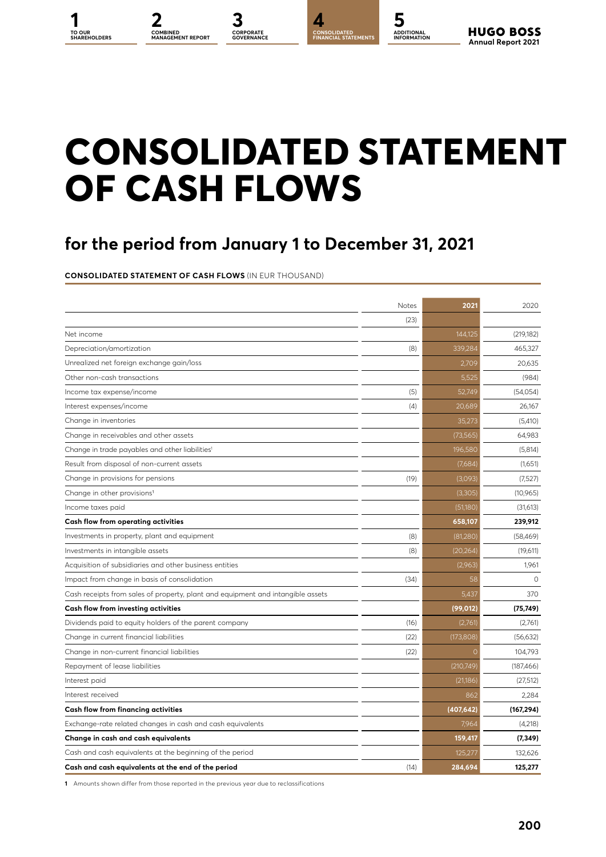<span id="page-5-0"></span>**1 2 3 [4](#page-0-0) 5 CORPORATE CONSOLIDATED FINANCIAL STATEMENTS**

**ADDITIONAL INFORMATION**

# **CONSOLIDATED STATEMENT OF CASH FLOWS**

# **for the period from January 1 to December 31, 2021**

**CONSOLIDATED STATEMENT OF CASH FLOWS** (IN EUR THOUSAND)

|                                                                                 | Notes | 2021       | 2020       |
|---------------------------------------------------------------------------------|-------|------------|------------|
|                                                                                 | (23)  |            |            |
| Net income                                                                      |       | 144,125    | (219, 182) |
| Depreciation/amortization                                                       | (8)   | 339,284    | 465,327    |
| Unrealized net foreign exchange gain/loss                                       |       | 2,709      | 20.635     |
| Other non-cash transactions                                                     |       | 5,525      | (984)      |
| Income tax expense/income                                                       | (5)   | 52,749     | (54,054)   |
| Interest expenses/income                                                        | (4)   | 20,689     | 26,167     |
| Change in inventories                                                           |       | 35,273     | (5,410)    |
| Change in receivables and other assets                                          |       | (73, 565)  | 64,983     |
| Change in trade payables and other liabilities <sup>1</sup>                     |       | 196,580    | (5,814)    |
| Result from disposal of non-current assets                                      |       | (7,684)    | (1,651)    |
| Change in provisions for pensions                                               | (19)  | (3,093)    | (7,527)    |
| Change in other provisions <sup>1</sup>                                         |       | (3, 305)   | (10, 965)  |
| Income taxes paid                                                               |       | (51,180)   | (31,613)   |
| Cash flow from operating activities                                             |       | 658,107    | 239,912    |
| Investments in property, plant and equipment                                    | (8)   | (81,280)   | (58, 469)  |
| Investments in intangible assets                                                | (8)   | (20, 264)  | (19,611)   |
| Acquisition of subsidiaries and other business entities                         |       | (2,963)    | 1,961      |
| Impact from change in basis of consolidation                                    | (34)  | 58         | $\circ$    |
| Cash receipts from sales of property, plant and equipment and intangible assets |       | 5,437      | 370        |
| Cash flow from investing activities                                             |       | (99, 012)  | (75, 749)  |
| Dividends paid to equity holders of the parent company                          | (16)  | (2,761)    | (2,761)    |
| Change in current financial liabilities                                         | (22)  | (173,808)  | (56, 632)  |
| Change in non-current financial liabilities                                     | (22)  | $\Omega$   | 104,793    |
| Repayment of lease liabilities                                                  |       | (210, 749) | (187, 466) |
| Interest paid                                                                   |       | (21, 186)  | (27, 512)  |
| Interest received                                                               |       | 862        | 2.284      |
| <b>Cash flow from financing activities</b>                                      |       | (407, 642) | (167, 294) |
| Exchange-rate related changes in cash and cash equivalents                      |       | 7,964      | (4,218)    |
| Change in cash and cash equivalents                                             |       | 159,417    | (7, 349)   |
| Cash and cash equivalents at the beginning of the period                        |       | 125,277    | 132,626    |
| Cash and cash equivalents at the end of the period                              | (14)  | 284,694    | 125,277    |

**1** Amounts shown differ from those reported in the previous year due to reclassifications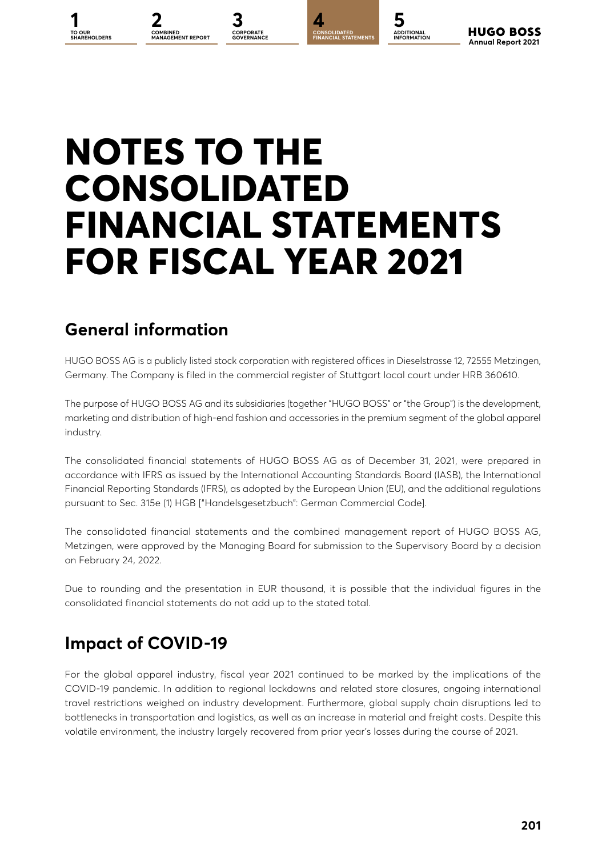<span id="page-6-0"></span>

**CONSOLIDATED FINANCIAL STATEMENTS**



# **NOTES TO THE CONSOLIDATED FINANCIAL STATEMENTS FOR FISCAL YEAR 2021**

# **General information**

HUGO BOSS AG is a publicly listed stock corporation with registered offices in Dieselstrasse 12, 72555 Metzingen, Germany. The Company is filed in the commercial register of Stuttgart local court under HRB 360610.

The purpose of HUGO BOSS AG and its subsidiaries (together "HUGO BOSS" or "the Group") is the development, marketing and distribution of high-end fashion and accessories in the premium segment of the global apparel industry.

The consolidated financial statements of HUGO BOSS AG as of December 31, 2021, were prepared in accordance with IFRS as issued by the International Accounting Standards Board (IASB), the International Financial Reporting Standards (IFRS), as adopted by the European Union (EU), and the additional regulations pursuant to Sec. 315e (1) HGB ["Handelsgesetzbuch": German Commercial Code].

The consolidated financial statements and the combined management report of HUGO BOSS AG, Metzingen, were approved by the Managing Board for submission to the Supervisory Board by a decision on February 24, 2022.

Due to rounding and the presentation in EUR thousand, it is possible that the individual figures in the consolidated financial statements do not add up to the stated total.

# **Impact of COVID-19**

For the global apparel industry, fiscal year 2021 continued to be marked by the implications of the COVID-19 pandemic. In addition to regional lockdowns and related store closures, ongoing international travel restrictions weighed on industry development. Furthermore, global supply chain disruptions led to bottlenecks in transportation and logistics, as well as an increase in material and freight costs. Despite this volatile environment, the industry largely recovered from prior year's losses during the course of 2021.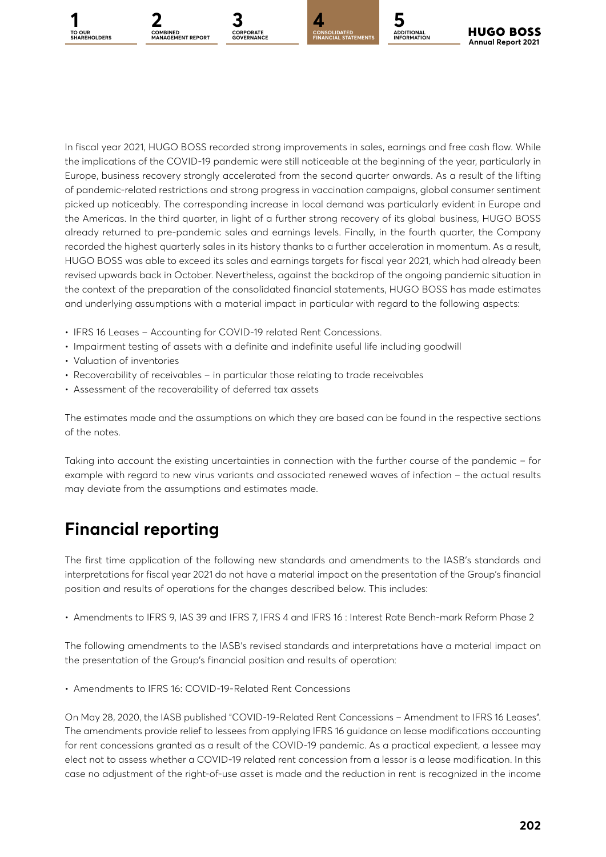



**ADDITIONAL INFORMATION**

In fiscal year 2021, HUGO BOSS recorded strong improvements in sales, earnings and free cash flow. While the implications of the COVID-19 pandemic were still noticeable at the beginning of the year, particularly in Europe, business recovery strongly accelerated from the second quarter onwards. As a result of the lifting of pandemic-related restrictions and strong progress in vaccination campaigns, global consumer sentiment picked up noticeably. The corresponding increase in local demand was particularly evident in Europe and the Americas. In the third quarter, in light of a further strong recovery of its global business, HUGO BOSS already returned to pre-pandemic sales and earnings levels. Finally, in the fourth quarter, the Company recorded the highest quarterly sales in its history thanks to a further acceleration in momentum. As a result, HUGO BOSS was able to exceed its sales and earnings targets for fiscal year 2021, which had already been revised upwards back in October. Nevertheless, against the backdrop of the ongoing pandemic situation in the context of the preparation of the consolidated financial statements, HUGO BOSS has made estimates and underlying assumptions with a material impact in particular with regard to the following aspects:

- IFRS 16 Leases Accounting for COVID-19 related Rent Concessions.
- Impairment testing of assets with a definite and indefinite useful life including goodwill
- Valuation of inventories
- Recoverability of receivables in particular those relating to trade receivables
- Assessment of the recoverability of deferred tax assets

The estimates made and the assumptions on which they are based can be found in the respective sections of the notes.

Taking into account the existing uncertainties in connection with the further course of the pandemic – for example with regard to new virus variants and associated renewed waves of infection – the actual results may deviate from the assumptions and estimates made.

# **Financial reporting**

The first time application of the following new standards and amendments to the IASB's standards and interpretations for fiscal year 2021 do not have a material impact on the presentation of the Group's financial position and results of operations for the changes described below. This includes:

• Amendments to IFRS 9, IAS 39 and IFRS 7, IFRS 4 and IFRS 16 : Interest Rate Bench-mark Reform Phase 2

The following amendments to the IASB's revised standards and interpretations have a material impact on the presentation of the Group's financial position and results of operation:

• Amendments to IFRS 16: COVID-19-Related Rent Concessions

On May 28, 2020, the IASB published "COVID-19-Related Rent Concessions – Amendment to IFRS 16 Leases". The amendments provide relief to lessees from applying IFRS 16 guidance on lease modifications accounting for rent concessions granted as a result of the COVID-19 pandemic. As a practical expedient, a lessee may elect not to assess whether a COVID-19 related rent concession from a lessor is a lease modification. In this case no adjustment of the right-of-use asset is made and the reduction in rent is recognized in the income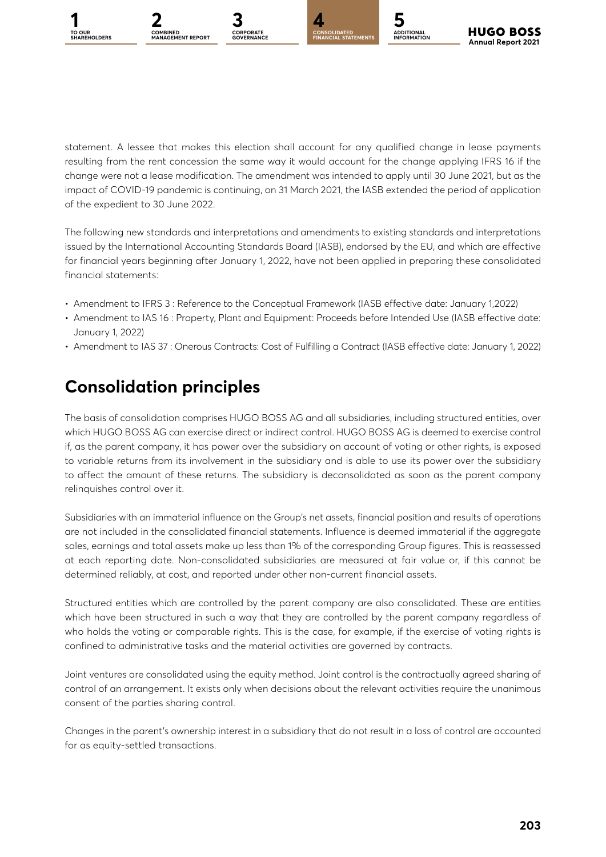



statement. A lessee that makes this election shall account for any qualified change in lease payments resulting from the rent concession the same way it would account for the change applying IFRS 16 if the change were not a lease modification. The amendment was intended to apply until 30 June 2021, but as the impact of COVID-19 pandemic is continuing, on 31 March 2021, the IASB extended the period of application of the expedient to 30 June 2022.

The following new standards and interpretations and amendments to existing standards and interpretations issued by the International Accounting Standards Board (IASB), endorsed by the EU, and which are effective for financial years beginning after January 1, 2022, have not been applied in preparing these consolidated financial statements:

- Amendment to IFRS 3 : Reference to the Conceptual Framework (IASB effective date: January 1,2022)
- Amendment to IAS 16 : Property, Plant and Equipment: Proceeds before Intended Use (IASB effective date: January 1, 2022)
- Amendment to IAS 37 : Onerous Contracts: Cost of Fulfilling a Contract (IASB effective date: January 1, 2022)

# **Consolidation principles**

The basis of consolidation comprises HUGO BOSS AG and all subsidiaries, including structured entities, over which HUGO BOSS AG can exercise direct or indirect control. HUGO BOSS AG is deemed to exercise control if, as the parent company, it has power over the subsidiary on account of voting or other rights, is exposed to variable returns from its involvement in the subsidiary and is able to use its power over the subsidiary to affect the amount of these returns. The subsidiary is deconsolidated as soon as the parent company relinquishes control over it.

Subsidiaries with an immaterial influence on the Group's net assets, financial position and results of operations are not included in the consolidated financial statements. Influence is deemed immaterial if the aggregate sales, earnings and total assets make up less than 1% of the corresponding Group figures. This is reassessed at each reporting date. Non-consolidated subsidiaries are measured at fair value or, if this cannot be determined reliably, at cost, and reported under other non-current financial assets.

Structured entities which are controlled by the parent company are also consolidated. These are entities which have been structured in such a way that they are controlled by the parent company regardless of who holds the voting or comparable rights. This is the case, for example, if the exercise of voting rights is confined to administrative tasks and the material activities are governed by contracts.

Joint ventures are consolidated using the equity method. Joint control is the contractually agreed sharing of control of an arrangement. It exists only when decisions about the relevant activities require the unanimous consent of the parties sharing control.

Changes in the parent's ownership interest in a subsidiary that do not result in a loss of control are accounted for as equity-settled transactions.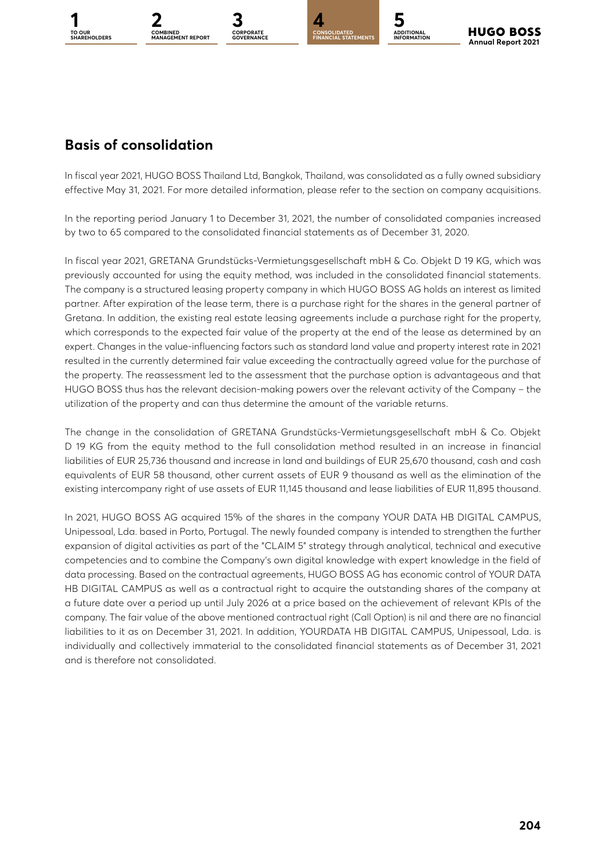**CORPORATE**<br>GOVERNANCE



**ADDITIONAL INFORMATION**

## **Basis of consolidation**

In fiscal year 2021, HUGO BOSS Thailand Ltd, Bangkok, Thailand, was consolidated as a fully owned subsidiary effective May 31, 2021. For more detailed information, please refer to the section on company acquisitions.

In the reporting period January 1 to December 31, 2021, the number of consolidated companies increased by two to 65 compared to the consolidated financial statements as of December 31, 2020.

In fiscal year 2021, GRETANA Grundstücks-Vermietungsgesellschaft mbH & Co. Objekt D 19 KG, which was previously accounted for using the equity method, was included in the consolidated financial statements. The company is a structured leasing property company in which HUGO BOSS AG holds an interest as limited partner. After expiration of the lease term, there is a purchase right for the shares in the general partner of Gretana. In addition, the existing real estate leasing agreements include a purchase right for the property, which corresponds to the expected fair value of the property at the end of the lease as determined by an expert. Changes in the value-influencing factors such as standard land value and property interest rate in 2021 resulted in the currently determined fair value exceeding the contractually agreed value for the purchase of the property. The reassessment led to the assessment that the purchase option is advantageous and that HUGO BOSS thus has the relevant decision-making powers over the relevant activity of the Company – the utilization of the property and can thus determine the amount of the variable returns.

The change in the consolidation of GRETANA Grundstücks-Vermietungsgesellschaft mbH & Co. Objekt D 19 KG from the equity method to the full consolidation method resulted in an increase in financial liabilities of EUR 25,736 thousand and increase in land and buildings of EUR 25,670 thousand, cash and cash equivalents of EUR 58 thousand, other current assets of EUR 9 thousand as well as the elimination of the existing intercompany right of use assets of EUR 11,145 thousand and lease liabilities of EUR 11,895 thousand.

In 2021, HUGO BOSS AG acquired 15% of the shares in the company YOUR DATA HB DIGITAL CAMPUS, Unipessoal, Lda. based in Porto, Portugal. The newly founded company is intended to strengthen the further expansion of digital activities as part of the "CLAIM 5" strategy through analytical, technical and executive competencies and to combine the Company's own digital knowledge with expert knowledge in the field of data processing. Based on the contractual agreements, HUGO BOSS AG has economic control of YOUR DATA HB DIGITAL CAMPUS as well as a contractual right to acquire the outstanding shares of the company at a future date over a period up until July 2026 at a price based on the achievement of relevant KPIs of the company. The fair value of the above mentioned contractual right (Call Option) is nil and there are no financial liabilities to it as on December 31, 2021. In addition, YOURDATA HB DIGITAL CAMPUS, Unipessoal, Lda. is individually and collectively immaterial to the consolidated financial statements as of December 31, 2021 and is therefore not consolidated.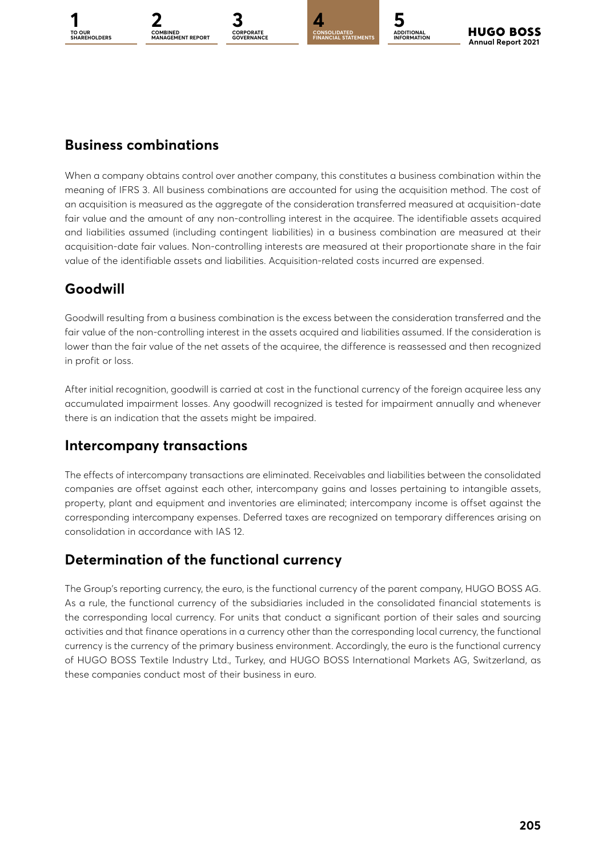

**CORPORATE** 



**ADDITIONAL INFORMATION**

## **Business combinations**

When a company obtains control over another company, this constitutes a business combination within the meaning of IFRS 3. All business combinations are accounted for using the acquisition method. The cost of an acquisition is measured as the aggregate of the consideration transferred measured at acquisition-date fair value and the amount of any non-controlling interest in the acquiree. The identifiable assets acquired and liabilities assumed (including contingent liabilities) in a business combination are measured at their acquisition-date fair values. Non-controlling interests are measured at their proportionate share in the fair value of the identifiable assets and liabilities. Acquisition-related costs incurred are expensed.

## **Goodwill**

Goodwill resulting from a business combination is the excess between the consideration transferred and the fair value of the non-controlling interest in the assets acquired and liabilities assumed. If the consideration is lower than the fair value of the net assets of the acquiree, the difference is reassessed and then recognized in profit or loss.

After initial recognition, goodwill is carried at cost in the functional currency of the foreign acquiree less any accumulated impairment losses. Any goodwill recognized is tested for impairment annually and whenever there is an indication that the assets might be impaired.

## **Intercompany transactions**

The effects of intercompany transactions are eliminated. Receivables and liabilities between the consolidated companies are offset against each other, intercompany gains and losses pertaining to intangible assets, property, plant and equipment and inventories are eliminated; intercompany income is offset against the corresponding intercompany expenses. Deferred taxes are recognized on temporary differences arising on consolidation in accordance with IAS 12.

## **Determination of the functional currency**

The Group's reporting currency, the euro, is the functional currency of the parent company, HUGO BOSS AG. As a rule, the functional currency of the subsidiaries included in the consolidated financial statements is the corresponding local currency. For units that conduct a significant portion of their sales and sourcing activities and that finance operations in a currency other than the corresponding local currency, the functional currency is the currency of the primary business environment. Accordingly, the euro is the functional currency of HUGO BOSS Textile Industry Ltd., Turkey, and HUGO BOSS International Markets AG, Switzerland, as these companies conduct most of their business in euro.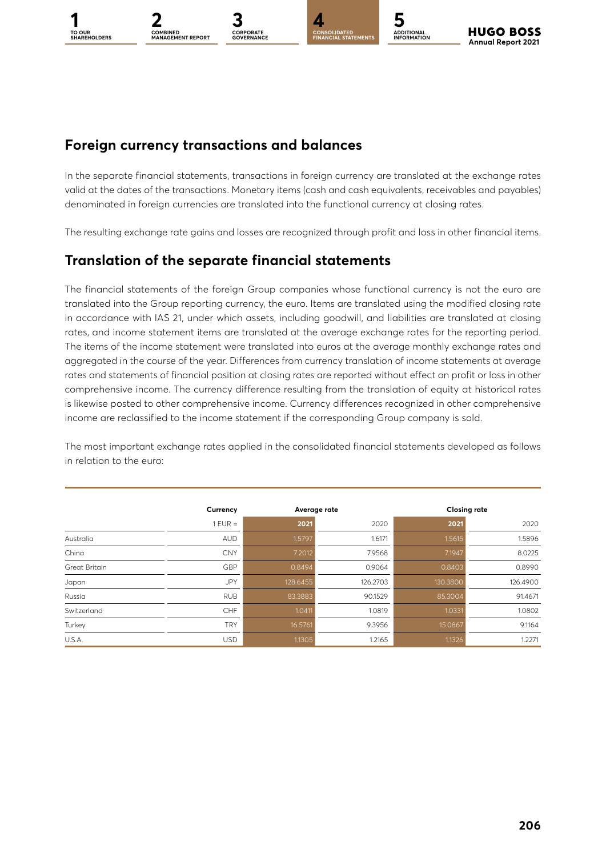**CORPORATE** 



## **Foreign currency transactions and balances**

In the separate financial statements, transactions in foreign currency are translated at the exchange rates valid at the dates of the transactions. Monetary items (cash and cash equivalents, receivables and payables) denominated in foreign currencies are translated into the functional currency at closing rates.

The resulting exchange rate gains and losses are recognized through profit and loss in other financial items.

## **Translation of the separate financial statements**

The financial statements of the foreign Group companies whose functional currency is not the euro are translated into the Group reporting currency, the euro. Items are translated using the modified closing rate in accordance with IAS 21, under which assets, including goodwill, and liabilities are translated at closing rates, and income statement items are translated at the average exchange rates for the reporting period. The items of the income statement were translated into euros at the average monthly exchange rates and aggregated in the course of the year. Differences from currency translation of income statements at average rates and statements of financial position at closing rates are reported without effect on profit or loss in other comprehensive income. The currency difference resulting from the translation of equity at historical rates is likewise posted to other comprehensive income. Currency differences recognized in other comprehensive income are reclassified to the income statement if the corresponding Group company is sold.

The most important exchange rates applied in the consolidated financial statements developed as follows in relation to the euro:

|                      | Currency   |          | Average rate |          | <b>Closing rate</b> |
|----------------------|------------|----------|--------------|----------|---------------------|
|                      | $1$ EUR =  | 2021     | 2020         | 2021     | 2020                |
| Australia            | <b>AUD</b> | 1.5797   | 1.6171       | 1.5615   | 1.5896              |
| China                | <b>CNY</b> | 7.2012   | 7.9568       | 7.1947   | 8.0225              |
| <b>Great Britain</b> | GBP        | 0.8494   | 0.9064       | 0.8403   | 0.8990              |
| Japan                | JPY        | 128.6455 | 126.2703     | 130.3800 | 126.4900            |
| Russia               | <b>RUB</b> | 83.3883  | 90.1529      | 85.3004  | 91.4671             |
| Switzerland          | <b>CHF</b> | 1.0411   | 1.0819       | 1.0331   | 1.0802              |
| Turkey               | <b>TRY</b> | 16.5761  | 9.3956       | 15.0867  | 9.1164              |
| U.S.A.               | <b>USD</b> | 1.1305   | 1.2165       | 1.1326   | 1.2271              |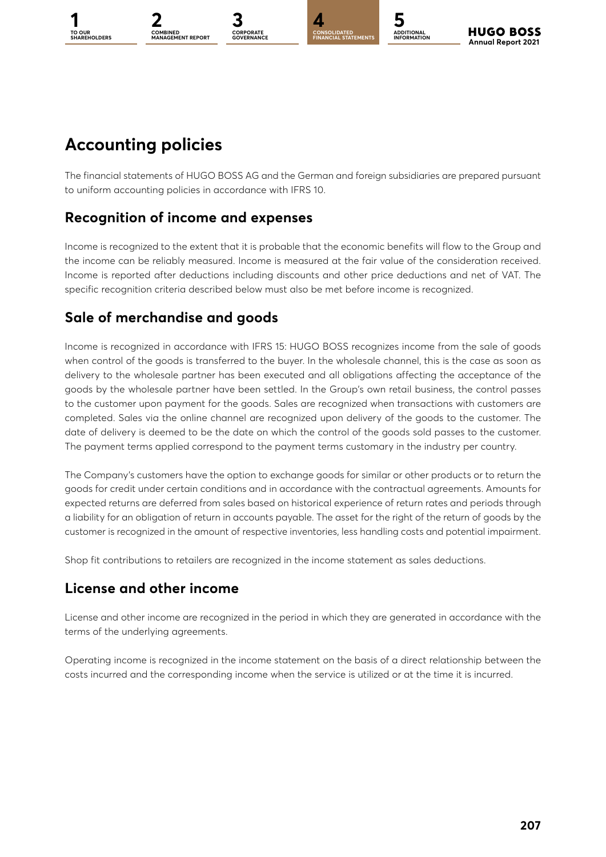

**CORPORATE** 



**ADDITIONAL INFORMATION**

# **Accounting policies**

The financial statements of HUGO BOSS AG and the German and foreign subsidiaries are prepared pursuant to uniform accounting policies in accordance with IFRS 10.

## **Recognition of income and expenses**

Income is recognized to the extent that it is probable that the economic benefits will flow to the Group and the income can be reliably measured. Income is measured at the fair value of the consideration received. Income is reported after deductions including discounts and other price deductions and net of VAT. The specific recognition criteria described below must also be met before income is recognized.

## **Sale of merchandise and goods**

Income is recognized in accordance with IFRS 15: HUGO BOSS recognizes income from the sale of goods when control of the goods is transferred to the buyer. In the wholesale channel, this is the case as soon as delivery to the wholesale partner has been executed and all obligations affecting the acceptance of the goods by the wholesale partner have been settled. In the Group's own retail business, the control passes to the customer upon payment for the goods. Sales are recognized when transactions with customers are completed. Sales via the online channel are recognized upon delivery of the goods to the customer. The date of delivery is deemed to be the date on which the control of the goods sold passes to the customer. The payment terms applied correspond to the payment terms customary in the industry per country.

The Company's customers have the option to exchange goods for similar or other products or to return the goods for credit under certain conditions and in accordance with the contractual agreements. Amounts for expected returns are deferred from sales based on historical experience of return rates and periods through a liability for an obligation of return in accounts payable. The asset for the right of the return of goods by the customer is recognized in the amount of respective inventories, less handling costs and potential impairment.

Shop fit contributions to retailers are recognized in the income statement as sales deductions.

## **License and other income**

License and other income are recognized in the period in which they are generated in accordance with the terms of the underlying agreements.

Operating income is recognized in the income statement on the basis of a direct relationship between the costs incurred and the corresponding income when the service is utilized or at the time it is incurred.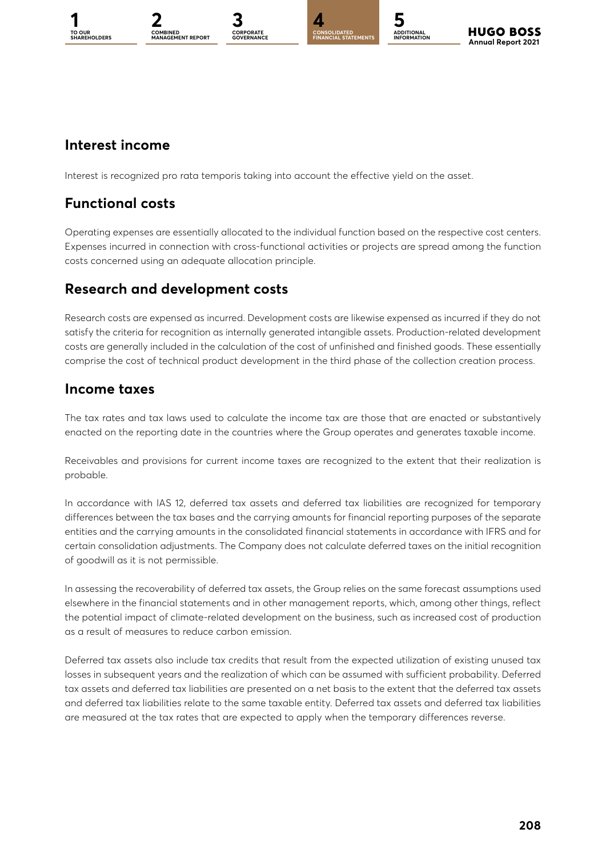

**CORPORATE** 



**ADDITIONAL INFORMATION**

## **Interest income**

Interest is recognized pro rata temporis taking into account the effective yield on the asset.

## **Functional costs**

Operating expenses are essentially allocated to the individual function based on the respective cost centers. Expenses incurred in connection with cross-functional activities or projects are spread among the function costs concerned using an adequate allocation principle.

## **Research and development costs**

Research costs are expensed as incurred. Development costs are likewise expensed as incurred if they do not satisfy the criteria for recognition as internally generated intangible assets. Production-related development costs are generally included in the calculation of the cost of unfinished and finished goods. These essentially comprise the cost of technical product development in the third phase of the collection creation process.

## **Income taxes**

The tax rates and tax laws used to calculate the income tax are those that are enacted or substantively enacted on the reporting date in the countries where the Group operates and generates taxable income.

Receivables and provisions for current income taxes are recognized to the extent that their realization is probable.

In accordance with IAS 12, deferred tax assets and deferred tax liabilities are recognized for temporary differences between the tax bases and the carrying amounts for financial reporting purposes of the separate entities and the carrying amounts in the consolidated financial statements in accordance with IFRS and for certain consolidation adjustments. The Company does not calculate deferred taxes on the initial recognition of goodwill as it is not permissible.

In assessing the recoverability of deferred tax assets, the Group relies on the same forecast assumptions used elsewhere in the financial statements and in other management reports, which, among other things, reflect the potential impact of climate-related development on the business, such as increased cost of production as a result of measures to reduce carbon emission.

Deferred tax assets also include tax credits that result from the expected utilization of existing unused tax losses in subsequent years and the realization of which can be assumed with sufficient probability. Deferred tax assets and deferred tax liabilities are presented on a net basis to the extent that the deferred tax assets and deferred tax liabilities relate to the same taxable entity. Deferred tax assets and deferred tax liabilities are measured at the tax rates that are expected to apply when the temporary differences reverse.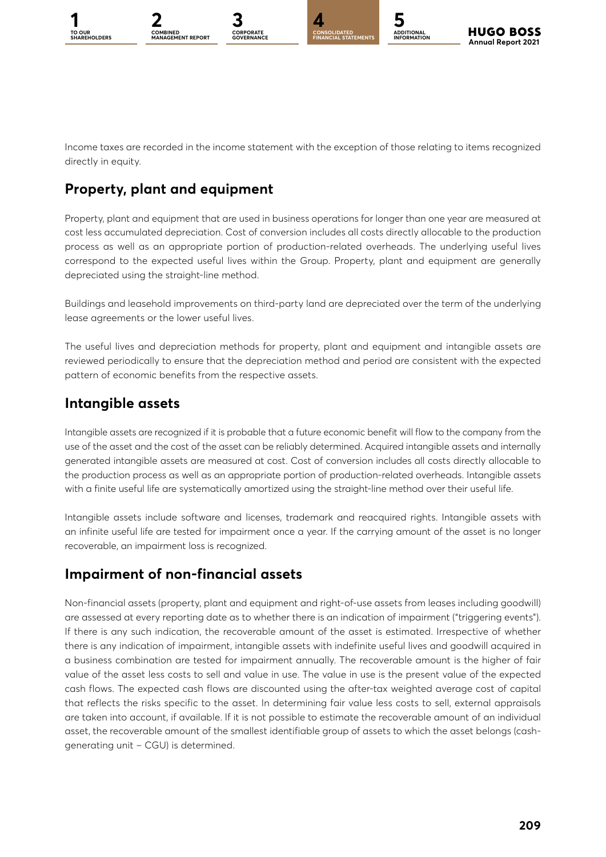



Income taxes are recorded in the income statement with the exception of those relating to items recognized directly in equity.

## **Property, plant and equipment**

Property, plant and equipment that are used in business operations for longer than one year are measured at cost less accumulated depreciation. Cost of conversion includes all costs directly allocable to the production process as well as an appropriate portion of production-related overheads. The underlying useful lives correspond to the expected useful lives within the Group. Property, plant and equipment are generally depreciated using the straight-line method.

Buildings and leasehold improvements on third-party land are depreciated over the term of the underlying lease agreements or the lower useful lives.

The useful lives and depreciation methods for property, plant and equipment and intangible assets are reviewed periodically to ensure that the depreciation method and period are consistent with the expected pattern of economic benefits from the respective assets.

## **Intangible assets**

Intangible assets are recognized if it is probable that a future economic benefit will flow to the company from the use of the asset and the cost of the asset can be reliably determined. Acquired intangible assets and internally generated intangible assets are measured at cost. Cost of conversion includes all costs directly allocable to the production process as well as an appropriate portion of production-related overheads. Intangible assets with a finite useful life are systematically amortized using the straight-line method over their useful life.

Intangible assets include software and licenses, trademark and reacquired rights. Intangible assets with an infinite useful life are tested for impairment once a year. If the carrying amount of the asset is no longer recoverable, an impairment loss is recognized.

## **Impairment of non-financial assets**

Non-financial assets (property, plant and equipment and right-of-use assets from leases including goodwill) are assessed at every reporting date as to whether there is an indication of impairment ("triggering events"). If there is any such indication, the recoverable amount of the asset is estimated. Irrespective of whether there is any indication of impairment, intangible assets with indefinite useful lives and goodwill acquired in a business combination are tested for impairment annually. The recoverable amount is the higher of fair value of the asset less costs to sell and value in use. The value in use is the present value of the expected cash flows. The expected cash flows are discounted using the after-tax weighted average cost of capital that reflects the risks specific to the asset. In determining fair value less costs to sell, external appraisals are taken into account, if available. If it is not possible to estimate the recoverable amount of an individual asset, the recoverable amount of the smallest identifiable group of assets to which the asset belongs (cashgenerating unit – CGU) is determined.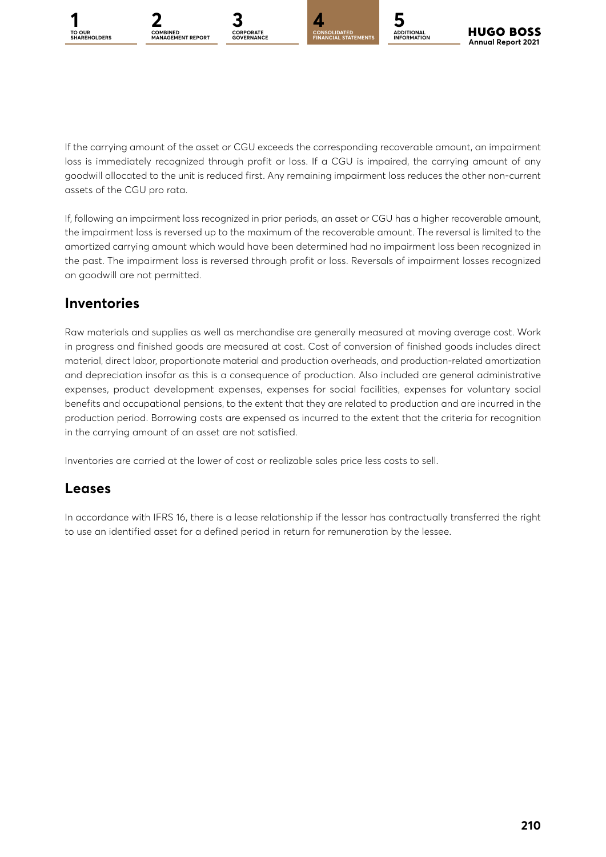**CORPORATE**<br>GOVERNANCE





**ADDITIONAL INFORMATION**

**HUGO BOSS Annual Report 2021** 

If the carrying amount of the asset or CGU exceeds the corresponding recoverable amount, an impairment loss is immediately recognized through profit or loss. If a CGU is impaired, the carrying amount of any goodwill allocated to the unit is reduced first. Any remaining impairment loss reduces the other non-current assets of the CGU pro rata.

If, following an impairment loss recognized in prior periods, an asset or CGU has a higher recoverable amount, the impairment loss is reversed up to the maximum of the recoverable amount. The reversal is limited to the amortized carrying amount which would have been determined had no impairment loss been recognized in the past. The impairment loss is reversed through profit or loss. Reversals of impairment losses recognized on goodwill are not permitted.

## **Inventories**

Raw materials and supplies as well as merchandise are generally measured at moving average cost. Work in progress and finished goods are measured at cost. Cost of conversion of finished goods includes direct material, direct labor, proportionate material and production overheads, and production-related amortization and depreciation insofar as this is a consequence of production. Also included are general administrative expenses, product development expenses, expenses for social facilities, expenses for voluntary social benefits and occupational pensions, to the extent that they are related to production and are incurred in the production period. Borrowing costs are expensed as incurred to the extent that the criteria for recognition in the carrying amount of an asset are not satisfied.

Inventories are carried at the lower of cost or realizable sales price less costs to sell.

## **Leases**

In accordance with IFRS 16, there is a lease relationship if the lessor has contractually transferred the right to use an identified asset for a defined period in return for remuneration by the lessee.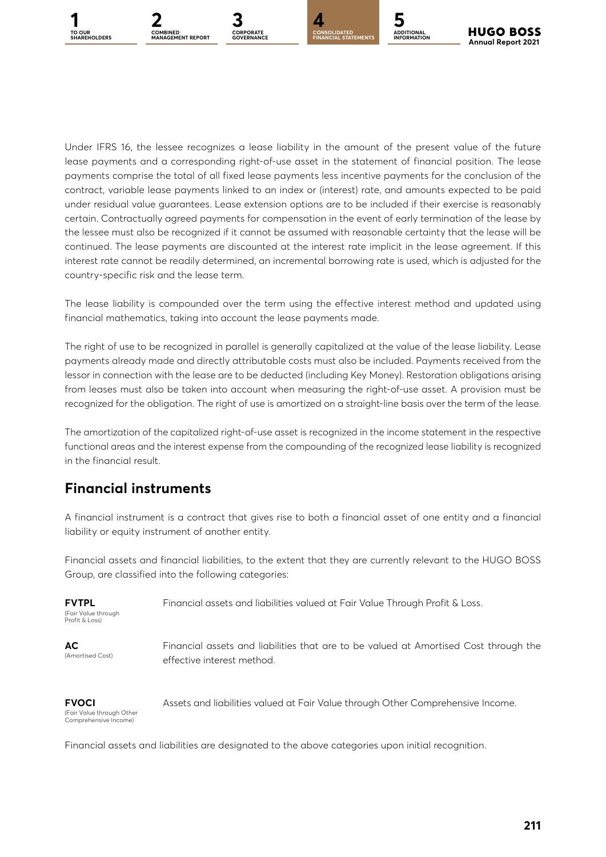



**ADDITIONAL INFORMATION**

Under IFRS 16, the lessee recognizes a lease liability in the amount of the present value of the future lease payments and a corresponding right-of-use asset in the statement of financial position. The lease payments comprise the total of all fixed lease payments less incentive payments for the conclusion of the contract, variable lease payments linked to an index or (interest) rate, and amounts expected to be paid under residual value guarantees. Lease extension options are to be included if their exercise is reasonably certain. Contractually agreed payments for compensation in the event of early termination of the lease by the lessee must also be recognized if it cannot be assumed with reasonable certainty that the lease will be continued. The lease payments are discounted at the interest rate implicit in the lease agreement. If this interest rate cannot be readily determined, an incremental borrowing rate is used, which is adjusted for the country-specific risk and the lease term.

The lease liability is compounded over the term using the effective interest method and updated using financial mathematics, taking into account the lease payments made.

The right of use to be recognized in parallel is generally capitalized at the value of the lease liability. Lease payments already made and directly attributable costs must also be included. Payments received from the lessor in connection with the lease are to be deducted (including Key Money). Restoration obligations arising from leases must also be taken into account when measuring the right-of-use asset. A provision must be recognized for the obligation. The right of use is amortized on a straight-line basis over the term of the lease.

The amortization of the capitalized right-of-use asset is recognized in the income statement in the respective functional areas and the interest expense from the compounding of the recognized lease liability is recognized in the financial result.

## **Financial instruments**

A financial instrument is a contract that gives rise to both a financial asset of one entity and a financial liability or equity instrument of another entity.

Financial assets and financial liabilities, to the extent that they are currently relevant to the HUGO BOSS Group, are classified into the following categories:

| <b>FVTPL</b><br>(Fair Value through<br>Profit & Loss)              | Financial assets and liabilities valued at Fair Value Through Profit & Loss.                                       |
|--------------------------------------------------------------------|--------------------------------------------------------------------------------------------------------------------|
| <b>AC</b><br>(Amortised Cost)                                      | Financial assets and liabilities that are to be valued at Amortised Cost through the<br>effective interest method. |
| <b>FVOCI</b><br>(Fair Value through Other<br>Comprehensive Income) | Assets and liabilities valued at Fair Value through Other Comprehensive Income.                                    |

Financial assets and liabilities are designated to the above categories upon initial recognition.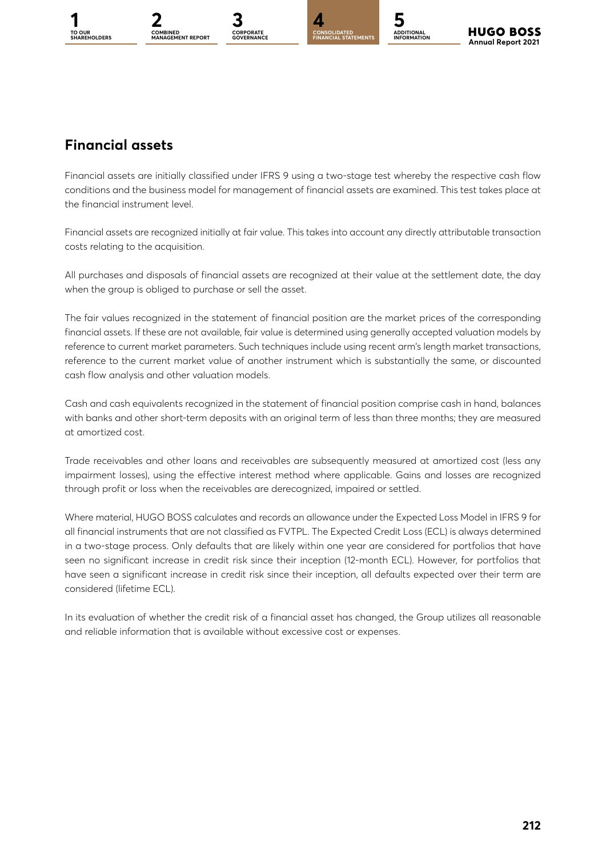**CORPORATE** 



**ADDITIONAL INFORMATION**

## **Financial assets**

Financial assets are initially classified under IFRS 9 using a two-stage test whereby the respective cash flow conditions and the business model for management of financial assets are examined. This test takes place at the financial instrument level.

Financial assets are recognized initially at fair value. This takes into account any directly attributable transaction costs relating to the acquisition.

All purchases and disposals of financial assets are recognized at their value at the settlement date, the day when the group is obliged to purchase or sell the asset.

The fair values recognized in the statement of financial position are the market prices of the corresponding financial assets. If these are not available, fair value is determined using generally accepted valuation models by reference to current market parameters. Such techniques include using recent arm's length market transactions, reference to the current market value of another instrument which is substantially the same, or discounted cash flow analysis and other valuation models.

Cash and cash equivalents recognized in the statement of financial position comprise cash in hand, balances with banks and other short-term deposits with an original term of less than three months; they are measured at amortized cost.

Trade receivables and other loans and receivables are subsequently measured at amortized cost (less any impairment losses), using the effective interest method where applicable. Gains and losses are recognized through profit or loss when the receivables are derecognized, impaired or settled.

Where material, HUGO BOSS calculates and records an allowance under the Expected Loss Model in IFRS 9 for all financial instruments that are not classified as FVTPL. The Expected Credit Loss (ECL) is always determined in a two-stage process. Only defaults that are likely within one year are considered for portfolios that have seen no significant increase in credit risk since their inception (12-month ECL). However, for portfolios that have seen a significant increase in credit risk since their inception, all defaults expected over their term are considered (lifetime ECL).

In its evaluation of whether the credit risk of a financial asset has changed, the Group utilizes all reasonable and reliable information that is available without excessive cost or expenses.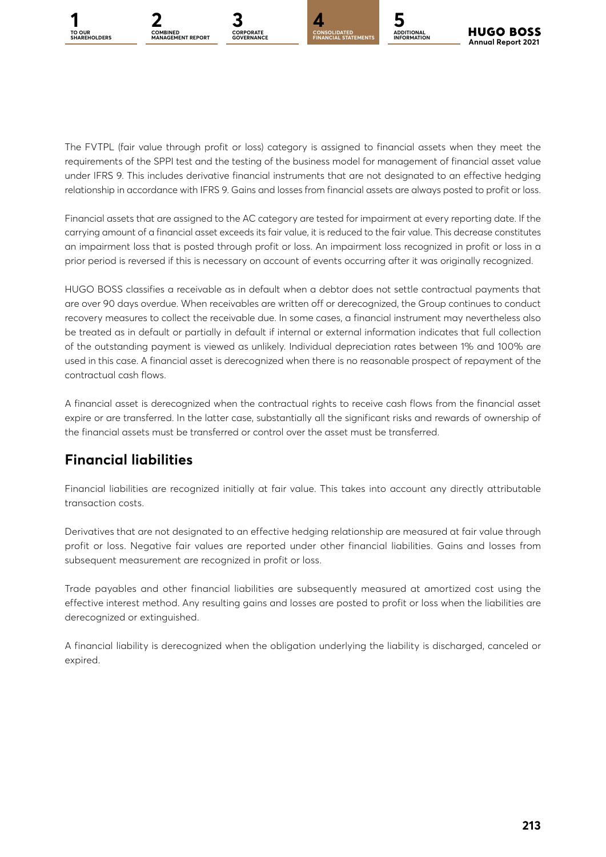



**ADDITIONAL INFORMATION**

The FVTPL (fair value through profit or loss) category is assigned to financial assets when they meet the requirements of the SPPI test and the testing of the business model for management of financial asset value under IFRS 9. This includes derivative financial instruments that are not designated to an effective hedging relationship in accordance with IFRS 9. Gains and losses from financial assets are always posted to profit or loss.

Financial assets that are assigned to the AC category are tested for impairment at every reporting date. If the carrying amount of a financial asset exceeds its fair value, it is reduced to the fair value. This decrease constitutes an impairment loss that is posted through profit or loss. An impairment loss recognized in profit or loss in a prior period is reversed if this is necessary on account of events occurring after it was originally recognized.

HUGO BOSS classifies a receivable as in default when a debtor does not settle contractual payments that are over 90 days overdue. When receivables are written off or derecognized, the Group continues to conduct recovery measures to collect the receivable due. In some cases, a financial instrument may nevertheless also be treated as in default or partially in default if internal or external information indicates that full collection of the outstanding payment is viewed as unlikely. Individual depreciation rates between 1% and 100% are used in this case. A financial asset is derecognized when there is no reasonable prospect of repayment of the contractual cash flows.

A financial asset is derecognized when the contractual rights to receive cash flows from the financial asset expire or are transferred. In the latter case, substantially all the significant risks and rewards of ownership of the financial assets must be transferred or control over the asset must be transferred.

## **Financial liabilities**

Financial liabilities are recognized initially at fair value. This takes into account any directly attributable transaction costs.

Derivatives that are not designated to an effective hedging relationship are measured at fair value through profit or loss. Negative fair values are reported under other financial liabilities. Gains and losses from subsequent measurement are recognized in profit or loss.

Trade payables and other financial liabilities are subsequently measured at amortized cost using the effective interest method. Any resulting gains and losses are posted to profit or loss when the liabilities are derecognized or extinguished.

A financial liability is derecognized when the obligation underlying the liability is discharged, canceled or expired.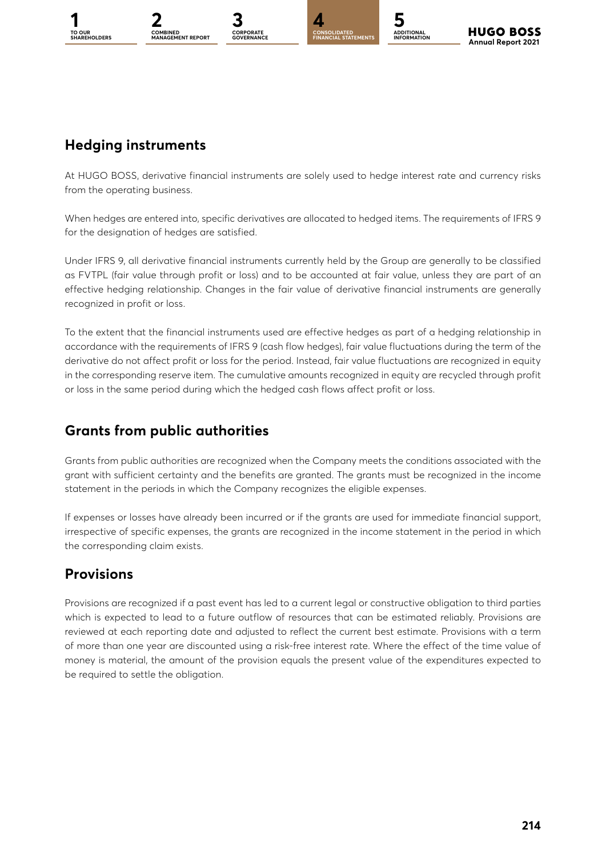**CORPORATE** 



**ADDITIONAL INFORMATION**

## **Hedging instruments**

At HUGO BOSS, derivative financial instruments are solely used to hedge interest rate and currency risks from the operating business.

When hedges are entered into, specific derivatives are allocated to hedged items. The requirements of IFRS 9 for the designation of hedges are satisfied.

Under IFRS 9, all derivative financial instruments currently held by the Group are generally to be classified as FVTPL (fair value through profit or loss) and to be accounted at fair value, unless they are part of an effective hedging relationship. Changes in the fair value of derivative financial instruments are generally recognized in profit or loss.

To the extent that the financial instruments used are effective hedges as part of a hedging relationship in accordance with the requirements of IFRS 9 (cash flow hedges), fair value fluctuations during the term of the derivative do not affect profit or loss for the period. Instead, fair value fluctuations are recognized in equity in the corresponding reserve item. The cumulative amounts recognized in equity are recycled through profit or loss in the same period during which the hedged cash flows affect profit or loss.

## **Grants from public authorities**

Grants from public authorities are recognized when the Company meets the conditions associated with the grant with sufficient certainty and the benefits are granted. The grants must be recognized in the income statement in the periods in which the Company recognizes the eligible expenses.

If expenses or losses have already been incurred or if the grants are used for immediate financial support, irrespective of specific expenses, the grants are recognized in the income statement in the period in which the corresponding claim exists.

## **Provisions**

Provisions are recognized if a past event has led to a current legal or constructive obligation to third parties which is expected to lead to a future outflow of resources that can be estimated reliably. Provisions are reviewed at each reporting date and adjusted to reflect the current best estimate. Provisions with a term of more than one year are discounted using a risk-free interest rate. Where the effect of the time value of money is material, the amount of the provision equals the present value of the expenditures expected to be required to settle the obligation.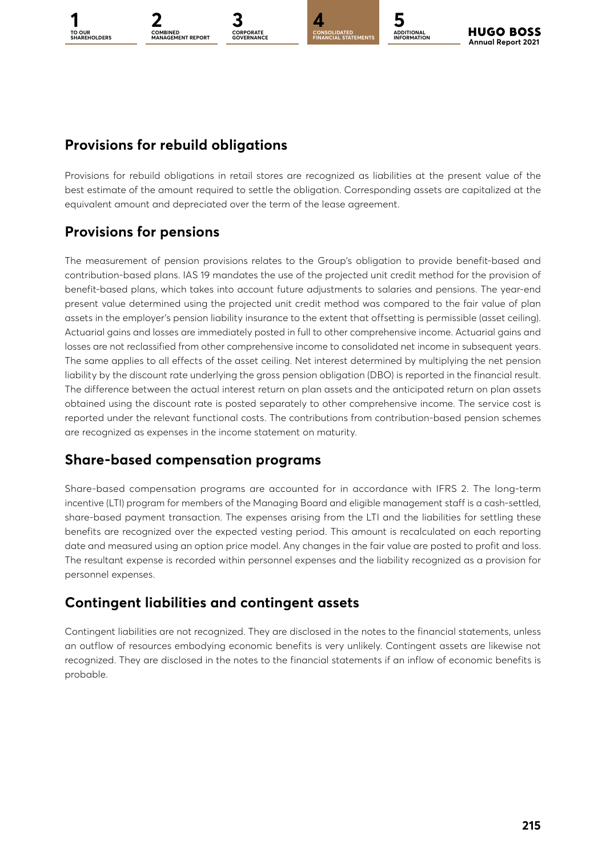**CORPORATE** 



**ADDITIONAL INFORMATION**

## **Provisions for rebuild obligations**

Provisions for rebuild obligations in retail stores are recognized as liabilities at the present value of the best estimate of the amount required to settle the obligation. Corresponding assets are capitalized at the equivalent amount and depreciated over the term of the lease agreement.

## **Provisions for pensions**

The measurement of pension provisions relates to the Group's obligation to provide benefit-based and contribution-based plans. IAS 19 mandates the use of the projected unit credit method for the provision of benefit-based plans, which takes into account future adjustments to salaries and pensions. The year-end present value determined using the projected unit credit method was compared to the fair value of plan assets in the employer's pension liability insurance to the extent that offsetting is permissible (asset ceiling). Actuarial gains and losses are immediately posted in full to other comprehensive income. Actuarial gains and losses are not reclassified from other comprehensive income to consolidated net income in subsequent years. The same applies to all effects of the asset ceiling. Net interest determined by multiplying the net pension liability by the discount rate underlying the gross pension obligation (DBO) is reported in the financial result. The difference between the actual interest return on plan assets and the anticipated return on plan assets obtained using the discount rate is posted separately to other comprehensive income. The service cost is reported under the relevant functional costs. The contributions from contribution-based pension schemes are recognized as expenses in the income statement on maturity.

## **Share-based compensation programs**

Share-based compensation programs are accounted for in accordance with IFRS 2. The long-term incentive (LTI) program for members of the Managing Board and eligible management staff is a cash-settled, share-based payment transaction. The expenses arising from the LTI and the liabilities for settling these benefits are recognized over the expected vesting period. This amount is recalculated on each reporting date and measured using an option price model. Any changes in the fair value are posted to profit and loss. The resultant expense is recorded within personnel expenses and the liability recognized as a provision for personnel expenses.

## **Contingent liabilities and contingent assets**

Contingent liabilities are not recognized. They are disclosed in the notes to the financial statements, unless an outflow of resources embodying economic benefits is very unlikely. Contingent assets are likewise not recognized. They are disclosed in the notes to the financial statements if an inflow of economic benefits is probable.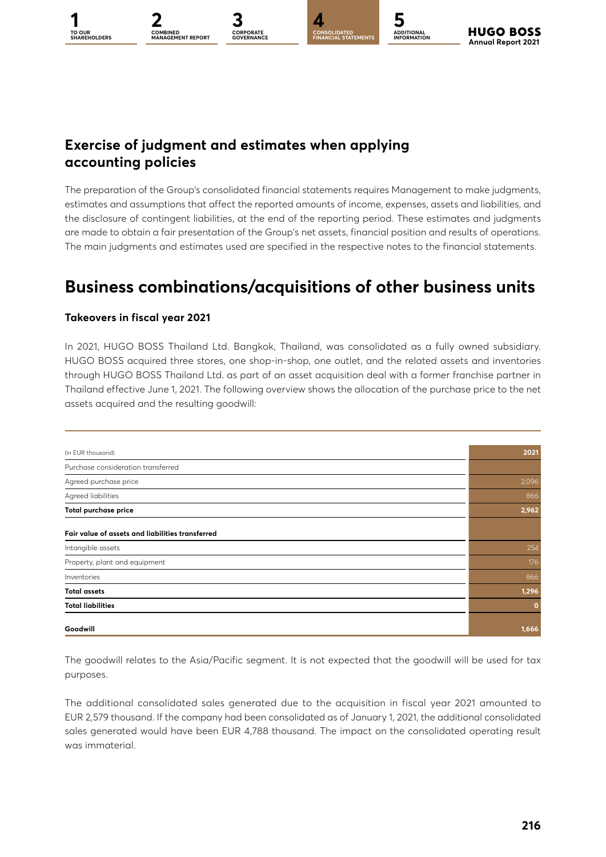

**CORPORATE** 



**ADDITIONAL INFORMATION**

## **Exercise of judgment and estimates when applying accounting policies**

The preparation of the Group's consolidated financial statements requires Management to make judgments, estimates and assumptions that affect the reported amounts of income, expenses, assets and liabilities, and the disclosure of contingent liabilities, at the end of the reporting period. These estimates and judgments are made to obtain a fair presentation of the Group's net assets, financial position and results of operations. The main judgments and estimates used are specified in the respective notes to the financial statements.

# **Business combinations/acquisitions of other business units**

#### **Takeovers in fiscal year 2021**

In 2021, HUGO BOSS Thailand Ltd. Bangkok, Thailand, was consolidated as a fully owned subsidiary. HUGO BOSS acquired three stores, one shop-in-shop, one outlet, and the related assets and inventories through HUGO BOSS Thailand Ltd. as part of an asset acquisition deal with a former franchise partner in Thailand effective June 1, 2021. The following overview shows the allocation of the purchase price to the net assets acquired and the resulting goodwill:

| (in EUR thousand)                                | 2021        |
|--------------------------------------------------|-------------|
| Purchase consideration transferred               |             |
| Agreed purchase price                            | 2,096       |
| Agreed liabilities                               | 866         |
| Total purchase price                             | 2,962       |
| Fair value of assets and liabilities transferred |             |
| Intangible assets                                | 254         |
| Property, plant and equipment                    | 176         |
| Inventories                                      | 866         |
| <b>Total assets</b>                              | 1,296       |
| <b>Total liabilities</b>                         | $\mathbf o$ |
| Goodwill                                         | 1,666       |

The goodwill relates to the Asia/Pacific segment. It is not expected that the goodwill will be used for tax purposes.

The additional consolidated sales generated due to the acquisition in fiscal year 2021 amounted to EUR 2,579 thousand. If the company had been consolidated as of January 1, 2021, the additional consolidated sales generated would have been EUR 4,788 thousand. The impact on the consolidated operating result was immaterial.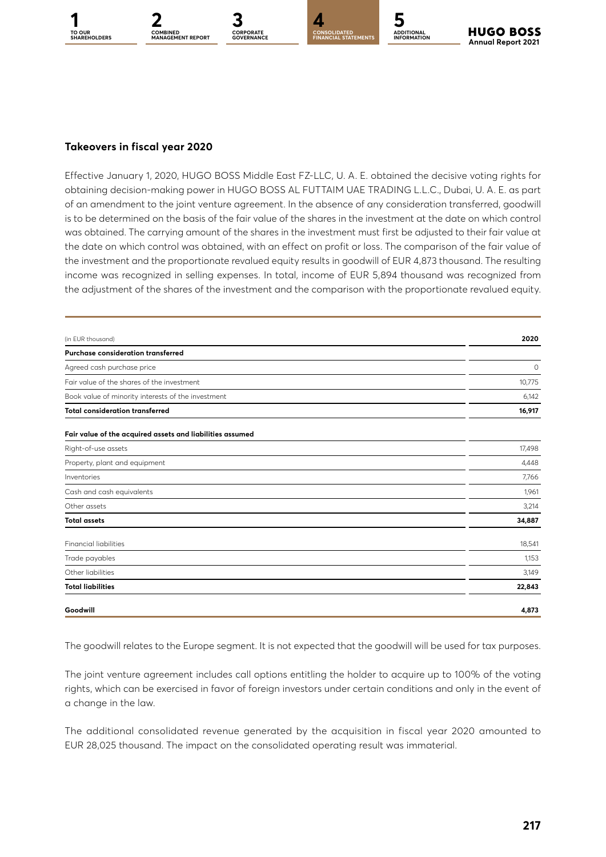



**ADDITIONAL INFORMATION**

#### **Takeovers in fiscal year 2020**

Effective January 1, 2020, HUGO BOSS Middle East FZ-LLC, U. A. E. obtained the decisive voting rights for obtaining decision-making power in HUGO BOSS AL FUTTAIM UAE TRADING L.L.C., Dubai, U. A. E. as part of an amendment to the joint venture agreement. In the absence of any consideration transferred, goodwill is to be determined on the basis of the fair value of the shares in the investment at the date on which control was obtained. The carrying amount of the shares in the investment must first be adjusted to their fair value at the date on which control was obtained, with an effect on profit or loss. The comparison of the fair value of the investment and the proportionate revalued equity results in goodwill of EUR 4,873 thousand. The resulting income was recognized in selling expenses. In total, income of EUR 5,894 thousand was recognized from the adjustment of the shares of the investment and the comparison with the proportionate revalued equity.

| (in EUR thousand)                                         | 2020    |
|-----------------------------------------------------------|---------|
| <b>Purchase consideration transferred</b>                 |         |
| Agreed cash purchase price                                | $\circ$ |
| Fair value of the shares of the investment                | 10,775  |
| Book value of minority interests of the investment        | 6,142   |
| <b>Total consideration transferred</b>                    | 16,917  |
| Fair value of the acquired assets and liabilities assumed |         |
| Right-of-use assets                                       | 17,498  |
| Property, plant and equipment                             | 4,448   |
| Inventories                                               | 7,766   |
| Cash and cash equivalents                                 | 1,961   |
| Other assets                                              | 3,214   |
| <b>Total assets</b>                                       | 34,887  |
| <b>Financial liabilities</b>                              | 18,541  |
| Trade payables                                            | 1,153   |
| Other liabilities                                         | 3,149   |
| <b>Total liabilities</b>                                  | 22,843  |
| Goodwill                                                  | 4,873   |

The goodwill relates to the Europe segment. It is not expected that the goodwill will be used for tax purposes.

The joint venture agreement includes call options entitling the holder to acquire up to 100% of the voting rights, which can be exercised in favor of foreign investors under certain conditions and only in the event of a change in the law.

The additional consolidated revenue generated by the acquisition in fiscal year 2020 amounted to EUR 28,025 thousand. The impact on the consolidated operating result was immaterial.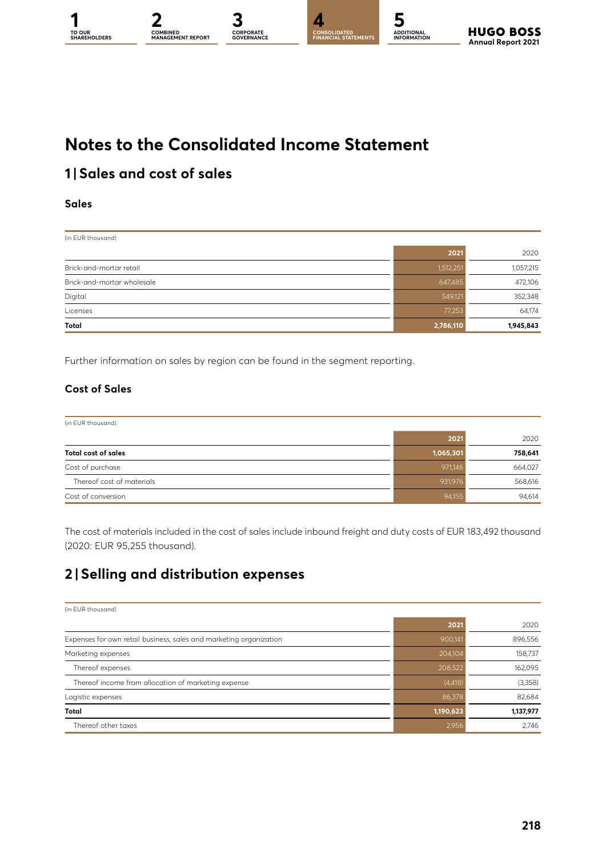**CORPORATE**<br>GOVERNANCE

<span id="page-23-0"></span>**1 2 3 [4](#page-0-0) 5 CORPORATE CONSOLIDATED FINANCIAL STATEMENTS**

**ADDITIONAL INFORMATION**

# **Notes to the Consolidated Income Statement**

## **1 |Sales and cost of sales**

**Sales**

| (in EUR thousand)          |           |           |
|----------------------------|-----------|-----------|
|                            | 2021      | 2020      |
| Brick-and-mortar retail    | 1,512,251 | 1,057,215 |
| Brick-and-mortar wholesale | 647,485   | 472,106   |
| Digital                    | 549,121   | 352,348   |
| Licenses                   | 77,253    | 64,174    |
| <b>Total</b>               | 2,786,110 | 1,945,843 |

Further information on sales by region can be found in the segment reporting.

#### **Cost of Sales**

| (in EUR thousand)          |           |         |
|----------------------------|-----------|---------|
|                            | 2021      | 2020    |
| <b>Total cost of sales</b> | 1,065,301 | 758,641 |
| Cost of purchase           | 971,146   | 664,027 |
| Thereof cost of materials  | 931,976   | 568,616 |
| Cost of conversion         | 94,155    | 94,614  |

The cost of materials included in the cost of sales include inbound freight and duty costs of EUR 183,492 thousand (2020: EUR 95,255 thousand).

## **2 |Selling and distribution expenses**

| (in EUR thousand)                                                  |           |           |
|--------------------------------------------------------------------|-----------|-----------|
|                                                                    | 2021      | 2020      |
| Expenses for own retail business, sales and marketing organization | 900,141   | 896,556   |
| Marketing expenses                                                 | 204,104   | 158,737   |
| Thereof expenses                                                   | 208,522   | 162,095   |
| Thereof income from allocation of marketing expense                | (4, 418)  | (3,358)   |
| Logistic expenses                                                  | 86,378    | 82,684    |
| <b>Total</b>                                                       | 1,190,623 | 1,137,977 |
| Thereof other taxes                                                | 2,956     | 2,746     |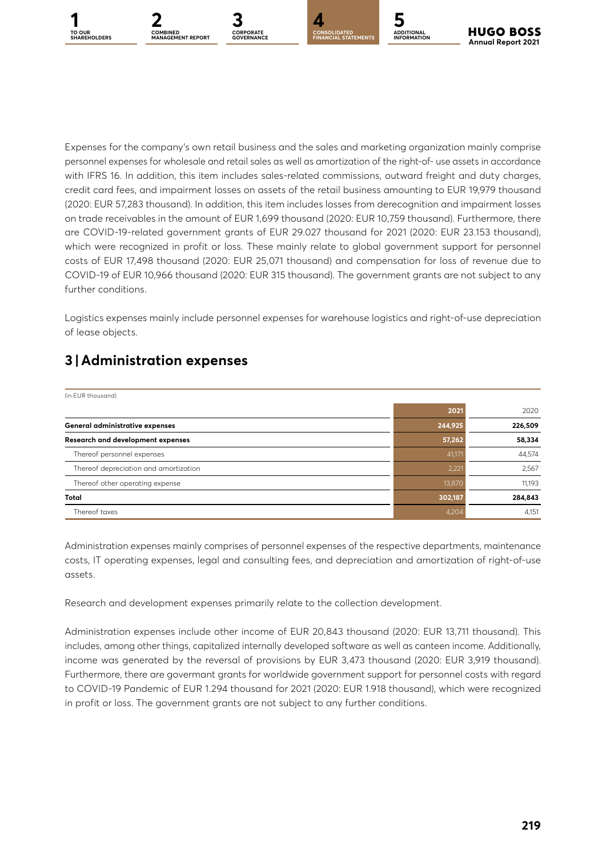





Expenses for the company's own retail business and the sales and marketing organization mainly comprise personnel expenses for wholesale and retail sales as well as amortization of the right-of- use assets in accordance with IFRS 16. In addition, this item includes sales-related commissions, outward freight and duty charges, credit card fees, and impairment losses on assets of the retail business amounting to EUR 19,979 thousand (2020: EUR 57,283 thousand). In addition, this item includes losses from derecognition and impairment losses on trade receivables in the amount of EUR 1,699 thousand (2020: EUR 10,759 thousand). Furthermore, there are COVID-19-related government grants of EUR 29.027 thousand for 2021 (2020: EUR 23.153 thousand), which were recognized in profit or loss. These mainly relate to global government support for personnel costs of EUR 17,498 thousand (2020: EUR 25,071 thousand) and compensation for loss of revenue due to COVID-19 of EUR 10,966 thousand (2020: EUR 315 thousand). The government grants are not subject to any further conditions.

Logistics expenses mainly include personnel expenses for warehouse logistics and right-of-use depreciation of lease objects.

## **3 |Administration expenses**

| (in EUR thousand)                     |         |         |
|---------------------------------------|---------|---------|
|                                       | 2021    | 2020    |
| General administrative expenses       | 244,925 | 226,509 |
| Research and development expenses     | 57,262  | 58,334  |
| Thereof personnel expenses            | 41,171  | 44,574  |
| Thereof depreciation and amortization | 2,221   | 2,567   |
| Thereof other operating expense       | 13,870  | 11.193  |
| <b>Total</b>                          | 302,187 | 284,843 |
| Thereof taxes                         | 4,204   | 4,151   |

Administration expenses mainly comprises of personnel expenses of the respective departments, maintenance costs, IT operating expenses, legal and consulting fees, and depreciation and amortization of right-of-use assets.

Research and development expenses primarily relate to the collection development.

Administration expenses include other income of EUR 20,843 thousand (2020: EUR 13,711 thousand). This includes, among other things, capitalized internally developed software as well as canteen income. Additionally, income was generated by the reversal of provisions by EUR 3,473 thousand (2020: EUR 3,919 thousand). Furthermore, there are govermant grants for worldwide government support for personnel costs with regard to COVID-19 Pandemic of EUR 1.294 thousand for 2021 (2020: EUR 1.918 thousand), which were recognized in profit or loss. The government grants are not subject to any further conditions.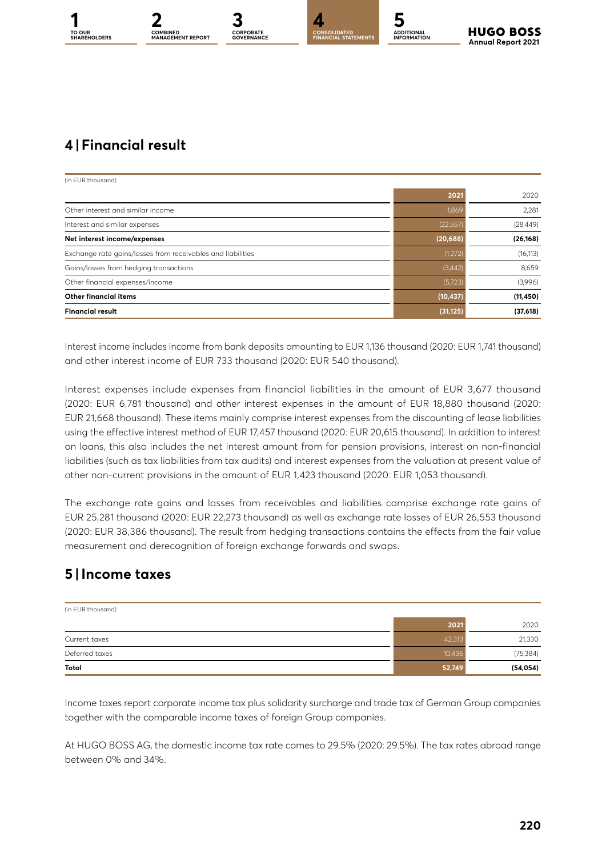

**CONSOLIDATED FINANCIAL STATEMENTS**

**ADDITIONAL INFORMATION**

# **4 |Financial result**

| <b>Financial result</b>                                     | (31, 125) | (37,618)  |
|-------------------------------------------------------------|-----------|-----------|
| <b>Other financial items</b>                                | (10, 437) | (11, 450) |
| Other financial expenses/income                             | (5, 723)  | (3,996)   |
| Gains/losses from hedging transactions                      | (3,442)   | 8,659     |
| Exchange rate gains/losses from receivables and liabilities | (1,272)   | (16, 113) |
| Net interest income/expenses                                | (20, 688) | (26, 168) |
| Interest and similar expenses                               | (22, 557) | (28, 449) |
| Other interest and similar income                           | 1,869     | 2.281     |
|                                                             | 2021      | 2020      |
| (in EUR thousand)                                           |           |           |

Interest income includes income from bank deposits amounting to EUR 1,136 thousand (2020: EUR 1,741 thousand) and other interest income of EUR 733 thousand (2020: EUR 540 thousand).

Interest expenses include expenses from financial liabilities in the amount of EUR 3,677 thousand (2020: EUR 6,781 thousand) and other interest expenses in the amount of EUR 18,880 thousand (2020: EUR 21,668 thousand). These items mainly comprise interest expenses from the discounting of lease liabilities using the effective interest method of EUR 17,457 thousand (2020: EUR 20,615 thousand). In addition to interest on loans, this also includes the net interest amount from for pension provisions, interest on non-financial liabilities (such as tax liabilities from tax audits) and interest expenses from the valuation at present value of other non-current provisions in the amount of EUR 1,423 thousand (2020: EUR 1,053 thousand).

The exchange rate gains and losses from receivables and liabilities comprise exchange rate gains of EUR 25,281 thousand (2020: EUR 22,273 thousand) as well as exchange rate losses of EUR 26,553 thousand (2020: EUR 38,386 thousand). The result from hedging transactions contains the effects from the fair value measurement and derecognition of foreign exchange forwards and swaps.

## **5 |Income taxes**

| (in EUR thousand) |        |           |
|-------------------|--------|-----------|
|                   | 2021   | 2020      |
| Current taxes     | 42,313 | 21,330    |
| Deferred taxes    | 10,436 | (75, 384) |
| Total             | 52,749 | (54, 054) |

Income taxes report corporate income tax plus solidarity surcharge and trade tax of German Group companies together with the comparable income taxes of foreign Group companies.

At HUGO BOSS AG, the domestic income tax rate comes to 29.5% (2020: 29.5%). The tax rates abroad range between 0% and 34%.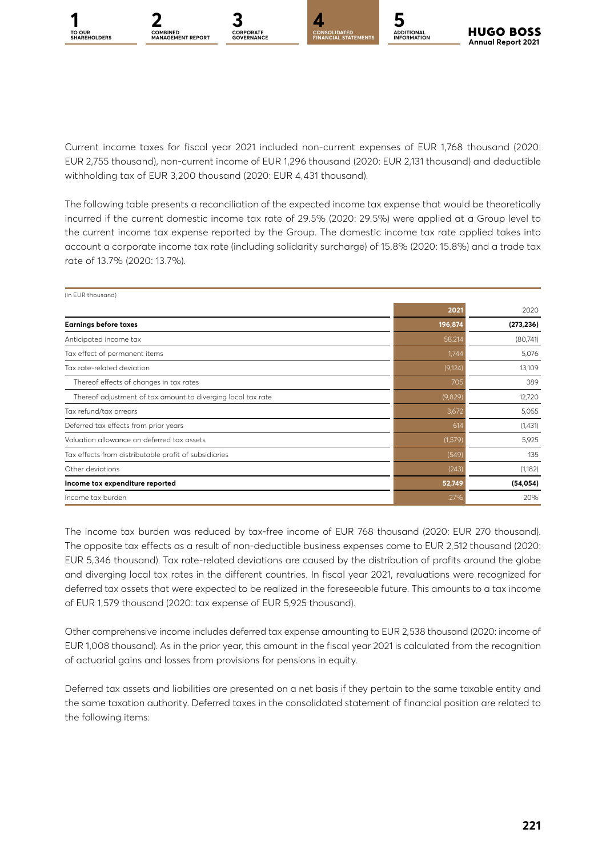CORPORAT<mark>E</mark><br>GOVERNANCE



**ADDITIONAL INFORMATION**

Current income taxes for fiscal year 2021 included non-current expenses of EUR 1,768 thousand (2020: EUR 2,755 thousand), non-current income of EUR 1,296 thousand (2020: EUR 2,131 thousand) and deductible withholding tax of EUR 3,200 thousand (2020: EUR 4,431 thousand).

The following table presents a reconciliation of the expected income tax expense that would be theoretically incurred if the current domestic income tax rate of 29.5% (2020: 29.5%) were applied at a Group level to the current income tax expense reported by the Group. The domestic income tax rate applied takes into account a corporate income tax rate (including solidarity surcharge) of 15.8% (2020: 15.8%) and a trade tax rate of 13.7% (2020: 13.7%).

| (in EUR thousand)                                            |          |            |
|--------------------------------------------------------------|----------|------------|
|                                                              | 2021     | 2020       |
| <b>Earnings before taxes</b>                                 | 196,874  | (273, 236) |
| Anticipated income tax                                       | 58,214   | (80,741)   |
| Tax effect of permanent items                                | 1,744    | 5,076      |
| Tax rate-related deviation                                   | (9, 124) | 13,109     |
| Thereof effects of changes in tax rates                      | 705      | 389        |
| Thereof adjustment of tax amount to diverging local tax rate | (9,829)  | 12,720     |
| Tax refund/tax arrears                                       | 3,672    | 5,055      |
| Deferred tax effects from prior years                        | 614      | (1,431)    |
| Valuation allowance on deferred tax assets                   | (1,579)  | 5,925      |
| Tax effects from distributable profit of subsidiaries        | (549)    | 135        |
| Other deviations                                             | (243)    | (1,182)    |
| Income tax expenditure reported                              | 52,749   | (54, 054)  |
| Income tax burden                                            | 27%      | 20%        |

The income tax burden was reduced by tax-free income of EUR 768 thousand (2020: EUR 270 thousand). The opposite tax effects as a result of non-deductible business expenses come to EUR 2,512 thousand (2020: EUR 5,346 thousand). Tax rate-related deviations are caused by the distribution of profits around the globe and diverging local tax rates in the different countries. In fiscal year 2021, revaluations were recognized for deferred tax assets that were expected to be realized in the foreseeable future. This amounts to a tax income of EUR 1,579 thousand (2020: tax expense of EUR 5,925 thousand).

Other comprehensive income includes deferred tax expense amounting to EUR 2,538 thousand (2020: income of EUR 1,008 thousand). As in the prior year, this amount in the fiscal year 2021 is calculated from the recognition of actuarial gains and losses from provisions for pensions in equity.

Deferred tax assets and liabilities are presented on a net basis if they pertain to the same taxable entity and the same taxation authority. Deferred taxes in the consolidated statement of financial position are related to the following items: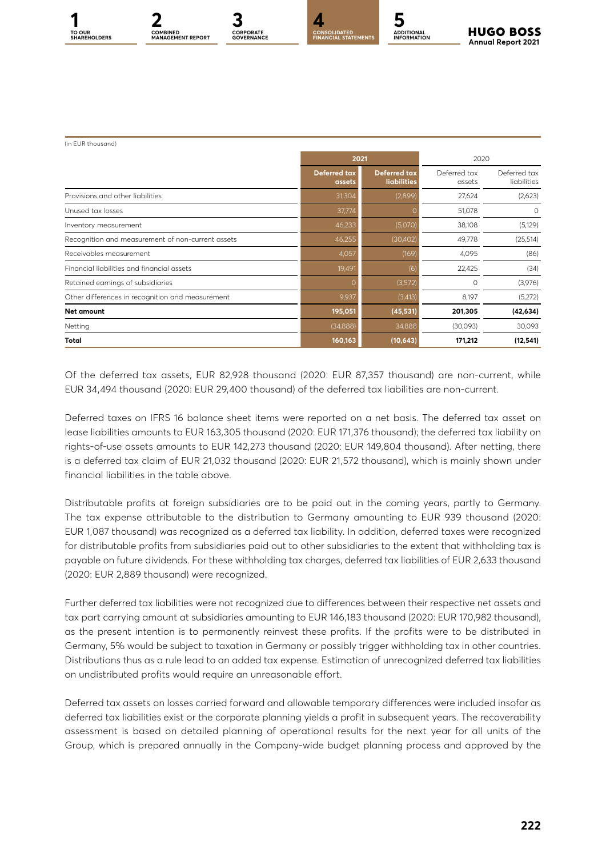







#### (in EUR thousand)

|                                                   |                               | 2021                               |                        | 2020                        |
|---------------------------------------------------|-------------------------------|------------------------------------|------------------------|-----------------------------|
|                                                   | <b>Deferred tax</b><br>assets | <b>Deferred tax</b><br>liabilities | Deferred tax<br>assets | Deferred tax<br>liabilities |
| Provisions and other liabilities                  | 31,304                        | (2,899)                            | 27,624                 | (2,623)                     |
| Unused tax losses                                 | 37,774                        |                                    | 51,078                 | 0                           |
| Inventory measurement                             | 46,233                        | (5,070)                            | 38,108                 | (5, 129)                    |
| Recognition and measurement of non-current assets | 46,255                        | (30, 402)                          | 49,778                 | (25, 514)                   |
| Receivables measurement                           | 4,057                         | (169)                              | 4,095                  | (86)                        |
| Financial liabilities and financial assets        | 19,491                        | (6)                                | 22,425                 | (34)                        |
| Retained earnings of subsidiaries                 |                               | (3,572)                            | $\circ$                | (3,976)                     |
| Other differences in recognition and measurement  | 9,937                         | (3, 413)                           | 8,197                  | (5,272)                     |
| Net amount                                        | 195,051                       | (45, 531)                          | 201,305                | (42, 634)                   |
| Netting                                           | (34,888)                      | 34,888                             | (30,093)               | 30,093                      |
| Total                                             | 160,163                       | (10, 643)                          | 171,212                | (12, 541)                   |

Of the deferred tax assets, EUR 82,928 thousand (2020: EUR 87,357 thousand) are non-current, while EUR 34,494 thousand (2020: EUR 29,400 thousand) of the deferred tax liabilities are non-current.

Deferred taxes on IFRS 16 balance sheet items were reported on a net basis. The deferred tax asset on lease liabilities amounts to EUR 163,305 thousand (2020: EUR 171,376 thousand); the deferred tax liability on rights-of-use assets amounts to EUR 142,273 thousand (2020: EUR 149,804 thousand). After netting, there is a deferred tax claim of EUR 21,032 thousand (2020: EUR 21,572 thousand), which is mainly shown under financial liabilities in the table above.

Distributable profits at foreign subsidiaries are to be paid out in the coming years, partly to Germany. The tax expense attributable to the distribution to Germany amounting to EUR 939 thousand (2020: EUR 1,087 thousand) was recognized as a deferred tax liability. In addition, deferred taxes were recognized for distributable profits from subsidiaries paid out to other subsidiaries to the extent that withholding tax is payable on future dividends. For these withholding tax charges, deferred tax liabilities of EUR 2,633 thousand (2020: EUR 2,889 thousand) were recognized.

Further deferred tax liabilities were not recognized due to differences between their respective net assets and tax part carrying amount at subsidiaries amounting to EUR 146,183 thousand (2020: EUR 170,982 thousand), as the present intention is to permanently reinvest these profits. If the profits were to be distributed in Germany, 5% would be subject to taxation in Germany or possibly trigger withholding tax in other countries. Distributions thus as a rule lead to an added tax expense. Estimation of unrecognized deferred tax liabilities on undistributed profits would require an unreasonable effort.

Deferred tax assets on losses carried forward and allowable temporary differences were included insofar as deferred tax liabilities exist or the corporate planning yields a profit in subsequent years. The recoverability assessment is based on detailed planning of operational results for the next year for all units of the Group, which is prepared annually in the Company-wide budget planning process and approved by the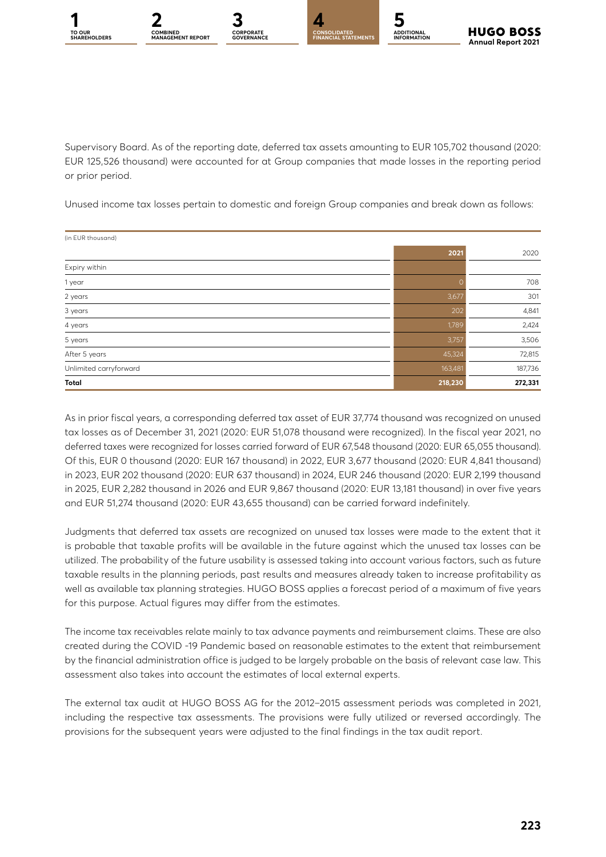

**ADDITIONAL INFORMATION**

Supervisory Board. As of the reporting date, deferred tax assets amounting to EUR 105,702 thousand (2020: EUR 125,526 thousand) were accounted for at Group companies that made losses in the reporting period or prior period.

Unused income tax losses pertain to domestic and foreign Group companies and break down as follows:

| (in EUR thousand)      |         |         |
|------------------------|---------|---------|
|                        | 2021    | 2020    |
| Expiry within          |         |         |
| 1 year                 |         | 708     |
| 2 years                | 3,677   | 301     |
| 3 years                | 202     | 4,841   |
| 4 years                | 1,789   | 2,424   |
| 5 years                | 3,757   | 3,506   |
| After 5 years          | 45,324  | 72,815  |
| Unlimited carryforward | 163,481 | 187,736 |
| Total                  | 218,230 | 272,331 |

As in prior fiscal years, a corresponding deferred tax asset of EUR 37,774 thousand was recognized on unused tax losses as of December 31, 2021 (2020: EUR 51,078 thousand were recognized). In the fiscal year 2021, no deferred taxes were recognized for losses carried forward of EUR 67,548 thousand (2020: EUR 65,055 thousand). Of this, EUR 0 thousand (2020: EUR 167 thousand) in 2022, EUR 3,677 thousand (2020: EUR 4,841 thousand) in 2023, EUR 202 thousand (2020: EUR 637 thousand) in 2024, EUR 246 thousand (2020: EUR 2,199 thousand in 2025, EUR 2,282 thousand in 2026 and EUR 9,867 thousand (2020: EUR 13,181 thousand) in over five years and EUR 51,274 thousand (2020: EUR 43,655 thousand) can be carried forward indefinitely.

Judgments that deferred tax assets are recognized on unused tax losses were made to the extent that it is probable that taxable profits will be available in the future against which the unused tax losses can be utilized. The probability of the future usability is assessed taking into account various factors, such as future taxable results in the planning periods, past results and measures already taken to increase profitability as well as available tax planning strategies. HUGO BOSS applies a forecast period of a maximum of five years for this purpose. Actual figures may differ from the estimates.

The income tax receivables relate mainly to tax advance payments and reimbursement claims. These are also created during the COVID -19 Pandemic based on reasonable estimates to the extent that reimbursement by the financial administration office is judged to be largely probable on the basis of relevant case law. This assessment also takes into account the estimates of local external experts.

The external tax audit at HUGO BOSS AG for the 2012–2015 assessment periods was completed in 2021, including the respective tax assessments. The provisions were fully utilized or reversed accordingly. The provisions for the subsequent years were adjusted to the final findings in the tax audit report.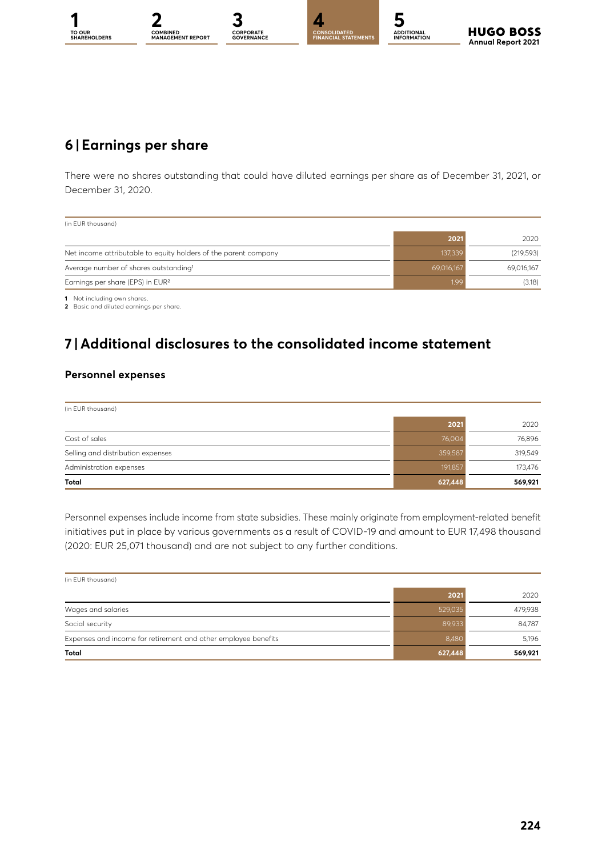

**CORPORATE**<br>GOVERNANCE



**ADDITIONAL INFORMATION**

## **6|Earnings per share**

There were no shares outstanding that could have diluted earnings per share as of December 31, 2021, or December 31, 2020.

| (in EUR thousand)                                               |            |            |
|-----------------------------------------------------------------|------------|------------|
|                                                                 | 2021       | 2020       |
| Net income attributable to equity holders of the parent company | 137,339    | (219, 593) |
| Average number of shares outstanding <sup>1</sup>               | 69,016,167 | 69,016,167 |
| Earnings per share (EPS) in EUR <sup>2</sup>                    | 1.99       | (3.18)     |

**1** Not including own shares. **2** Basic and diluted earnings per share.

## **7 |Additional disclosures to the consolidated income statement**

#### **Personnel expenses**

| (in EUR thousand)                 |         |         |
|-----------------------------------|---------|---------|
|                                   | 2021    | 2020    |
| Cost of sales                     | 76,004  | 76,896  |
| Selling and distribution expenses | 359,587 | 319,549 |
| Administration expenses           | 191,857 | 173,476 |
| Total                             | 627,448 | 569,921 |

Personnel expenses include income from state subsidies. These mainly originate from employment-related benefit initiatives put in place by various governments as a result of COVID-19 and amount to EUR 17,498 thousand (2020: EUR 25,071 thousand) and are not subject to any further conditions.

| <b>Total</b>                                                   | 627,448 | 569,921 |
|----------------------------------------------------------------|---------|---------|
| Expenses and income for retirement and other employee benefits | 8.480   | 5.196   |
| Social security                                                | 89,933  | 84.787  |
| Wages and salaries                                             | 529,035 | 479,938 |
|                                                                | 2021    | 2020    |
| (in EUR thousand)                                              |         |         |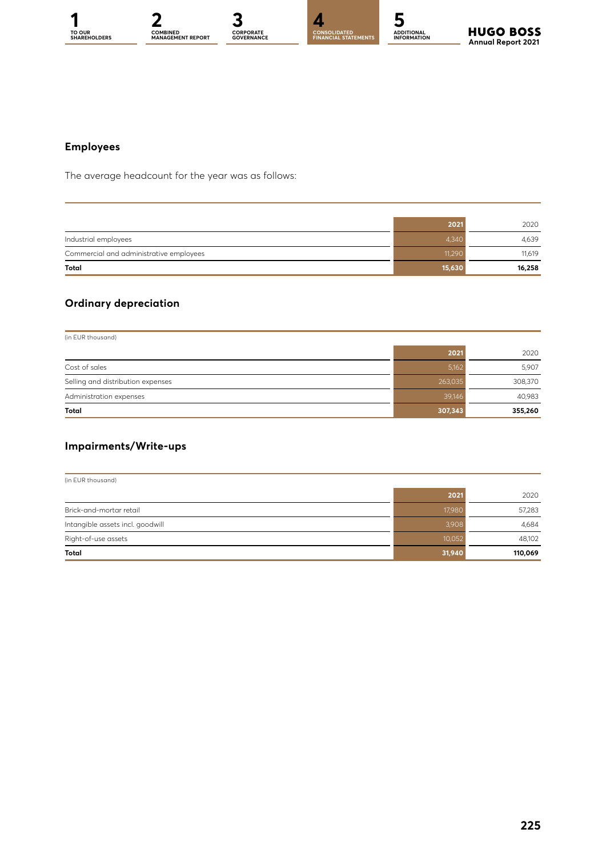



**CORPORATE**<br>GOVERNANCE





#### **Employees**

The average headcount for the year was as follows:

|                                         | 2021   | 2020   |
|-----------------------------------------|--------|--------|
| Industrial employees                    | 4.340  | 4,639  |
| Commercial and administrative employees | 11.290 | 11,619 |
| Total                                   | 15,630 | 16,258 |

#### **Ordinary depreciation**

| (in EUR thousand)                 |         |         |
|-----------------------------------|---------|---------|
|                                   | 2021    | 2020    |
| Cost of sales                     | 5,162   | 5,907   |
| Selling and distribution expenses | 263,035 | 308,370 |
| Administration expenses           | 39,146  | 40,983  |
| Total                             | 307,343 | 355,260 |

#### **Impairments/Write-ups**

| (in EUR thousand)                |        |         |
|----------------------------------|--------|---------|
|                                  | 2021   | 2020    |
| Brick-and-mortar retail          | 17,980 | 57,283  |
| Intangible assets incl. goodwill | 3,908  | 4,684   |
| Right-of-use assets              | 10,052 | 48,102  |
| Total                            | 31,940 | 110,069 |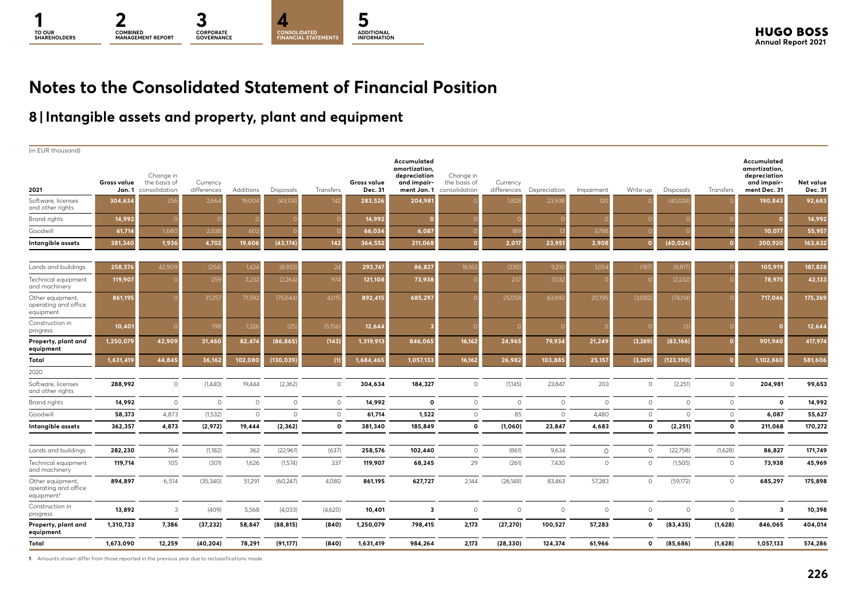<span id="page-31-0"></span>

# **Notes to the Consolidated Statement of Financial Position**

## **8 |Intangible assets and property, plant and equipment**

| (in EUR thousand)                                                  |                       |                                            |                         |           |           |           |                        |                                                                            |                                            |                         |              |            |             |            |              |                                                                             |                      |
|--------------------------------------------------------------------|-----------------------|--------------------------------------------|-------------------------|-----------|-----------|-----------|------------------------|----------------------------------------------------------------------------|--------------------------------------------|-------------------------|--------------|------------|-------------|------------|--------------|-----------------------------------------------------------------------------|----------------------|
| 2021                                                               | Gross value<br>Jan. 1 | Change in<br>the basis of<br>consolidation | Currency<br>differences | Additions | Disposals | Transfers | Gross value<br>Dec. 31 | Accumulated<br>amortization,<br>depreciation<br>and impair-<br>ment Jan. 1 | Change in<br>the basis of<br>consolidation | Currency<br>differences | Depreciation | Impairment | Write-up    | Disposals  | Transfers    | Accumulated<br>amortization,<br>depreciation<br>and impair-<br>ment Dec. 31 | Net value<br>Dec. 31 |
| Software, licenses<br>and other rights                             | 304,634               | 256                                        | 2.664                   | 19,004    | (43.174)  | 142       | 283,526                | 204,981                                                                    |                                            | 1.828                   | 23,938       | 120        |             | (40, 024)  |              | 190,843                                                                     | 92,683               |
| <b>Brand rights</b>                                                | 14,992                |                                            |                         |           |           |           | 14,992                 | - 0                                                                        |                                            |                         |              |            |             |            |              | O                                                                           | 14,992               |
| Goodwill                                                           | 61,714                | 1,680                                      | 2,038                   | 602       |           |           | 66,034                 | 6,087                                                                      |                                            | 189                     |              | 3,788      |             |            |              | 10,077                                                                      | 55,957               |
| Intangible assets                                                  | 381,340               | 1,936                                      | 4,702                   | 19,606    | (43, 174) | 142       | 364,552                | 211,068                                                                    |                                            | 2,017                   | 23,951       | 3,908      |             | (40, 024)  |              | 200,920                                                                     | 163,632              |
| Lands and buildings                                                | 258,576               | 42.909                                     | (254)                   | 1,424     | (8,932)   |           | 293,747                | 86,827                                                                     | 16.162                                     | (330)                   | 9,210        | 1,05       | (187)       | (6, 81)    |              | 105,919                                                                     | 187,828              |
| Technical equipment<br>and machinery                               | 119,907               |                                            | 259                     | 2,232     | (2, 264)  | 974       | 121,108                | 73,938                                                                     |                                            | 237                     | 7,032        |            |             | (2.232)    |              | 78,975                                                                      | 42,133               |
| Other equipment,<br>operating and office<br>equipment              | 861,195               |                                            | 31.257                  | 71,592    | (75, 644) | 4,015     | 892,415                | 685,297                                                                    |                                            | 25.058                  | 63,692       | 20,195     | (3,082)     | (74, 114)  |              | 717,046                                                                     | 175,369              |
| Construction in<br>progress                                        | 10,401                |                                            | 198                     | 7,226     | (25)      | (5, 156)  | 12,644                 |                                                                            |                                            |                         |              |            |             |            |              |                                                                             | 12,644               |
| Property, plant and<br>equipment                                   | 1,250,079             | 42,909                                     | 31,460                  | 82,474    | (86, 865) | (143)     | 1,319,913              | 846,065                                                                    | 16.162                                     | 24,965                  | 79,934       | 21,249     | (3.269)     | (83, 166)  |              | 901,940                                                                     | 417,974              |
| Total                                                              | 1,631,419             | 44,845                                     | 36,162                  | 102,080   | (130,039  |           | 1,684,465              | 1,057,133                                                                  | 16,162                                     | 26,982                  | 103,885      | 25,157     | (3, 269)    | (123, 190) |              | 1,102,860                                                                   | 581,606              |
| 2020                                                               |                       |                                            |                         |           |           |           |                        |                                                                            |                                            |                         |              |            |             |            |              |                                                                             |                      |
| Software, licenses<br>and other rights                             | 288,992               | $\circ$                                    | (1,440)                 | 19,444    | (2, 362)  | $\circ$   | 304,634                | 184,327                                                                    | $\circ$                                    | (1,145)                 | 23,847       | 203        | $\circ$     | (2, 251)   | $\circ$      | 204,981                                                                     | 99,653               |
| Brand rights                                                       | 14,992                | $\circ$                                    | $\Omega$                | $\circ$   | $\circ$   | $\circ$   | 14,992                 | $\mathbf 0$                                                                | $\circ$                                    | $\circ$                 | $\circ$      | $\circ$    | $\circ$     | $\circ$    | $\circ$      | $\mathbf{o}$                                                                | 14,992               |
| Goodwill                                                           | 58,373                | 4,873                                      | (1,532)                 | $\circ$   | $\Omega$  | $\circ$   | 61,714                 | 1,522                                                                      | $\circ$                                    | 85                      | $\Omega$     | 4,480      | $\circ$     | $\Omega$   | $\circ$      | 6,087                                                                       | 55,627               |
| Intangible assets                                                  | 362,357               | 4,873                                      | (2, 972)                | 19,444    | (2, 362)  | 0         | 381,340                | 185,849                                                                    | $\mathbf{o}$                               | (1,060)                 | 23,847       | 4,683      | $\mathbf 0$ | (2, 251)   | $\mathbf{o}$ | 211,068                                                                     | 170,272              |
| Lands and buildings                                                | 282,230               | 764                                        | (1,182)                 | 362       | (22,961)  | (637)     | 258,576                | 102,440                                                                    | $\circ$                                    | (861)                   | 9,634        | $\circ$    | $\circ$     | (22, 758)  | (1,628)      | 86,827                                                                      | 171,749              |
| Technical equipment<br>and machinery                               | 119,714               | 105                                        | (301)                   | 1,626     | (1,574)   | 337       | 119,907                | 68,245                                                                     | 29                                         | (261)                   | 7,430        | $\circ$    | $\circ$     | (1,505)    | $\circ$      | 73,938                                                                      | 45,969               |
| Other equipment,<br>operating and office<br>equipment <sup>1</sup> | 894,897               | 6,514                                      | (35, 340)               | 51,291    | (60, 247) | 4,080     | 861,195                | 627,727                                                                    | 2,144                                      | (26, 148)               | 83,463       | 57,283     | $\circ$     | (59, 172)  | $\circ$      | 685,297                                                                     | 175,898              |
| Construction in<br>progress                                        | 13,892                | 3                                          | (409)                   | 5,568     | (4,033)   | (4,620)   | 10,401                 | $\overline{\mathbf{3}}$                                                    | $\circ$                                    | $\circ$                 | $\circ$      | $\circ$    | $\circ$     | $\circ$    | $\circ$      | 3                                                                           | 10,398               |
| Property, plant and<br>equipment                                   | 1,310,733             | 7,386                                      | (37, 232)               | 58,847    | (88, 815) | (840)     | 1,250,079              | 798,415                                                                    | 2,173                                      | (27, 270)               | 100,527      | 57,283     | 0           | (83, 435)  | (1,628)      | 846,065                                                                     | 404,014              |
| Total                                                              | 1,673,090             | 12,259                                     | (40, 204)               | 78,291    | (91, 177) | (840)     | 1,631,419              | 984,264                                                                    | 2,173                                      | (28, 330)               | 124,374      | 61,966     | 0           | (85, 686)  | (1,628)      | 1,057,133                                                                   | 574,286              |
|                                                                    |                       |                                            |                         |           |           |           |                        |                                                                            |                                            |                         |              |            |             |            |              |                                                                             |                      |

**1** Amounts shown differ from those reported in the previous year due to reclassifications made.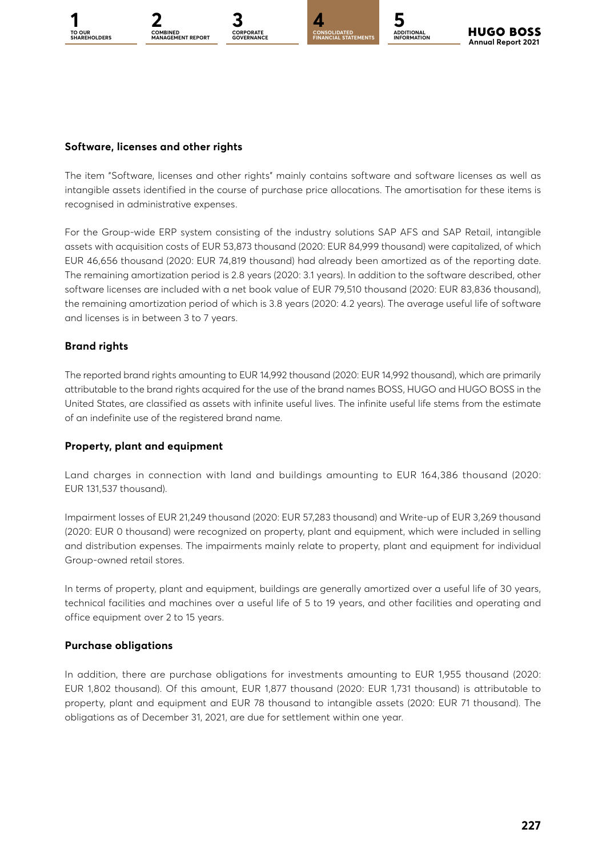C<mark>ORPORATE</mark><br>GOVERNANCE



**ADDITIONAL INFORMATION**

#### **Software, licenses and other rights**

The item "Software, licenses and other rights" mainly contains software and software licenses as well as intangible assets identified in the course of purchase price allocations. The amortisation for these items is recognised in administrative expenses.

For the Group-wide ERP system consisting of the industry solutions SAP AFS and SAP Retail, intangible assets with acquisition costs of EUR 53,873 thousand (2020: EUR 84,999 thousand) were capitalized, of which EUR 46,656 thousand (2020: EUR 74,819 thousand) had already been amortized as of the reporting date. The remaining amortization period is 2.8 years (2020: 3.1 years). In addition to the software described, other software licenses are included with a net book value of EUR 79,510 thousand (2020: EUR 83,836 thousand), the remaining amortization period of which is 3.8 years (2020: 4.2 years). The average useful life of software and licenses is in between 3 to 7 years.

#### **Brand rights**

The reported brand rights amounting to EUR 14,992 thousand (2020: EUR 14,992 thousand), which are primarily attributable to the brand rights acquired for the use of the brand names BOSS, HUGO and HUGO BOSS in the United States, are classified as assets with infinite useful lives. The infinite useful life stems from the estimate of an indefinite use of the registered brand name.

#### **Property, plant and equipment**

Land charges in connection with land and buildings amounting to EUR 164,386 thousand (2020: EUR 131,537 thousand).

Impairment losses of EUR 21,249 thousand (2020: EUR 57,283 thousand) and Write-up of EUR 3,269 thousand (2020: EUR 0 thousand) were recognized on property, plant and equipment, which were included in selling and distribution expenses. The impairments mainly relate to property, plant and equipment for individual Group-owned retail stores.

In terms of property, plant and equipment, buildings are generally amortized over a useful life of 30 years, technical facilities and machines over a useful life of 5 to 19 years, and other facilities and operating and office equipment over 2 to 15 years.

#### **Purchase obligations**

In addition, there are purchase obligations for investments amounting to EUR 1,955 thousand (2020: EUR 1,802 thousand). Of this amount, EUR 1,877 thousand (2020: EUR 1,731 thousand) is attributable to property, plant and equipment and EUR 78 thousand to intangible assets (2020: EUR 71 thousand). The obligations as of December 31, 2021, are due for settlement within one year.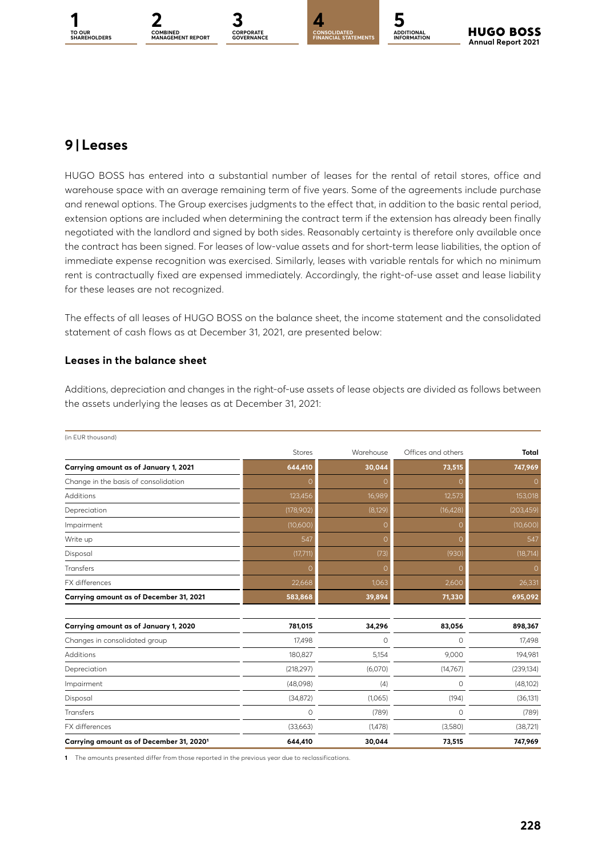

CORPORA<mark>TE</mark><br>GOVERNANCE



## **9 | Leases**

HUGO BOSS has entered into a substantial number of leases for the rental of retail stores, office and warehouse space with an average remaining term of five years. Some of the agreements include purchase and renewal options. The Group exercises judgments to the effect that, in addition to the basic rental period, extension options are included when determining the contract term if the extension has already been finally negotiated with the landlord and signed by both sides. Reasonably certainty is therefore only available once the contract has been signed. For leases of low-value assets and for short-term lease liabilities, the option of immediate expense recognition was exercised. Similarly, leases with variable rentals for which no minimum rent is contractually fixed are expensed immediately. Accordingly, the right-of-use asset and lease liability for these leases are not recognized.

The effects of all leases of HUGO BOSS on the balance sheet, the income statement and the consolidated statement of cash flows as at December 31, 2021, are presented below:

#### **Leases in the balance sheet**

Additions, depreciation and changes in the right-of-use assets of lease objects are divided as follows between the assets underlying the leases as at December 31, 2021:

| (in EUR thousand)                                    |            |           |                    |              |
|------------------------------------------------------|------------|-----------|--------------------|--------------|
|                                                      | Stores     | Warehouse | Offices and others | <b>Total</b> |
| Carrying amount as of January 1, 2021                | 644,410    | 30,044    | 73,515             | 747,969      |
| Change in the basis of consolidation                 | Ω          | $\Omega$  | ∩                  | 0            |
| <b>Additions</b>                                     | 123,456    | 16,989    | 12,573             | 153,018      |
| Depreciation                                         | (178,902)  | (8, 129)  | (16, 428)          | (203, 459)   |
| Impairment                                           | (10,600)   | $\Omega$  | 0                  | (10,600)     |
| Write up                                             | 547        | $\Omega$  | O                  | 547          |
| Disposal                                             | (17, 711)  | (73)      | (930)              | (18, 714)    |
| <b>Transfers</b>                                     | Ω          | 0         | ∩                  | $\Omega$     |
| FX differences                                       | 22,668     | 1,063     | 2,600              | 26,331       |
| Carrying amount as of December 31, 2021              | 583,868    | 39,894    | 71,330             | 695,092      |
| Carrying amount as of January 1, 2020                | 781,015    | 34,296    | 83,056             | 898,367      |
| Changes in consolidated group                        | 17,498     | 0         | $\circ$            | 17,498       |
| Additions                                            | 180,827    | 5,154     | 9,000              | 194,981      |
| Depreciation                                         | (218, 297) | (6,070)   | (14, 767)          | (239, 134)   |
| Impairment                                           | (48,098)   | (4)       | 0                  | (48,102)     |
| Disposal                                             | (34, 872)  | (1,065)   | (194)              | (36, 131)    |
| <b>Transfers</b>                                     | 0          | (789)     | $\circ$            | (789)        |
| FX differences                                       | (33,663)   | (1,478)   | (3,580)            | (38, 721)    |
| Carrying amount as of December 31, 2020 <sup>1</sup> | 644,410    | 30,044    | 73,515             | 747,969      |

**1** The amounts presented differ from those reported in the previous year due to reclassifications.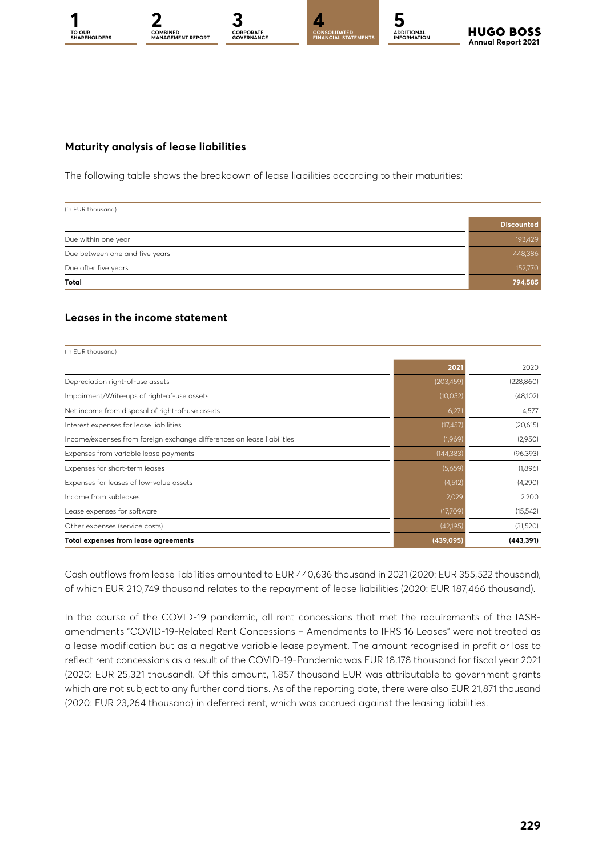

**CORPORATE**<br>GOVERNANCE



**ADDITIONAL INFORMATION**

#### **Maturity analysis of lease liabilities**

The following table shows the breakdown of lease liabilities according to their maturities:

| (in EUR thousand)              |                   |
|--------------------------------|-------------------|
|                                | <b>Discounted</b> |
| Due within one year            | 193,429           |
| Due between one and five years | 448,386           |
| Due after five years           | 152,770           |
| Total                          | 794,585           |

#### **Leases in the income statement**

| (in EUR thousand)                                                      |            |            |
|------------------------------------------------------------------------|------------|------------|
|                                                                        | 2021       | 2020       |
| Depreciation right-of-use assets                                       | (203, 459) | (228, 860) |
| Impairment/Write-ups of right-of-use assets                            | (10, 052)  | (48,102)   |
| Net income from disposal of right-of-use assets                        | 6,27'      | 4,577      |
| Interest expenses for lease liabilities                                | (17, 457)  | (20,615)   |
| Income/expenses from foreign exchange differences on lease liabilities | (1,969)    | (2,950)    |
| Expenses from variable lease payments                                  | (144, 383) | (96, 393)  |
| Expenses for short-term leases                                         | (5,659)    | (1,896)    |
| Expenses for leases of low-value assets                                | (4, 512)   | (4,290)    |
| Income from subleases                                                  | 2,029      | 2,200      |
| Lease expenses for software                                            | (17,709)   | (15, 542)  |
| Other expenses (service costs)                                         | (42, 195)  | (31,520)   |
| Total expenses from lease agreements                                   | (439, 095) | (443, 391) |

Cash outflows from lease liabilities amounted to EUR 440,636 thousand in 2021 (2020: EUR 355,522 thousand), of which EUR 210,749 thousand relates to the repayment of lease liabilities (2020: EUR 187,466 thousand).

In the course of the COVID-19 pandemic, all rent concessions that met the requirements of the IASBamendments "COVID-19-Related Rent Concessions – Amendments to IFRS 16 Leases" were not treated as a lease modification but as a negative variable lease payment. The amount recognised in profit or loss to reflect rent concessions as a result of the COVID-19-Pandemic was EUR 18,178 thousand for fiscal year 2021 (2020: EUR 25,321 thousand). Of this amount, 1,857 thousand EUR was attributable to government grants which are not subject to any further conditions. As of the reporting date, there were also EUR 21,871 thousand (2020: EUR 23,264 thousand) in deferred rent, which was accrued against the leasing liabilities.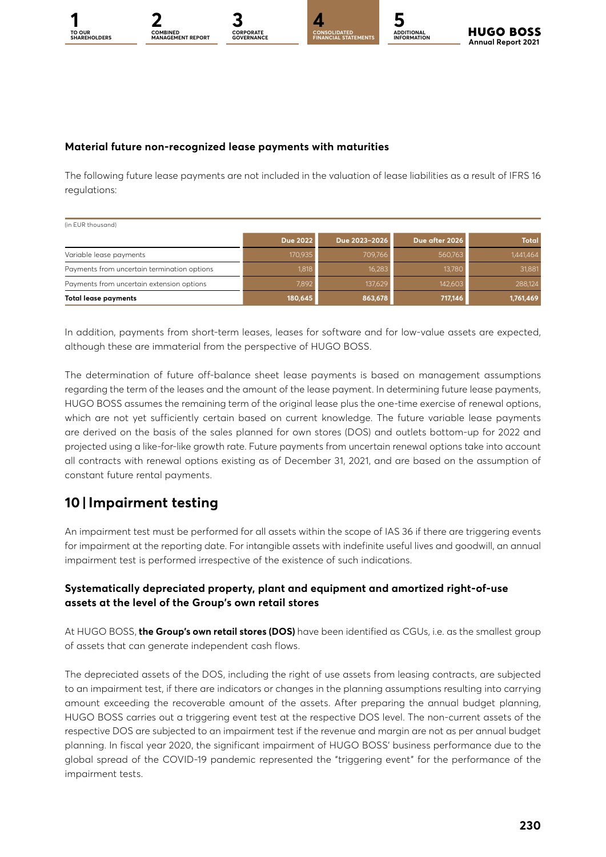**CORPORATE** 



**ADDITIONAL INFORMATION**

#### **Material future non-recognized lease payments with maturities**

The following future lease payments are not included in the valuation of lease liabilities as a result of IFRS 16 regulations:

| (in EUR thousand)                           |                 |               |                |              |
|---------------------------------------------|-----------------|---------------|----------------|--------------|
|                                             | <b>Due 2022</b> | Due 2023-2026 | Due after 2026 | <b>Total</b> |
| Variable lease payments                     | 170,935         | 709,766       | 560,763        | 1,441,464    |
| Payments from uncertain termination options | 1,818           | 16,283        | 13,780         | 31,881       |
| Payments from uncertain extension options   | 7,892           | 137,629       | 142,603        | 288,124      |
| <b>Total lease payments</b>                 | 180,645         | 863,678       | 717,146        | 1,761,469    |

In addition, payments from short-term leases, leases for software and for low-value assets are expected, although these are immaterial from the perspective of HUGO BOSS.

The determination of future off-balance sheet lease payments is based on management assumptions regarding the term of the leases and the amount of the lease payment. In determining future lease payments, HUGO BOSS assumes the remaining term of the original lease plus the one-time exercise of renewal options, which are not yet sufficiently certain based on current knowledge. The future variable lease payments are derived on the basis of the sales planned for own stores (DOS) and outlets bottom-up for 2022 and projected using a like-for-like growth rate. Future payments from uncertain renewal options take into account all contracts with renewal options existing as of December 31, 2021, and are based on the assumption of constant future rental payments.

## **10|Impairment testing**

An impairment test must be performed for all assets within the scope of IAS 36 if there are triggering events for impairment at the reporting date. For intangible assets with indefinite useful lives and goodwill, an annual impairment test is performed irrespective of the existence of such indications.

#### **Systematically depreciated property, plant and equipment and amortized right-of-use assets at the level of the Group's own retail stores**

At HUGO BOSS, **the Group's own retail stores (DOS)** have been identified as CGUs, i.e. as the smallest group of assets that can generate independent cash flows.

The depreciated assets of the DOS, including the right of use assets from leasing contracts, are subjected to an impairment test, if there are indicators or changes in the planning assumptions resulting into carrying amount exceeding the recoverable amount of the assets. After preparing the annual budget planning, HUGO BOSS carries out a triggering event test at the respective DOS level. The non-current assets of the respective DOS are subjected to an impairment test if the revenue and margin are not as per annual budget planning. In fiscal year 2020, the significant impairment of HUGO BOSS' business performance due to the global spread of the COVID-19 pandemic represented the "triggering event" for the performance of the impairment tests.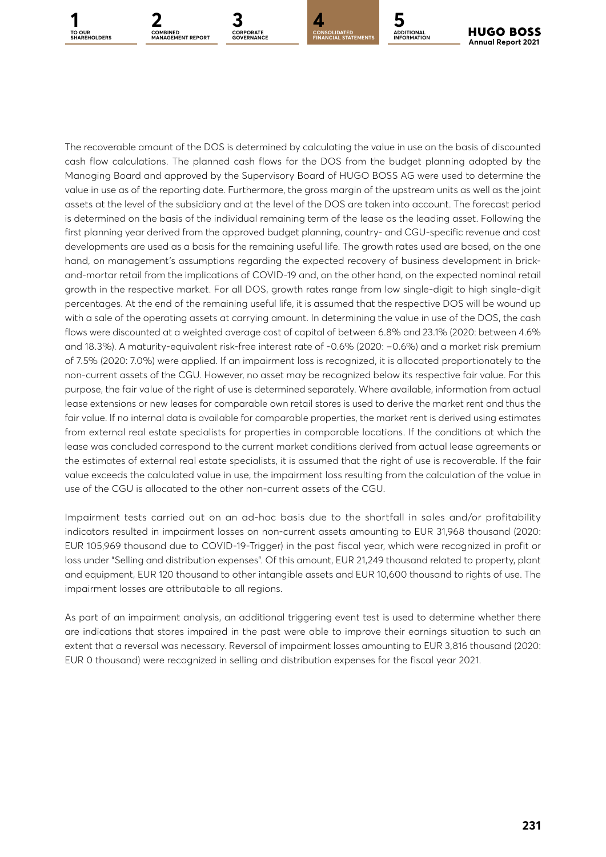

CORPORA<mark>TE</mark><br>GOVERNANCE



**ADDITIONAL INFORMATION**

The recoverable amount of the DOS is determined by calculating the value in use on the basis of discounted cash flow calculations. The planned cash flows for the DOS from the budget planning adopted by the Managing Board and approved by the Supervisory Board of HUGO BOSS AG were used to determine the value in use as of the reporting date. Furthermore, the gross margin of the upstream units as well as the joint assets at the level of the subsidiary and at the level of the DOS are taken into account. The forecast period is determined on the basis of the individual remaining term of the lease as the leading asset. Following the first planning year derived from the approved budget planning, country- and CGU-specific revenue and cost developments are used as a basis for the remaining useful life. The growth rates used are based, on the one hand, on management's assumptions regarding the expected recovery of business development in brickand-mortar retail from the implications of COVID-19 and, on the other hand, on the expected nominal retail growth in the respective market. For all DOS, growth rates range from low single-digit to high single-digit percentages. At the end of the remaining useful life, it is assumed that the respective DOS will be wound up with a sale of the operating assets at carrying amount. In determining the value in use of the DOS, the cash flows were discounted at a weighted average cost of capital of between 6.8% and 23.1% (2020: between 4.6% and 18.3%). A maturity-equivalent risk-free interest rate of -0.6% (2020: –0.6%) and a market risk premium of 7.5% (2020: 7.0%) were applied. If an impairment loss is recognized, it is allocated proportionately to the non-current assets of the CGU. However, no asset may be recognized below its respective fair value. For this purpose, the fair value of the right of use is determined separately. Where available, information from actual lease extensions or new leases for comparable own retail stores is used to derive the market rent and thus the fair value. If no internal data is available for comparable properties, the market rent is derived using estimates from external real estate specialists for properties in comparable locations. If the conditions at which the lease was concluded correspond to the current market conditions derived from actual lease agreements or the estimates of external real estate specialists, it is assumed that the right of use is recoverable. If the fair value exceeds the calculated value in use, the impairment loss resulting from the calculation of the value in use of the CGU is allocated to the other non-current assets of the CGU.

Impairment tests carried out on an ad-hoc basis due to the shortfall in sales and/or profitability indicators resulted in impairment losses on non-current assets amounting to EUR 31,968 thousand (2020: EUR 105,969 thousand due to COVID-19-Trigger) in the past fiscal year, which were recognized in profit or loss under "Selling and distribution expenses". Of this amount, EUR 21,249 thousand related to property, plant and equipment, EUR 120 thousand to other intangible assets and EUR 10,600 thousand to rights of use. The impairment losses are attributable to all regions.

As part of an impairment analysis, an additional triggering event test is used to determine whether there are indications that stores impaired in the past were able to improve their earnings situation to such an extent that a reversal was necessary. Reversal of impairment losses amounting to EUR 3,816 thousand (2020: EUR 0 thousand) were recognized in selling and distribution expenses for the fiscal year 2021.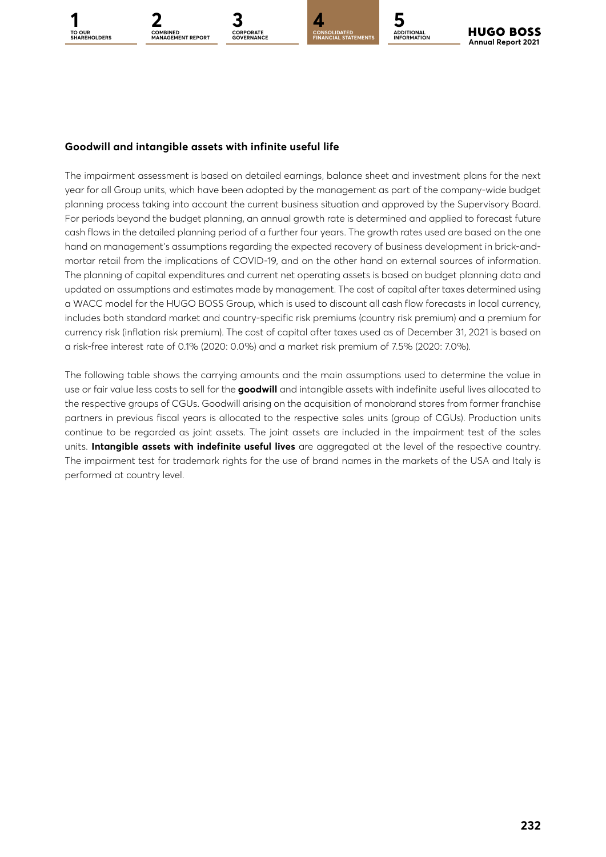CORPORA<mark>TE</mark><br>GOVERNANCE





### **Goodwill and intangible assets with infinite useful life**

The impairment assessment is based on detailed earnings, balance sheet and investment plans for the next year for all Group units, which have been adopted by the management as part of the company-wide budget planning process taking into account the current business situation and approved by the Supervisory Board. For periods beyond the budget planning, an annual growth rate is determined and applied to forecast future cash flows in the detailed planning period of a further four years. The growth rates used are based on the one hand on management's assumptions regarding the expected recovery of business development in brick-andmortar retail from the implications of COVID-19, and on the other hand on external sources of information. The planning of capital expenditures and current net operating assets is based on budget planning data and updated on assumptions and estimates made by management. The cost of capital after taxes determined using a WACC model for the HUGO BOSS Group, which is used to discount all cash flow forecasts in local currency, includes both standard market and country-specific risk premiums (country risk premium) and a premium for currency risk (inflation risk premium). The cost of capital after taxes used as of December 31, 2021 is based on a risk-free interest rate of 0.1% (2020: 0.0%) and a market risk premium of 7.5% (2020: 7.0%).

The following table shows the carrying amounts and the main assumptions used to determine the value in use or fair value less costs to sell for the **goodwill** and intangible assets with indefinite useful lives allocated to the respective groups of CGUs. Goodwill arising on the acquisition of monobrand stores from former franchise partners in previous fiscal years is allocated to the respective sales units (group of CGUs). Production units continue to be regarded as joint assets. The joint assets are included in the impairment test of the sales units. **Intangible assets with indefinite useful lives** are aggregated at the level of the respective country. The impairment test for trademark rights for the use of brand names in the markets of the USA and Italy is performed at country level.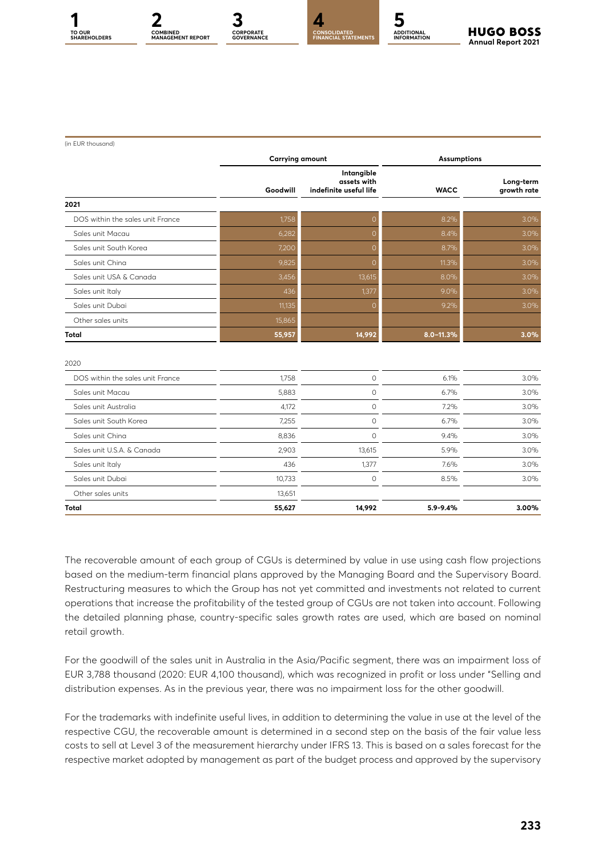





(in EUR thousand)

|                                  | <b>Carrying amount</b> |                                                     |             | <b>Assumptions</b>       |  |
|----------------------------------|------------------------|-----------------------------------------------------|-------------|--------------------------|--|
|                                  | Goodwill               | Intangible<br>assets with<br>indefinite useful life | <b>WACC</b> | Long-term<br>growth rate |  |
| 2021                             |                        |                                                     |             |                          |  |
| DOS within the sales unit France | 1,758                  | 0                                                   | 8.2%        | 3.0%                     |  |
| Sales unit Macau                 | 6,282                  | $\Omega$                                            | 8.4%        | 3.0%                     |  |
| Sales unit South Korea           | 7,200                  | $\Omega$                                            | 8.7%        | 3.0%                     |  |
| Sales unit China                 | 9,825                  | $\Omega$                                            | 11.3%       | 3.0%                     |  |
| Sales unit USA & Canada          | 3,456                  | 13,615                                              | 8.0%        | 3.0%                     |  |
| Sales unit Italy                 | 436                    | 1,377                                               | 9.0%        | 3.0%                     |  |
| Sales unit Dubai                 | 11,135                 | $\Omega$                                            | 9.2%        | 3.0%                     |  |
| Other sales units                | 15,865                 |                                                     |             |                          |  |
| <b>Total</b>                     | 55,957                 | 14,992                                              | 8.0-11.3%   | 3.0%                     |  |
| 2020                             |                        |                                                     |             |                          |  |
| DOS within the sales unit France | 1.758                  | $\circ$                                             | 6.1%        | 3.0%                     |  |
| Sales unit Macau                 | 5,883                  | $\circ$                                             | 6.7%        | 3.0%                     |  |
| Sales unit Australia             | 4,172                  | $\circ$                                             | 7.2%        | 3.0%                     |  |
|                                  |                        |                                                     |             |                          |  |
| Sales unit South Korea           | 7,255                  | $\circ$                                             | 6.7%        | 3.0%                     |  |
| Sales unit China                 | 8,836                  | $\circ$                                             | 9.4%        | 3.0%                     |  |
| Sales unit U.S.A. & Canada       | 2,903                  | 13,615                                              | 5.9%        | 3.0%                     |  |
| Sales unit Italy                 | 436                    | 1,377                                               | 7.6%        | 3.0%                     |  |
| Sales unit Dubai                 | 10,733                 | $\circ$                                             | 8.5%        | 3.0%                     |  |
| Other sales units                | 13,651                 |                                                     |             |                          |  |
| Total                            | 55,627                 | 14,992                                              | 5.9-9.4%    | 3.00%                    |  |

The recoverable amount of each group of CGUs is determined by value in use using cash flow projections based on the medium-term financial plans approved by the Managing Board and the Supervisory Board. Restructuring measures to which the Group has not yet committed and investments not related to current operations that increase the profitability of the tested group of CGUs are not taken into account. Following the detailed planning phase, country-specific sales growth rates are used, which are based on nominal retail growth.

For the goodwill of the sales unit in Australia in the Asia/Pacific segment, there was an impairment loss of EUR 3,788 thousand (2020: EUR 4,100 thousand), which was recognized in profit or loss under "Selling and distribution expenses. As in the previous year, there was no impairment loss for the other goodwill.

For the trademarks with indefinite useful lives, in addition to determining the value in use at the level of the respective CGU, the recoverable amount is determined in a second step on the basis of the fair value less costs to sell at Level 3 of the measurement hierarchy under IFRS 13. This is based on a sales forecast for the respective market adopted by management as part of the budget process and approved by the supervisory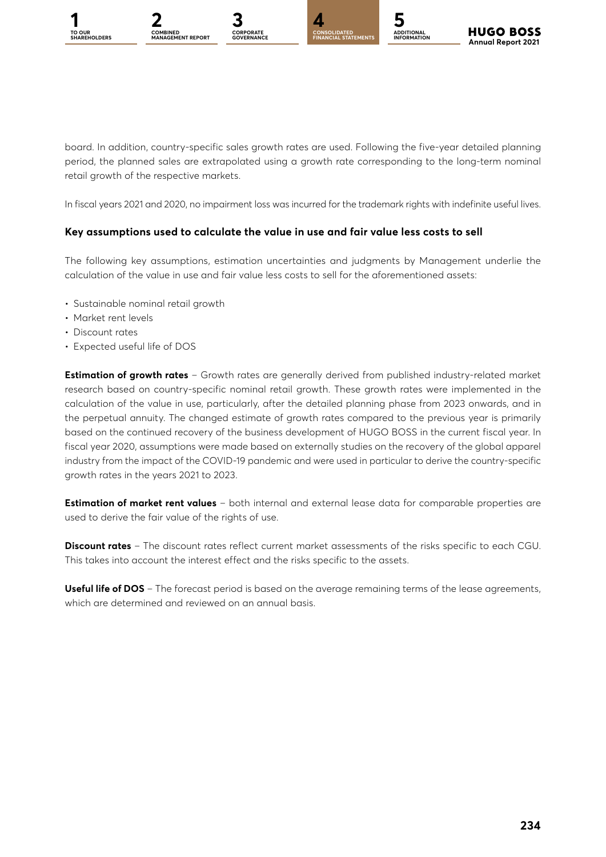

board. In addition, country-specific sales growth rates are used. Following the five-year detailed planning period, the planned sales are extrapolated using a growth rate corresponding to the long-term nominal retail growth of the respective markets.

In fiscal years 2021 and 2020, no impairment loss was incurred for the trademark rights with indefinite useful lives.

### **Key assumptions used to calculate the value in use and fair value less costs to sell**

The following key assumptions, estimation uncertainties and judgments by Management underlie the calculation of the value in use and fair value less costs to sell for the aforementioned assets:

- Sustainable nominal retail growth
- Market rent levels
- Discount rates
- Expected useful life of DOS

**Estimation of growth rates** – Growth rates are generally derived from published industry-related market research based on country-specific nominal retail growth. These growth rates were implemented in the calculation of the value in use, particularly, after the detailed planning phase from 2023 onwards, and in the perpetual annuity. The changed estimate of growth rates compared to the previous year is primarily based on the continued recovery of the business development of HUGO BOSS in the current fiscal year. In fiscal year 2020, assumptions were made based on externally studies on the recovery of the global apparel industry from the impact of the COVID-19 pandemic and were used in particular to derive the country-specific growth rates in the years 2021 to 2023.

**Estimation of market rent values** – both internal and external lease data for comparable properties are used to derive the fair value of the rights of use.

**Discount rates** – The discount rates reflect current market assessments of the risks specific to each CGU. This takes into account the interest effect and the risks specific to the assets.

**Useful life of DOS** – The forecast period is based on the average remaining terms of the lease agreements, which are determined and reviewed on an annual basis.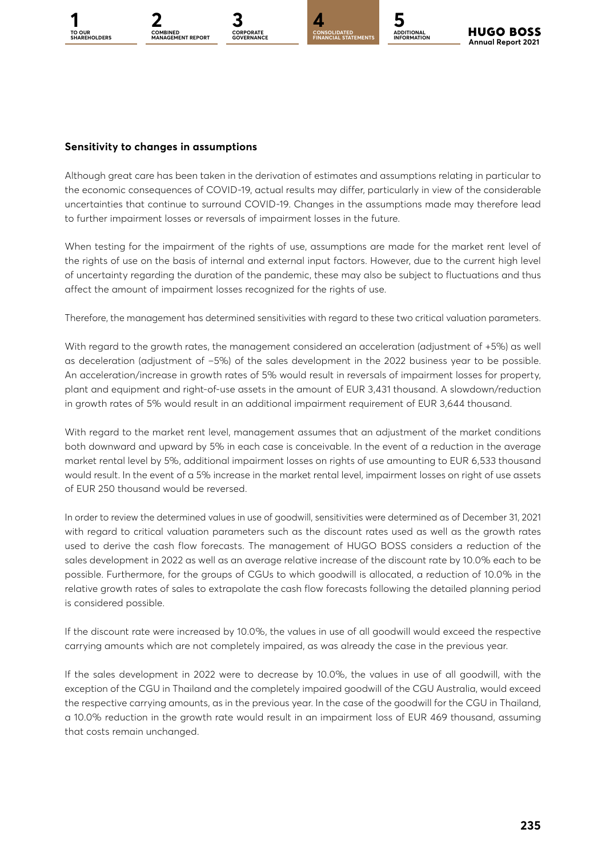

### **Sensitivity to changes in assumptions**

Although great care has been taken in the derivation of estimates and assumptions relating in particular to the economic consequences of COVID-19, actual results may differ, particularly in view of the considerable uncertainties that continue to surround COVID-19. Changes in the assumptions made may therefore lead to further impairment losses or reversals of impairment losses in the future.

When testing for the impairment of the rights of use, assumptions are made for the market rent level of the rights of use on the basis of internal and external input factors. However, due to the current high level of uncertainty regarding the duration of the pandemic, these may also be subject to fluctuations and thus affect the amount of impairment losses recognized for the rights of use.

Therefore, the management has determined sensitivities with regard to these two critical valuation parameters.

With regard to the growth rates, the management considered an acceleration (adjustment of +5%) as well as deceleration (adjustment of –5%) of the sales development in the 2022 business year to be possible. An acceleration/increase in growth rates of 5% would result in reversals of impairment losses for property, plant and equipment and right-of-use assets in the amount of EUR 3,431 thousand. A slowdown/reduction in growth rates of 5% would result in an additional impairment requirement of EUR 3,644 thousand.

With regard to the market rent level, management assumes that an adjustment of the market conditions both downward and upward by 5% in each case is conceivable. In the event of a reduction in the average market rental level by 5%, additional impairment losses on rights of use amounting to EUR 6,533 thousand would result. In the event of a 5% increase in the market rental level, impairment losses on right of use assets of EUR 250 thousand would be reversed.

In order to review the determined values in use of goodwill, sensitivities were determined as of December 31, 2021 with regard to critical valuation parameters such as the discount rates used as well as the growth rates used to derive the cash flow forecasts. The management of HUGO BOSS considers a reduction of the sales development in 2022 as well as an average relative increase of the discount rate by 10.0% each to be possible. Furthermore, for the groups of CGUs to which goodwill is allocated, a reduction of 10.0% in the relative growth rates of sales to extrapolate the cash flow forecasts following the detailed planning period is considered possible.

If the discount rate were increased by 10.0%, the values in use of all goodwill would exceed the respective carrying amounts which are not completely impaired, as was already the case in the previous year.

If the sales development in 2022 were to decrease by 10.0%, the values in use of all goodwill, with the exception of the CGU in Thailand and the completely impaired goodwill of the CGU Australia, would exceed the respective carrying amounts, as in the previous year. In the case of the goodwill for the CGU in Thailand, a 10.0% reduction in the growth rate would result in an impairment loss of EUR 469 thousand, assuming that costs remain unchanged.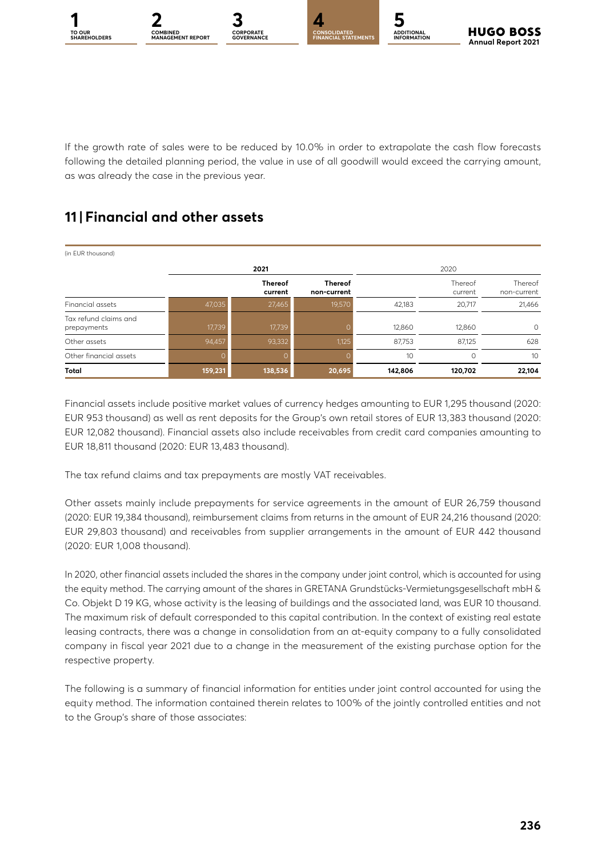



If the growth rate of sales were to be reduced by 10.0% in order to extrapolate the cash flow forecasts following the detailed planning period, the value in use of all goodwill would exceed the carrying amount, as was already the case in the previous year.

| (in EUR thousand)                    |         |                           |                               |         |                    |                        |
|--------------------------------------|---------|---------------------------|-------------------------------|---------|--------------------|------------------------|
|                                      |         | 2021                      |                               |         | 2020               |                        |
|                                      |         | <b>Thereof</b><br>current | <b>Thereof</b><br>non-current |         | Thereof<br>current | Thereof<br>non-current |
| Financial assets                     | 47,035  | 27,465                    | 19,570                        | 42,183  | 20,717             | 21,466                 |
| Tax refund claims and<br>prepayments | 17,739  | 17,739                    |                               | 12,860  | 12,860             | $\circ$                |
| Other assets                         | 94,457  | 93,332                    | 1,125                         | 87,753  | 87.125             | 628                    |
| Other financial assets               |         |                           |                               | 10      | $\Omega$           | 10                     |
| <b>Total</b>                         | 159,231 | 138,536                   | 20,695                        | 142,806 | 120,702            | 22,104                 |

# **11 |Financial and other assets**

Financial assets include positive market values of currency hedges amounting to EUR 1,295 thousand (2020: EUR 953 thousand) as well as rent deposits for the Group's own retail stores of EUR 13,383 thousand (2020: EUR 12,082 thousand). Financial assets also include receivables from credit card companies amounting to EUR 18,811 thousand (2020: EUR 13,483 thousand).

The tax refund claims and tax prepayments are mostly VAT receivables.

Other assets mainly include prepayments for service agreements in the amount of EUR 26,759 thousand (2020: EUR 19,384 thousand), reimbursement claims from returns in the amount of EUR 24,216 thousand (2020: EUR 29,803 thousand) and receivables from supplier arrangements in the amount of EUR 442 thousand (2020: EUR 1,008 thousand).

In 2020, other financial assets included the shares in the company under joint control, which is accounted for using the equity method. The carrying amount of the shares in GRETANA Grundstücks-Vermietungsgesellschaft mbH & Co. Objekt D 19 KG, whose activity is the leasing of buildings and the associated land, was EUR 10 thousand. The maximum risk of default corresponded to this capital contribution. In the context of existing real estate leasing contracts, there was a change in consolidation from an at-equity company to a fully consolidated company in fiscal year 2021 due to a change in the measurement of the existing purchase option for the respective property.

The following is a summary of financial information for entities under joint control accounted for using the equity method. The information contained therein relates to 100% of the jointly controlled entities and not to the Group's share of those associates: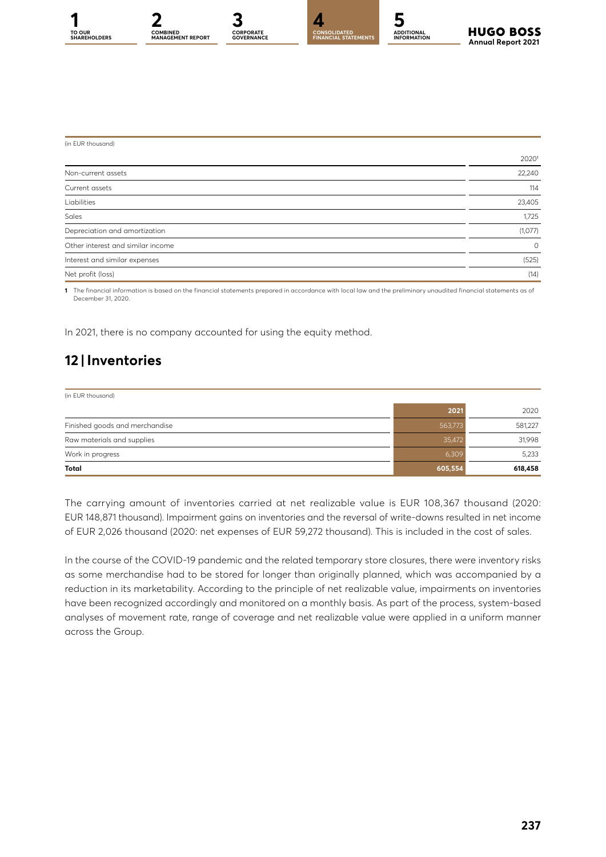



(in EUR thousand) 20201 Non-current assets 22,240 Current assets 114 Liabilities 23,405 Sales 1,725 Depreciation and amortization (1,077) Other interest and similar income 0 Interest and similar expenses (525) Net profit (loss) (14)

**1** The financial information is based on the financial statements prepared in accordance with local law and the preliminary unaudited financial statements as of December 31, 2020.

In 2021, there is no company accounted for using the equity method.

# **12 |Inventories**

| (in EUR thousand)              |         |         |
|--------------------------------|---------|---------|
|                                | 2021    | 2020    |
| Finished goods and merchandise | 563,773 | 581,227 |
| Raw materials and supplies     | 35,472  | 31,998  |
| Work in progress               | 6,309   | 5,233   |
| <b>Total</b>                   | 605,554 | 618,458 |

The carrying amount of inventories carried at net realizable value is EUR 108,367 thousand (2020: EUR 148,871 thousand). Impairment gains on inventories and the reversal of write-downs resulted in net income of EUR 2,026 thousand (2020: net expenses of EUR 59,272 thousand). This is included in the cost of sales.

In the course of the COVID-19 pandemic and the related temporary store closures, there were inventory risks as some merchandise had to be stored for longer than originally planned, which was accompanied by a reduction in its marketability. According to the principle of net realizable value, impairments on inventories have been recognized accordingly and monitored on a monthly basis. As part of the process, system-based analyses of movement rate, range of coverage and net realizable value were applied in a uniform manner across the Group.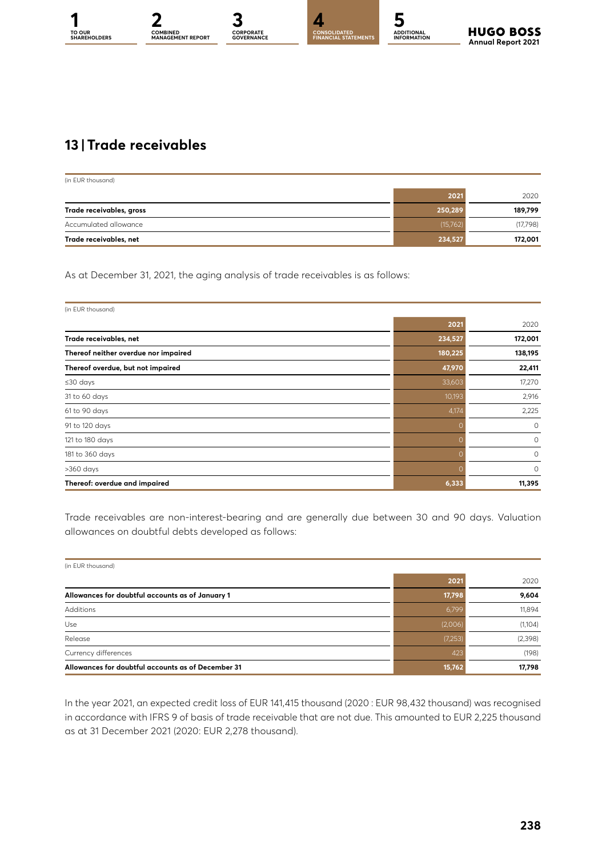



**CORPORATE**<br>GOVERNANCE

**CONSOLIDATED FINANCIAL STATEMENTS**



# **13 |Trade receivables**

| (in EUR thousand)        |          |          |
|--------------------------|----------|----------|
|                          | 2021     | 2020     |
| Trade receivables, gross | 250,289  | 189,799  |
| Accumulated allowance    | (15,762) | (17,798) |
| Trade receivables, net   | 234,527  | 172,001  |

As at December 31, 2021, the aging analysis of trade receivables is as follows:

| (in EUR thousand)                    |         |         |
|--------------------------------------|---------|---------|
|                                      | 2021    | 2020    |
| Trade receivables, net               | 234,527 | 172,001 |
| Thereof neither overdue nor impaired | 180,225 | 138,195 |
| Thereof overdue, but not impaired    | 47,970  | 22,411  |
| $≤30$ days                           | 33,603  | 17,270  |
| 31 to 60 days                        | 10,193  | 2,916   |
| 61 to 90 days                        | 4,174   | 2,225   |
| 91 to 120 days                       |         | $\circ$ |
| 121 to 180 days                      |         | $\circ$ |
| 181 to 360 days                      |         | $\circ$ |
| >360 days                            |         | $\circ$ |
| Thereof: overdue and impaired        | 6,333   | 11,395  |

Trade receivables are non-interest-bearing and are generally due between 30 and 90 days. Valuation allowances on doubtful debts developed as follows:

| (in EUR thousand)                                  |         |         |
|----------------------------------------------------|---------|---------|
|                                                    | 2021    | 2020    |
| Allowances for doubtful accounts as of January 1   | 17,798  | 9,604   |
| <b>Additions</b>                                   | 6,799   | 11,894  |
| Use                                                | (2,006) | (1,104) |
| Release                                            | (7,253) | (2,398) |
| Currency differences                               | 423     | (198)   |
| Allowances for doubtful accounts as of December 31 | 15,762  | 17,798  |

In the year 2021, an expected credit loss of EUR 141,415 thousand (2020 : EUR 98,432 thousand) was recognised in accordance with IFRS 9 of basis of trade receivable that are not due. This amounted to EUR 2,225 thousand as at 31 December 2021 (2020: EUR 2,278 thousand).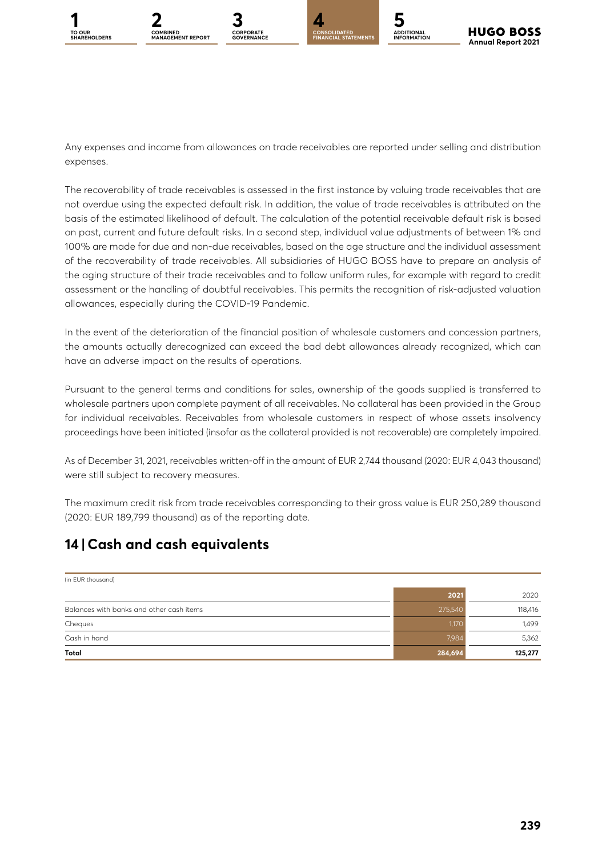Any expenses and income from allowances on trade receivables are reported under selling and distribution expenses.

The recoverability of trade receivables is assessed in the first instance by valuing trade receivables that are not overdue using the expected default risk. In addition, the value of trade receivables is attributed on the basis of the estimated likelihood of default. The calculation of the potential receivable default risk is based on past, current and future default risks. In a second step, individual value adjustments of between 1% and 100% are made for due and non-due receivables, based on the age structure and the individual assessment of the recoverability of trade receivables. All subsidiaries of HUGO BOSS have to prepare an analysis of the aging structure of their trade receivables and to follow uniform rules, for example with regard to credit assessment or the handling of doubtful receivables. This permits the recognition of risk-adjusted valuation allowances, especially during the COVID-19 Pandemic.

In the event of the deterioration of the financial position of wholesale customers and concession partners, the amounts actually derecognized can exceed the bad debt allowances already recognized, which can have an adverse impact on the results of operations.

Pursuant to the general terms and conditions for sales, ownership of the goods supplied is transferred to wholesale partners upon complete payment of all receivables. No collateral has been provided in the Group for individual receivables. Receivables from wholesale customers in respect of whose assets insolvency proceedings have been initiated (insofar as the collateral provided is not recoverable) are completely impaired.

As of December 31, 2021, receivables written-off in the amount of EUR 2,744 thousand (2020: EUR 4,043 thousand) were still subject to recovery measures.

The maximum credit risk from trade receivables corresponding to their gross value is EUR 250,289 thousand (2020: EUR 189,799 thousand) as of the reporting date.

# **14 | Cash and cash equivalents**

| (in EUR thousand)                        |         |         |
|------------------------------------------|---------|---------|
|                                          | 2021    | 2020    |
| Balances with banks and other cash items | 275,540 | 118,416 |
| Cheques                                  | 1,170   | 1,499   |
| Cash in hand                             | 7,984   | 5,362   |
| Total                                    | 284,694 | 125,277 |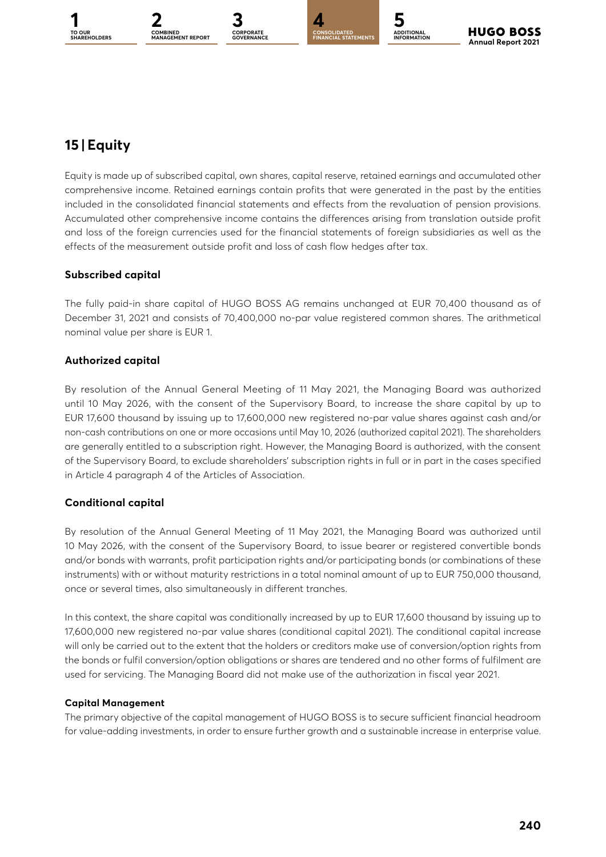

**GOVERNANCE**



**ADDITIONAL INFORMATION**

# **15 |Equity**

Equity is made up of subscribed capital, own shares, capital reserve, retained earnings and accumulated other comprehensive income. Retained earnings contain profits that were generated in the past by the entities included in the consolidated financial statements and effects from the revaluation of pension provisions. Accumulated other comprehensive income contains the differences arising from translation outside profit and loss of the foreign currencies used for the financial statements of foreign subsidiaries as well as the effects of the measurement outside profit and loss of cash flow hedges after tax.

### **Subscribed capital**

The fully paid-in share capital of HUGO BOSS AG remains unchanged at EUR 70,400 thousand as of December 31, 2021 and consists of 70,400,000 no-par value registered common shares. The arithmetical nominal value per share is EUR 1.

### **Authorized capital**

By resolution of the Annual General Meeting of 11 May 2021, the Managing Board was authorized until 10 May 2026, with the consent of the Supervisory Board, to increase the share capital by up to EUR 17,600 thousand by issuing up to 17,600,000 new registered no-par value shares against cash and/or non-cash contributions on one or more occasions until May 10, 2026 (authorized capital 2021). The shareholders are generally entitled to a subscription right. However, the Managing Board is authorized, with the consent of the Supervisory Board, to exclude shareholders' subscription rights in full or in part in the cases specified in Article 4 paragraph 4 of the Articles of Association.

### **Conditional capital**

By resolution of the Annual General Meeting of 11 May 2021, the Managing Board was authorized until 10 May 2026, with the consent of the Supervisory Board, to issue bearer or registered convertible bonds and/or bonds with warrants, profit participation rights and/or participating bonds (or combinations of these instruments) with or without maturity restrictions in a total nominal amount of up to EUR 750,000 thousand, once or several times, also simultaneously in different tranches.

In this context, the share capital was conditionally increased by up to EUR 17,600 thousand by issuing up to 17,600,000 new registered no-par value shares (conditional capital 2021). The conditional capital increase will only be carried out to the extent that the holders or creditors make use of conversion/option rights from the bonds or fulfil conversion/option obligations or shares are tendered and no other forms of fulfilment are used for servicing. The Managing Board did not make use of the authorization in fiscal year 2021.

### **Capital Management**

The primary objective of the capital management of HUGO BOSS is to secure sufficient financial headroom for value-adding investments, in order to ensure further growth and a sustainable increase in enterprise value.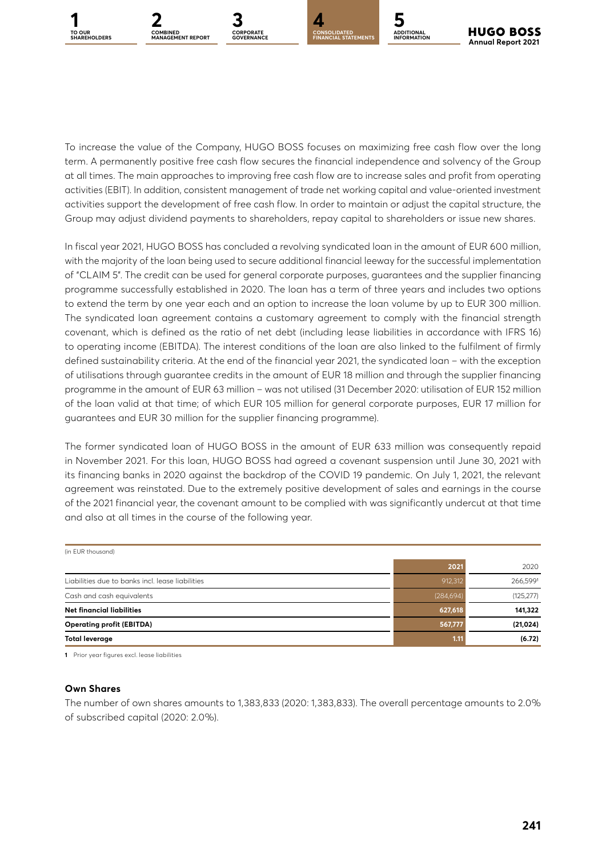

**CORPORATE**<br>GOVERNANCE



**ADDITIONAL INFORMATION**

To increase the value of the Company, HUGO BOSS focuses on maximizing free cash flow over the long term. A permanently positive free cash flow secures the financial independence and solvency of the Group at all times. The main approaches to improving free cash flow are to increase sales and profit from operating activities (EBIT). In addition, consistent management of trade net working capital and value-oriented investment activities support the development of free cash flow. In order to maintain or adjust the capital structure, the Group may adjust dividend payments to shareholders, repay capital to shareholders or issue new shares.

In fiscal year 2021, HUGO BOSS has concluded a revolving syndicated loan in the amount of EUR 600 million, with the majority of the loan being used to secure additional financial leeway for the successful implementation of "CLAIM 5". The credit can be used for general corporate purposes, guarantees and the supplier financing programme successfully established in 2020. The loan has a term of three years and includes two options to extend the term by one year each and an option to increase the loan volume by up to EUR 300 million. The syndicated loan agreement contains a customary agreement to comply with the financial strength covenant, which is defined as the ratio of net debt (including lease liabilities in accordance with IFRS 16) to operating income (EBITDA). The interest conditions of the loan are also linked to the fulfilment of firmly defined sustainability criteria. At the end of the financial year 2021, the syndicated loan – with the exception of utilisations through guarantee credits in the amount of EUR 18 million and through the supplier financing programme in the amount of EUR 63 million – was not utilised (31 December 2020: utilisation of EUR 152 million of the loan valid at that time; of which EUR 105 million for general corporate purposes, EUR 17 million for guarantees and EUR 30 million for the supplier financing programme).

The former syndicated loan of HUGO BOSS in the amount of EUR 633 million was consequently repaid in November 2021. For this loan, HUGO BOSS had agreed a covenant suspension until June 30, 2021 with its financing banks in 2020 against the backdrop of the COVID 19 pandemic. On July 1, 2021, the relevant agreement was reinstated. Due to the extremely positive development of sales and earnings in the course of the 2021 financial year, the covenant amount to be complied with was significantly undercut at that time and also at all times in the course of the following year.

| (in EUR thousand)                                |            |            |
|--------------------------------------------------|------------|------------|
|                                                  | 2021       | 2020       |
| Liabilities due to banks incl. lease liabilities | 912,312    | 266,5991   |
| Cash and cash equivalents                        | (284, 694) | (125, 277) |
| Net financial liabilities                        | 627,618    | 141,322    |
| <b>Operating profit (EBITDA)</b>                 | 567,777    | (21, 024)  |
| <b>Total leverage</b>                            | 1.11       | (6.72)     |

**1** Prior year figures excl. lease liabilities

#### **Own Shares**

The number of own shares amounts to 1,383,833 (2020: 1,383,833). The overall percentage amounts to 2.0% of subscribed capital (2020: 2.0%).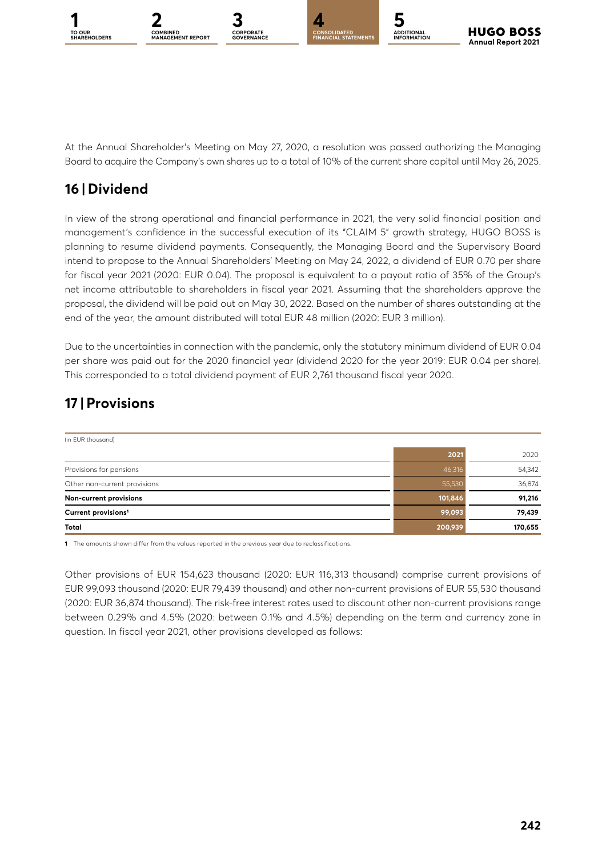**1 2 3 [4](#page-0-0) 5 CORPORATE COMBINED MANAGEMENT REPORT TO OUR** 





At the Annual Shareholder's Meeting on May 27, 2020, a resolution was passed authorizing the Managing Board to acquire the Company's own shares up to a total of 10% of the current share capital until May 26, 2025.

# **16|Dividend**

In view of the strong operational and financial performance in 2021, the very solid financial position and management's confidence in the successful execution of its "CLAIM 5" growth strategy, HUGO BOSS is planning to resume dividend payments. Consequently, the Managing Board and the Supervisory Board intend to propose to the Annual Shareholders' Meeting on May 24, 2022, a dividend of EUR 0.70 per share for fiscal year 2021 (2020: EUR 0.04). The proposal is equivalent to a payout ratio of 35% of the Group's net income attributable to shareholders in fiscal year 2021. Assuming that the shareholders approve the proposal, the dividend will be paid out on May 30, 2022. Based on the number of shares outstanding at the end of the year, the amount distributed will total EUR 48 million (2020: EUR 3 million).

Due to the uncertainties in connection with the pandemic, only the statutory minimum dividend of EUR 0.04 per share was paid out for the 2020 financial year (dividend 2020 for the year 2019: EUR 0.04 per share). This corresponded to a total dividend payment of EUR 2,761 thousand fiscal year 2020.

# **17 |Provisions**

| (in EUR thousand)               |         |         |
|---------------------------------|---------|---------|
|                                 | 2021    | 2020    |
| Provisions for pensions         | 46,316  | 54,342  |
| Other non-current provisions    | 55,530  | 36,874  |
| Non-current provisions          | 101,846 | 91,216  |
| Current provisions <sup>1</sup> | 99,093  | 79,439  |
| <b>Total</b>                    | 200,939 | 170,655 |

**1** The amounts shown differ from the values reported in the previous year due to reclassifications.

Other provisions of EUR 154,623 thousand (2020: EUR 116,313 thousand) comprise current provisions of EUR 99,093 thousand (2020: EUR 79,439 thousand) and other non-current provisions of EUR 55,530 thousand (2020: EUR 36,874 thousand). The risk-free interest rates used to discount other non-current provisions range between 0.29% and 4.5% (2020: between 0.1% and 4.5%) depending on the term and currency zone in question. In fiscal year 2021, other provisions developed as follows: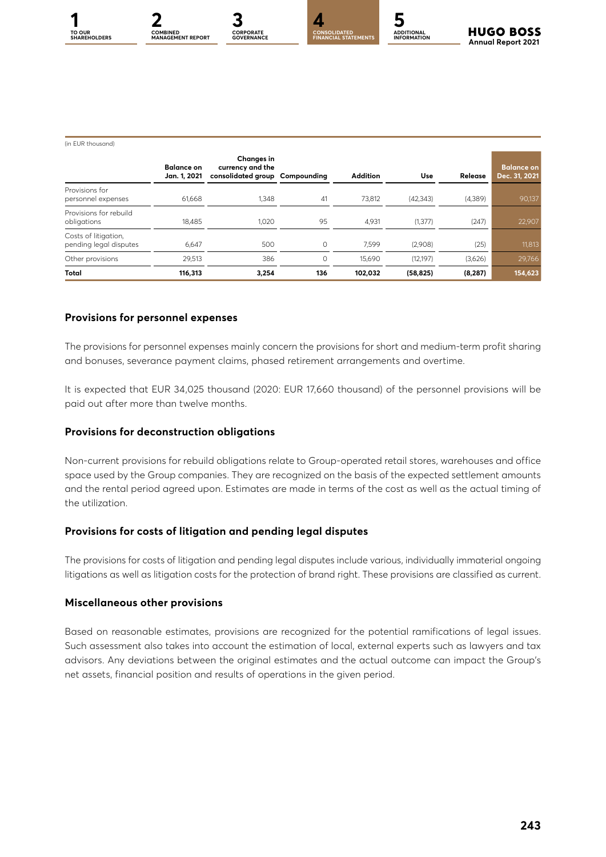

(in EUR thousand)

| (in EUR thousand)                              |                                   |                                                                         |          |                 |           |          |                                    |
|------------------------------------------------|-----------------------------------|-------------------------------------------------------------------------|----------|-----------------|-----------|----------|------------------------------------|
|                                                | <b>Balance on</b><br>Jan. 1, 2021 | <b>Changes in</b><br>currency and the<br>consolidated group Compounding |          | <b>Addition</b> | Use       | Release  | <b>Balance on</b><br>Dec. 31, 2021 |
| Provisions for<br>personnel expenses           | 61,668                            | 1,348                                                                   | 41       | 73,812          | (42, 343) | (4, 389) | 90,137                             |
| Provisions for rebuild<br>obligations          | 18.485                            | 1,020                                                                   | 95       | 4,931           | (1, 377)  | (247)    | 22,907                             |
| Costs of litigation,<br>pending legal disputes | 6,647                             | 500                                                                     | $\Omega$ | 7,599           | (2,908)   | (25)     | 11,813                             |
| Other provisions                               | 29.513                            | 386                                                                     | $\Omega$ | 15.690          | (12, 197) | (3,626)  | 29,766                             |
| <b>Total</b>                                   | 116,313                           | 3,254                                                                   | 136      | 102,032         | (58, 825) | (8, 287) | 154,623                            |

### **Provisions for personnel expenses**

The provisions for personnel expenses mainly concern the provisions for short and medium-term profit sharing and bonuses, severance payment claims, phased retirement arrangements and overtime.

It is expected that EUR 34,025 thousand (2020: EUR 17,660 thousand) of the personnel provisions will be paid out after more than twelve months.

### **Provisions for deconstruction obligations**

Non-current provisions for rebuild obligations relate to Group-operated retail stores, warehouses and office space used by the Group companies. They are recognized on the basis of the expected settlement amounts and the rental period agreed upon. Estimates are made in terms of the cost as well as the actual timing of the utilization.

### **Provisions for costs of litigation and pending legal disputes**

The provisions for costs of litigation and pending legal disputes include various, individually immaterial ongoing litigations as well as litigation costs for the protection of brand right. These provisions are classified as current.

### **Miscellaneous other provisions**

Based on reasonable estimates, provisions are recognized for the potential ramifications of legal issues. Such assessment also takes into account the estimation of local, external experts such as lawyers and tax advisors. Any deviations between the original estimates and the actual outcome can impact the Group's net assets, financial position and results of operations in the given period.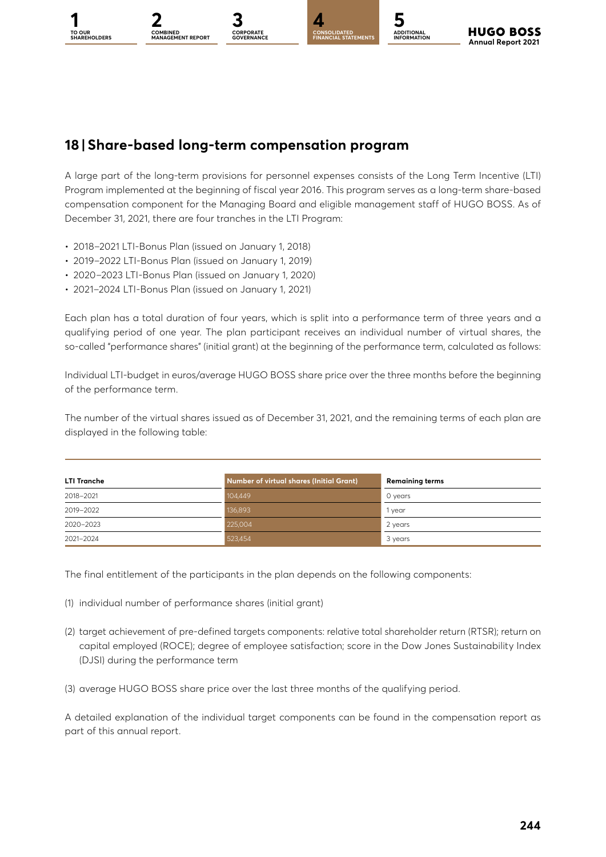**CORPORATE**<br>GOVERNANCE



**ADDITIONAL INFORMATION**

# **18 |Share-based long-term compensation program**

A large part of the long-term provisions for personnel expenses consists of the Long Term Incentive (LTI) Program implemented at the beginning of fiscal year 2016. This program serves as a long-term share-based compensation component for the Managing Board and eligible management staff of HUGO BOSS. As of December 31, 2021, there are four tranches in the LTI Program:

- 2018–2021 LTI-Bonus Plan (issued on January 1, 2018)
- 2019–2022 LTI-Bonus Plan (issued on January 1, 2019)
- 2020–2023 LTI-Bonus Plan (issued on January 1, 2020)
- 2021–2024 LTI-Bonus Plan (issued on January 1, 2021)

Each plan has a total duration of four years, which is split into a performance term of three years and a qualifying period of one year. The plan participant receives an individual number of virtual shares, the so-called "performance shares" (initial grant) at the beginning of the performance term, calculated as follows:

Individual LTI-budget in euros/average HUGO BOSS share price over the three months before the beginning of the performance term.

The number of the virtual shares issued as of December 31, 2021, and the remaining terms of each plan are displayed in the following table:

| <b>LTI Tranche</b> | Number of virtual shares (Initial Grant) | <b>Remaining terms</b> |
|--------------------|------------------------------------------|------------------------|
| 2018-2021          | 104,449                                  | 0 years                |
| 2019-2022          | 136,893                                  | 1 year                 |
| 2020-2023          | 225,004                                  | 2 years                |
| 2021-2024          | 523,454                                  | 3 years                |

The final entitlement of the participants in the plan depends on the following components:

(1) individual number of performance shares (initial grant)

- (2) target achievement of pre-defined targets components: relative total shareholder return (RTSR); return on capital employed (ROCE); degree of employee satisfaction; score in the Dow Jones Sustainability Index (DJSI) during the performance term
- (3) average HUGO BOSS share price over the last three months of the qualifying period.

A detailed explanation of the individual target components can be found in the compensation report as part of this annual report.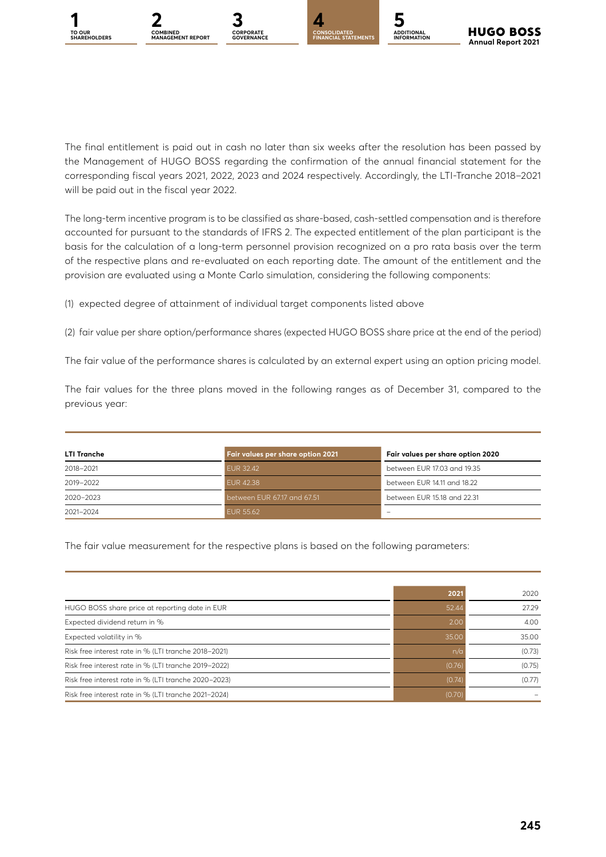



The final entitlement is paid out in cash no later than six weeks after the resolution has been passed by the Management of HUGO BOSS regarding the confirmation of the annual financial statement for the corresponding fiscal years 2021, 2022, 2023 and 2024 respectively. Accordingly, the LTI-Tranche 2018–2021 will be paid out in the fiscal year 2022.

The long-term incentive program is to be classified as share-based, cash-settled compensation and is therefore accounted for pursuant to the standards of IFRS 2. The expected entitlement of the plan participant is the basis for the calculation of a long-term personnel provision recognized on a pro rata basis over the term of the respective plans and re-evaluated on each reporting date. The amount of the entitlement and the provision are evaluated using a Monte Carlo simulation, considering the following components:

(1) expected degree of attainment of individual target components listed above

(2) fair value per share option/performance shares (expected HUGO BOSS share price at the end of the period)

The fair value of the performance shares is calculated by an external expert using an option pricing model.

The fair values for the three plans moved in the following ranges as of December 31, compared to the previous year:

| LTI Tranche | Fair values per share option 2021 | Fair values per share option 2020 |
|-------------|-----------------------------------|-----------------------------------|
| 2018-2021   | <b>EUR 32.42</b>                  | between EUR 17.03 and 19.35       |
| 2019-2022   | <b>FUR 42.38</b>                  | between FUR 14.11 and 18.22       |
| 2020-2023   | between FUR 67.17 and 67.51       | between FUR 15.18 and 22.31       |
| 2021-2024   | <b>EUR 55.62</b>                  | $\overline{\phantom{a}}$          |

The fair value measurement for the respective plans is based on the following parameters:

|                                                      | 2021   | 2020   |
|------------------------------------------------------|--------|--------|
| HUGO BOSS share price at reporting date in EUR       | 52.44  | 27.29  |
| Expected dividend return in %                        | 2.00   | 4.00   |
| Expected volatility in %                             | 35.00  | 35.00  |
| Risk free interest rate in % (LTI tranche 2018-2021) | n/a    | (0.73) |
| Risk free interest rate in % (LTI tranche 2019-2022) | (0.76) | (0.75) |
| Risk free interest rate in % (LTI tranche 2020-2023) | (0.74) | (0.77) |
| Risk free interest rate in % (LTI tranche 2021-2024) | (0.70) |        |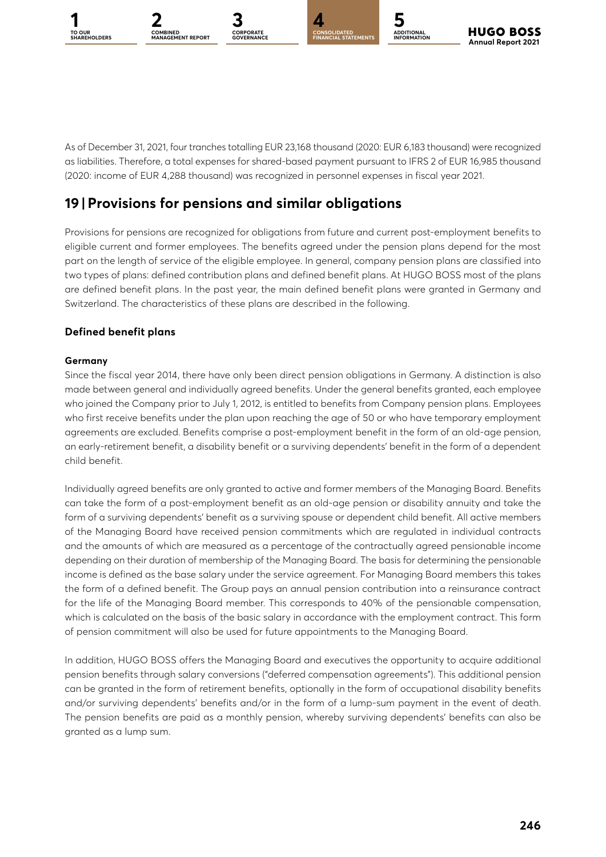



As of December 31, 2021, four tranches totalling EUR 23,168 thousand (2020: EUR 6,183 thousand) were recognized as liabilities. Therefore, a total expenses for shared-based payment pursuant to IFRS 2 of EUR 16,985 thousand (2020: income of EUR 4,288 thousand) was recognized in personnel expenses in fiscal year 2021.

# **19 |Provisions for pensions and similar obligations**

Provisions for pensions are recognized for obligations from future and current post-employment benefits to eligible current and former employees. The benefits agreed under the pension plans depend for the most part on the length of service of the eligible employee. In general, company pension plans are classified into two types of plans: defined contribution plans and defined benefit plans. At HUGO BOSS most of the plans are defined benefit plans. In the past year, the main defined benefit plans were granted in Germany and Switzerland. The characteristics of these plans are described in the following.

### **Defined benefit plans**

### **Germany**

Since the fiscal year 2014, there have only been direct pension obligations in Germany. A distinction is also made between general and individually agreed benefits. Under the general benefits granted, each employee who joined the Company prior to July 1, 2012, is entitled to benefits from Company pension plans. Employees who first receive benefits under the plan upon reaching the age of 50 or who have temporary employment agreements are excluded. Benefits comprise a post-employment benefit in the form of an old-age pension, an early-retirement benefit, a disability benefit or a surviving dependents' benefit in the form of a dependent child benefit.

Individually agreed benefits are only granted to active and former members of the Managing Board. Benefits can take the form of a post-employment benefit as an old-age pension or disability annuity and take the form of a surviving dependents' benefit as a surviving spouse or dependent child benefit. All active members of the Managing Board have received pension commitments which are regulated in individual contracts and the amounts of which are measured as a percentage of the contractually agreed pensionable income depending on their duration of membership of the Managing Board. The basis for determining the pensionable income is defined as the base salary under the service agreement. For Managing Board members this takes the form of a defined benefit. The Group pays an annual pension contribution into a reinsurance contract for the life of the Managing Board member. This corresponds to 40% of the pensionable compensation, which is calculated on the basis of the basic salary in accordance with the employment contract. This form of pension commitment will also be used for future appointments to the Managing Board.

In addition, HUGO BOSS offers the Managing Board and executives the opportunity to acquire additional pension benefits through salary conversions ("deferred compensation agreements"). This additional pension can be granted in the form of retirement benefits, optionally in the form of occupational disability benefits and/or surviving dependents' benefits and/or in the form of a lump-sum payment in the event of death. The pension benefits are paid as a monthly pension, whereby surviving dependents' benefits can also be granted as a lump sum.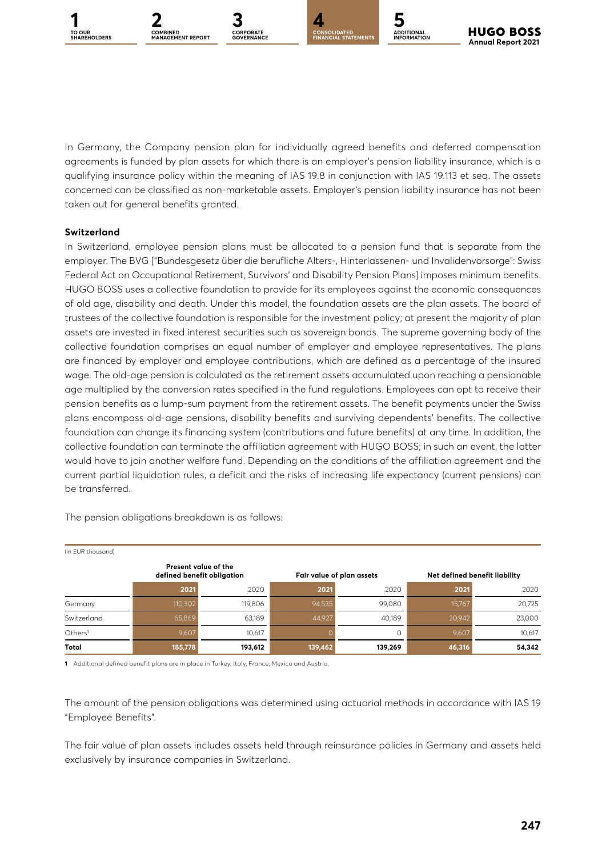CORPORATE<br>GOVERNANCE



**ADDITIONAL INFORMATION**

In Germany, the Company pension plan for individually agreed benefits and deferred compensation agreements is funded by plan assets for which there is an employer's pension liability insurance, which is a qualifying insurance policy within the meaning of IAS 19.8 in conjunction with IAS 19.113 et seq. The assets concerned can be classified as non-marketable assets. Employer's pension liability insurance has not been taken out for general benefits granted.

### **Switzerland**

In Switzerland, employee pension plans must be allocated to a pension fund that is separate from the employer. The BVG ["Bundesgesetz über die berufliche Alters-, Hinterlassenen- und Invalidenvorsorge": Swiss Federal Act on Occupational Retirement, Survivors' and Disability Pension Plans] imposes minimum benefits. HUGO BOSS uses a collective foundation to provide for its employees against the economic consequences of old age, disability and death. Under this model, the foundation assets are the plan assets. The board of trustees of the collective foundation is responsible for the investment policy; at present the majority of plan assets are invested in fixed interest securities such as sovereign bonds. The supreme governing body of the collective foundation comprises an equal number of employer and employee representatives. The plans are financed by employer and employee contributions, which are defined as a percentage of the insured wage. The old-age pension is calculated as the retirement assets accumulated upon reaching a pensionable age multiplied by the conversion rates specified in the fund regulations. Employees can opt to receive their pension benefits as a lump-sum payment from the retirement assets. The benefit payments under the Swiss plans encompass old-age pensions, disability benefits and surviving dependents' benefits. The collective foundation can change its financing system (contributions and future benefits) at any time. In addition, the collective foundation can terminate the affiliation agreement with HUGO BOSS; in such an event, the latter would have to join another welfare fund. Depending on the conditions of the affiliation agreement and the current partial liquidation rules, a deficit and the risks of increasing life expectancy (current pensions) can be transferred.

| (in EUR thousand)   |         |                                                    |         |                           |                               |        |
|---------------------|---------|----------------------------------------------------|---------|---------------------------|-------------------------------|--------|
|                     |         | Present value of the<br>defined benefit obligation |         | Fair value of plan assets | Net defined benefit liability |        |
|                     | 2021    | 2020                                               | 2021    | 2020                      | 2021                          | 2020   |
| Germany             | 110,302 | 119,806                                            | 94,535  | 99,080                    | 15,767                        | 20,725 |
| Switzerland         | 65,869  | 63,189                                             | 44,927  | 40,189                    | 20,942                        | 23,000 |
| Others <sup>1</sup> | 9,607   | 10.617                                             |         |                           | 9,607                         | 10.617 |
| <b>Total</b>        | 185,778 | 193,612                                            | 139,462 | 139,269                   | 46,316                        | 54,342 |

The pension obligations breakdown is as follows:

**1** Additional defined benefit plans are in place in Turkey, Italy, France, Mexico and Austria.

The amount of the pension obligations was determined using actuarial methods in accordance with IAS 19 "Employee Benefits".

The fair value of plan assets includes assets held through reinsurance policies in Germany and assets held exclusively by insurance companies in Switzerland.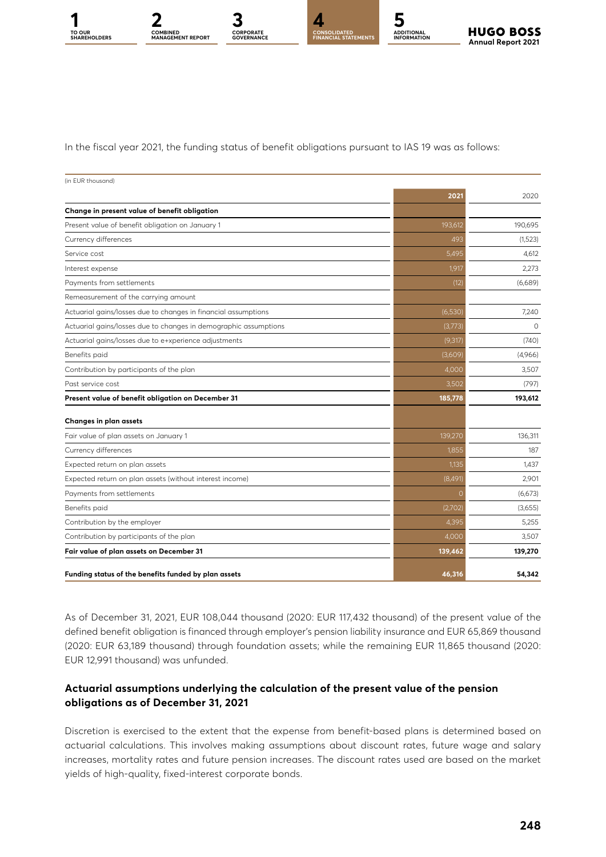

In the fiscal year 2021, the funding status of benefit obligations pursuant to IAS 19 was as follows:

| (in EUR thousand)                                                |                   |          |
|------------------------------------------------------------------|-------------------|----------|
|                                                                  | 2021              | 2020     |
| Change in present value of benefit obligation                    |                   |          |
| Present value of benefit obligation on January 1                 | 193,612           | 190.695  |
| Currency differences                                             | 493               | (1,523)  |
| Service cost                                                     | $\frac{1}{5,495}$ | 4,612    |
| Interest expense                                                 | 1,917             | 2,273    |
| Payments from settlements                                        | (12)              | (6,689)  |
| Remeasurement of the carrying amount                             |                   |          |
| Actuarial gains/losses due to changes in financial assumptions   | (6,530)           | 7,240    |
| Actuarial gains/losses due to changes in demographic assumptions | (3,773)           | $\Omega$ |
| Actuarial gains/losses due to e+xperience adjustments            | (9, 317)          | (740)    |
| Benefits paid                                                    | (3,609)           | (4,966)  |
| Contribution by participants of the plan                         | 4,000             | 3,507    |
| Past service cost                                                | 3,502             | (797)    |
| Present value of benefit obligation on December 31               | 185,778           | 193,612  |
| Changes in plan assets                                           |                   |          |
| Fair value of plan assets on January 1                           | 139,270           | 136,311  |
| Currency differences                                             | 1,855             | 187      |
| Expected return on plan assets                                   | 1,135             | 1.437    |
| Expected return on plan assets (without interest income)         | (8,491)           | 2,901    |
| Payments from settlements                                        | $\Omega$          | (6,673)  |
| Benefits paid                                                    | (2,702)           | (3,655)  |
| Contribution by the employer                                     | 4,395             | 5,255    |
| Contribution by participants of the plan                         | 4,000             | 3,507    |
| Fair value of plan assets on December 31                         | 139,462           | 139,270  |
| Funding status of the benefits funded by plan assets             | 46,316            | 54,342   |

As of December 31, 2021, EUR 108,044 thousand (2020: EUR 117,432 thousand) of the present value of the defined benefit obligation is financed through employer's pension liability insurance and EUR 65,869 thousand (2020: EUR 63,189 thousand) through foundation assets; while the remaining EUR 11,865 thousand (2020: EUR 12,991 thousand) was unfunded.

### **Actuarial assumptions underlying the calculation of the present value of the pension obligations as of December 31, 2021**

Discretion is exercised to the extent that the expense from benefit-based plans is determined based on actuarial calculations. This involves making assumptions about discount rates, future wage and salary increases, mortality rates and future pension increases. The discount rates used are based on the market yields of high-quality, fixed-interest corporate bonds.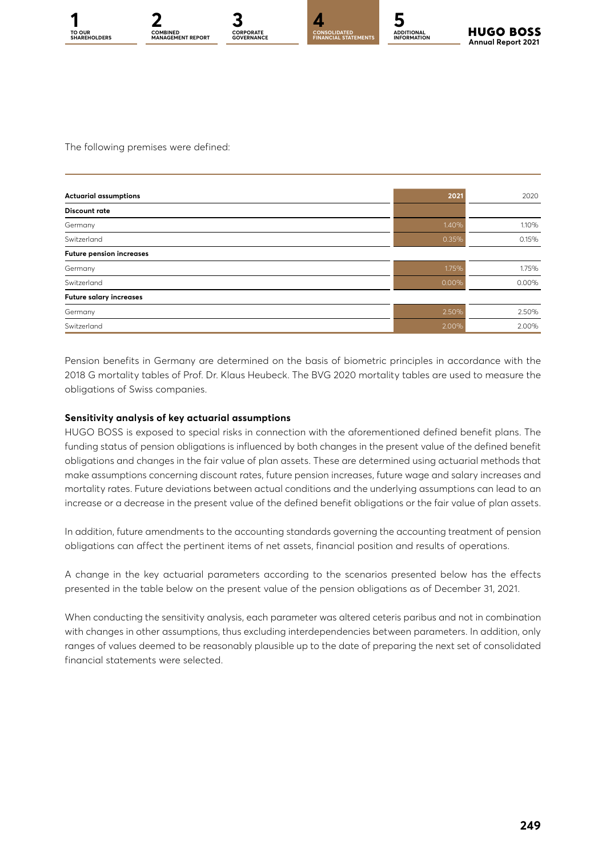





The following premises were defined:

| <b>Actuarial assumptions</b>    | 2021  | 2020  |
|---------------------------------|-------|-------|
|                                 |       |       |
| <b>Discount rate</b>            |       |       |
| Germany                         | 1.40% | 1.10% |
| Switzerland                     | 0.35% | 0.15% |
| <b>Future pension increases</b> |       |       |
| Germany                         | 1.75% | 1.75% |
| Switzerland                     | 0.00% | 0.00% |
| <b>Future salary increases</b>  |       |       |
| Germany                         | 2.50% | 2.50% |
| Switzerland                     | 2.00% | 2.00% |

Pension benefits in Germany are determined on the basis of biometric principles in accordance with the 2018 G mortality tables of Prof. Dr. Klaus Heubeck. The BVG 2020 mortality tables are used to measure the obligations of Swiss companies.

#### **Sensitivity analysis of key actuarial assumptions**

HUGO BOSS is exposed to special risks in connection with the aforementioned defined benefit plans. The funding status of pension obligations is influenced by both changes in the present value of the defined benefit obligations and changes in the fair value of plan assets. These are determined using actuarial methods that make assumptions concerning discount rates, future pension increases, future wage and salary increases and mortality rates. Future deviations between actual conditions and the underlying assumptions can lead to an increase or a decrease in the present value of the defined benefit obligations or the fair value of plan assets.

In addition, future amendments to the accounting standards governing the accounting treatment of pension obligations can affect the pertinent items of net assets, financial position and results of operations.

A change in the key actuarial parameters according to the scenarios presented below has the effects presented in the table below on the present value of the pension obligations as of December 31, 2021.

When conducting the sensitivity analysis, each parameter was altered ceteris paribus and not in combination with changes in other assumptions, thus excluding interdependencies between parameters. In addition, only ranges of values deemed to be reasonably plausible up to the date of preparing the next set of consolidated financial statements were selected.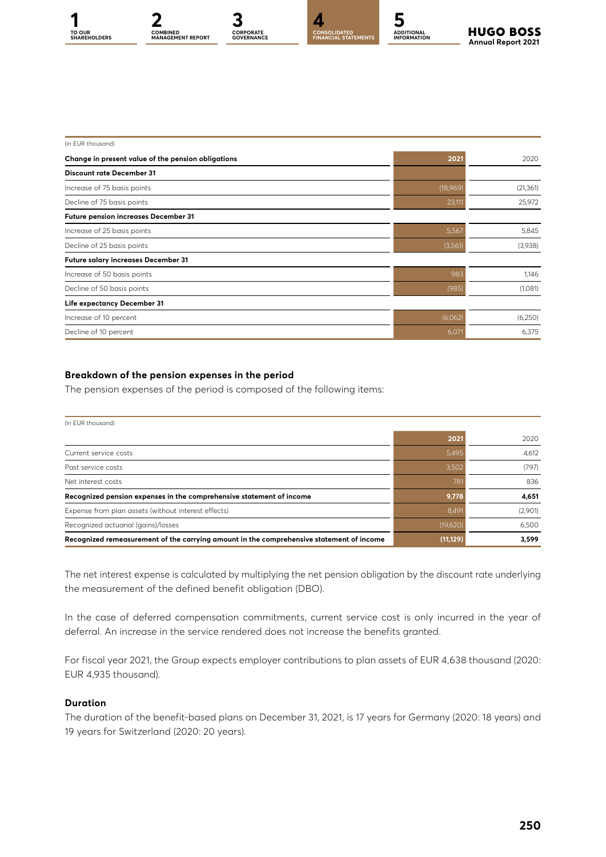









| (in EUR thousand)                                  |          |           |
|----------------------------------------------------|----------|-----------|
| Change in present value of the pension obligations | 2021     | 2020      |
| Discount rate December 31                          |          |           |
| Increase of 75 basis points                        | (18,969) | (21, 361) |
| Decline of 75 basis points                         | 23,111   | 25,972    |
| <b>Future pension increases December 31</b>        |          |           |
| Increase of 25 basis points                        | 5,567    | 5,845     |
| Decline of 25 basis points                         | (3,561)  | (3,938)   |
| <b>Future salary increases December 31</b>         |          |           |
| Increase of 50 basis points                        | 983      | 1,146     |
| Decline of 50 basis points                         | (985)    | (1,081)   |
| Life expectancy December 31                        |          |           |
| Increase of 10 percent                             | (6,062)  | (6,250)   |
| Decline of 10 percent                              | 6,07     | 6,375     |

#### **Breakdown of the pension expenses in the period**

The pension expenses of the period is composed of the following items:

| (in EUR thousand)                                                                        |           |         |
|------------------------------------------------------------------------------------------|-----------|---------|
|                                                                                          | 2021      | 2020    |
| Current service costs                                                                    | 5,495     | 4,612   |
| Past service costs                                                                       | 3,502     | (797)   |
| Net interest costs                                                                       | 781       | 836     |
| Recognized pension expenses in the comprehensive statement of income                     | 9,778     | 4,651   |
| Expense from plan assets (without interest effects)                                      | 8,491     | (2,901) |
| Recognized actuarial (gains)/losses                                                      | (19,620)  | 6,500   |
| Recognized remeasurement of the carrying amount in the comprehensive statement of income | (11, 129) | 3,599   |

The net interest expense is calculated by multiplying the net pension obligation by the discount rate underlying the measurement of the defined benefit obligation (DBO).

In the case of deferred compensation commitments, current service cost is only incurred in the year of deferral. An increase in the service rendered does not increase the benefits granted.

For fiscal year 2021, the Group expects employer contributions to plan assets of EUR 4,638 thousand (2020: EUR 4,935 thousand).

#### **Duration**

The duration of the benefit-based plans on December 31, 2021, is 17 years for Germany (2020: 18 years) and 19 years for Switzerland (2020: 20 years).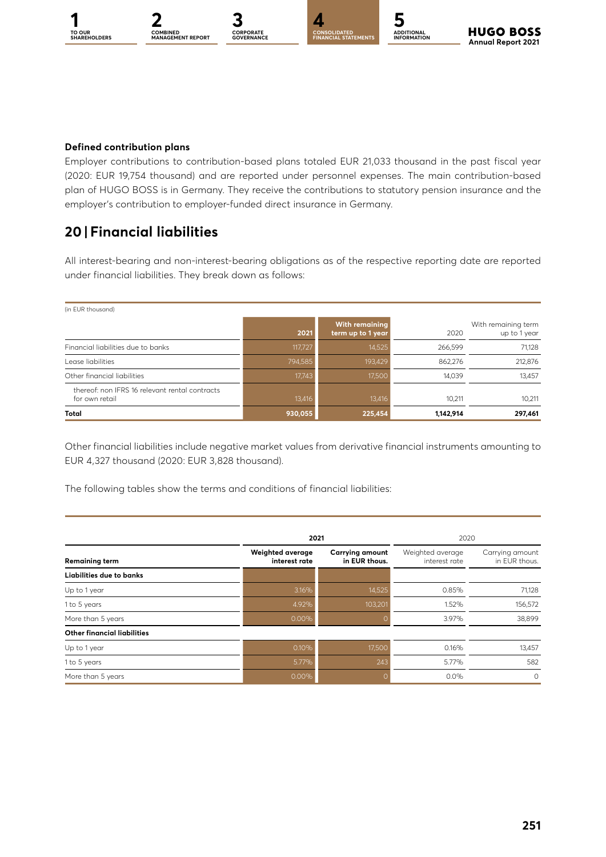

**CORPORATE**<br>GOVERNANCE



**ADDITIONAL INFORMATION**

#### **Defined contribution plans**

Employer contributions to contribution-based plans totaled EUR 21,033 thousand in the past fiscal year (2020: EUR 19,754 thousand) and are reported under personnel expenses. The main contribution-based plan of HUGO BOSS is in Germany. They receive the contributions to statutory pension insurance and the employer's contribution to employer-funded direct insurance in Germany.

# **20|Financial liabilities**

All interest-bearing and non-interest-bearing obligations as of the respective reporting date are reported under financial liabilities. They break down as follows:

| (in EUR thousand)                                                |         |                                     |           |                                     |
|------------------------------------------------------------------|---------|-------------------------------------|-----------|-------------------------------------|
|                                                                  | 2021    | With remaining<br>term up to 1 year | 2020      | With remaining term<br>up to 1 year |
| Financial liabilities due to banks                               | 117,727 | 14,525                              | 266,599   | 71,128                              |
| Lease liabilities                                                | 794,585 | 193,429                             | 862.276   | 212.876                             |
| Other financial liabilities                                      | 17,743  | 17,500                              | 14,039    | 13,457                              |
| thereof: non IFRS 16 relevant rental contracts<br>for own retail | 13,416  | 13.416                              | 10.211    | 10,211                              |
| Total                                                            | 930,055 | 225,454                             | 1,142,914 | 297,461                             |

Other financial liabilities include negative market values from derivative financial instruments amounting to EUR 4,327 thousand (2020: EUR 3,828 thousand).

The following tables show the terms and conditions of financial liabilities:

|                                    | 2021                              |                                         | 2020                              |                                  |  |
|------------------------------------|-----------------------------------|-----------------------------------------|-----------------------------------|----------------------------------|--|
| <b>Remaining term</b>              | Weighted average<br>interest rate | <b>Carrying amount</b><br>in EUR thous. | Weighted average<br>interest rate | Carrying amount<br>in EUR thous. |  |
| <b>Liabilities due to banks</b>    |                                   |                                         |                                   |                                  |  |
| Up to 1 year                       | 3.16%                             | 14,525                                  | 0.85%                             | 71,128                           |  |
| 1 to 5 years                       | 4.92%                             | 103,201                                 | 1.52%                             | 156,572                          |  |
| More than 5 years                  | 0.00%                             |                                         | 3.97%                             | 38,899                           |  |
| <b>Other financial liabilities</b> |                                   |                                         |                                   |                                  |  |
| Up to 1 year                       | 0.10%                             | 17,500                                  | 0.16%                             | 13,457                           |  |
| 1 to 5 years                       | 5.77%                             | 243                                     | 5.77%                             | 582                              |  |
| More than 5 years                  | 0.00%                             |                                         | 0.0%                              | $\Omega$                         |  |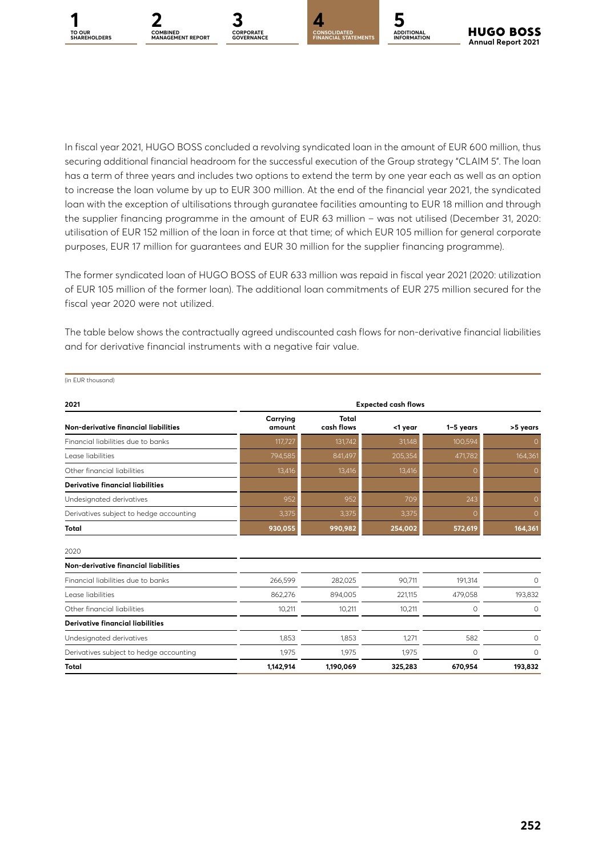

CORPORA<mark>TE</mark><br>GOVERNANCE



**ADDITIONAL INFORMATION**

In fiscal year 2021, HUGO BOSS concluded a revolving syndicated loan in the amount of EUR 600 million, thus securing additional financial headroom for the successful execution of the Group strategy "CLAIM 5". The loan has a term of three years and includes two options to extend the term by one year each as well as an option to increase the loan volume by up to EUR 300 million. At the end of the financial year 2021, the syndicated loan with the exception of ultilisations through guranatee facilities amounting to EUR 18 million and through the supplier financing programme in the amount of EUR 63 million – was not utilised (December 31, 2020: utilisation of EUR 152 million of the loan in force at that time; of which EUR 105 million for general corporate purposes, EUR 17 million for guarantees and EUR 30 million for the supplier financing programme).

The former syndicated loan of HUGO BOSS of EUR 633 million was repaid in fiscal year 2021 (2020: utilization of EUR 105 million of the former loan). The additional loan commitments of EUR 275 million secured for the fiscal year 2020 were not utilized.

(in EUR thousand) **2021 Expected cash flows Non-derivative financial liabilities Carrying amount Total cash flows <1 year 1–5 years >5 years** Financial liabilities due to banks 117,727 131,742 31,148 100,594 Lease liabilities 794,585 841,497 205,354 471,782 164,361 Other financial liabilities and the contract of the contract of the 13,416 13,416 13,416 13,416 13,416 13,416 13,416 13,416 13,416 13,416 13,416 13,416 13,416 13,416 13,416 13,416 13,416 13,416 13,416 13,416 13,416 13,416 **Derivative financial liabilities** Undesignated derivatives and the second terms of the second terms of the second terms of the second terms of te Derivatives subject to hedge accounting 3,375 3,375 3,375 3,375 **Total 930,055 990,982 254,002 572,619 164,361** 2020 **Non-derivative financial liabilities** Financial liabilities due to banks 266,599 282,025 90,711 191,314 0 Lease liabilities 862,276 894,005 221,115 479,058 193,832 Other financial liabilities 10,211 10,211 10,211 0 0 **Derivative financial liabilities** Undesignated derivatives and the control of the control of the control of the control of the control of the control of the control of the control of the control of the control of the control of the control of the control o Derivatives subject to hedge accounting 1,975 1,975 1,975 0 0 **Total 1,142,914 1,190,069 325,283 670,954 193,832**

The table below shows the contractually agreed undiscounted cash flows for non-derivative financial liabilities and for derivative financial instruments with a negative fair value.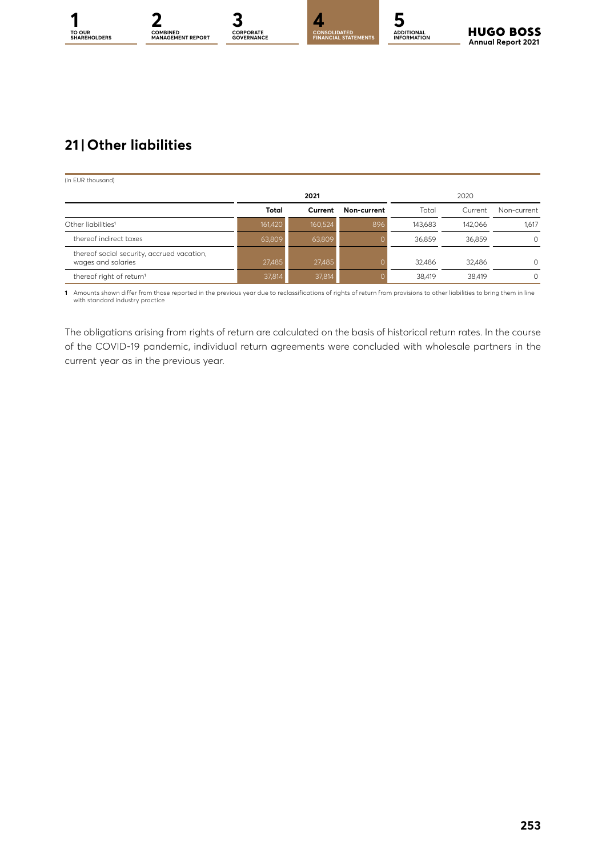

**CORPORATE**<br>GOVERNANCE

**CONSOLIDATED FINANCIAL STATEMENTS**

**ADDITIONAL INFORMATION**

# **21 | Other liabilities**

(in EUR thousand)

|                                                                  | 2021    |         |             | 2020    |         |             |
|------------------------------------------------------------------|---------|---------|-------------|---------|---------|-------------|
|                                                                  | Total   | Current | Non-current | Total   | Current | Non-current |
| Other liabilities <sup>1</sup>                                   | 161,420 | 160,524 | 896         | 143.683 | 142.066 | 1,617       |
| thereof indirect taxes                                           | 63,809  | 63,809  |             | 36.859  | 36,859  | $\Omega$    |
| thereof social security, accrued vacation,<br>wages and salaries | 27,485  | 27,485  |             | 32.486  | 32,486  | $\Omega$    |
| thereof right of return <sup>1</sup>                             | 37,814  | 37,814  |             | 38,419  | 38,419  | $\Omega$    |

**1** Amounts shown differ from those reported in the previous year due to reclassifications of rights of return from provisions to other liabilities to bring them in line with standard industry practice

The obligations arising from rights of return are calculated on the basis of historical return rates. In the course of the COVID-19 pandemic, individual return agreements were concluded with wholesale partners in the current year as in the previous year.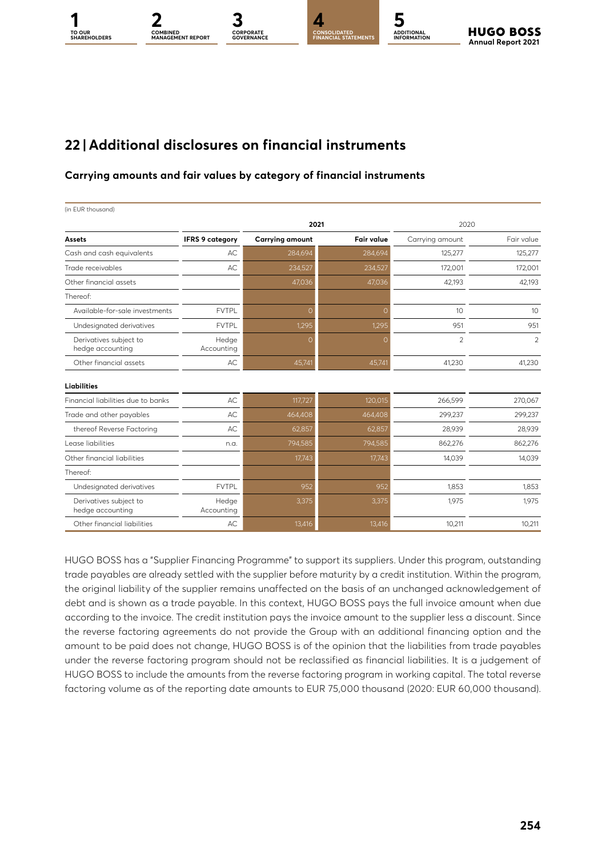# **22 |Additional disclosures on financial instruments**

### **Carrying amounts and fair values by category of financial instruments**

| (in EUR thousand)                          |                        |                        |                   |                 |                |  |
|--------------------------------------------|------------------------|------------------------|-------------------|-----------------|----------------|--|
|                                            |                        | 2021                   |                   | 2020            |                |  |
| <b>Assets</b>                              | <b>IFRS 9 category</b> | <b>Carrying amount</b> | <b>Fair value</b> | Carrying amount | Fair value     |  |
| Cash and cash equivalents                  | AC                     | 284,694                | 284,694           | 125,277         | 125,277        |  |
| Trade receivables                          | AC                     | 234,527                | 234,527           | 172,001         | 172,001        |  |
| Other financial assets                     |                        | 47,036                 | 47,036            | 42,193          | 42,193         |  |
| Thereof:                                   |                        |                        |                   |                 |                |  |
| Available-for-sale investments             | <b>FVTPL</b>           | $\Omega$               | 0                 | 10              | 10             |  |
| Undesignated derivatives                   | <b>FVTPL</b>           | 1,295                  | 1,295             | 951             | 951            |  |
| Derivatives subject to<br>hedge accounting | Hedge<br>Accounting    | $\bigcap$              | Ω                 | $\overline{2}$  | $\overline{2}$ |  |
| Other financial assets                     | AC                     | 45,741                 | 45,741            | 41,230          | 41,230         |  |
| <b>Liabilities</b>                         |                        |                        |                   |                 |                |  |
| Financial liabilities due to banks         | AC                     | 117,727                | 120,015           | 266,599         | 270,067        |  |
| Trade and other payables                   | AC                     | 464,408                | 464,408           | 299,237         | 299,237        |  |
| thereof Reverse Factoring                  | AC                     | 62,857                 | 62,857            | 28,939          | 28,939         |  |
| Lease liabilities                          | n.a.                   | 794,585                | 794,585           | 862,276         | 862,276        |  |
| Other financial liabilities                |                        | 17,743                 | 17,743            | 14,039          | 14,039         |  |
| Thereof:                                   |                        |                        |                   |                 |                |  |
| Undesignated derivatives                   | <b>FVTPL</b>           | 952                    | 952               | 1,853           | 1.853          |  |
| Derivatives subject to<br>hedge accounting | Hedge<br>Accounting    | 3,375                  | 3,375             | 1,975           | 1,975          |  |
| Other financial liabilities                | AC                     | 13,416                 | 13,416            | 10,211          | 10,211         |  |

HUGO BOSS has a "Supplier Financing Programme" to support its suppliers. Under this program, outstanding trade payables are already settled with the supplier before maturity by a credit institution. Within the program, the original liability of the supplier remains unaffected on the basis of an unchanged acknowledgement of debt and is shown as a trade payable. In this context, HUGO BOSS pays the full invoice amount when due according to the invoice. The credit institution pays the invoice amount to the supplier less a discount. Since the reverse factoring agreements do not provide the Group with an additional financing option and the amount to be paid does not change, HUGO BOSS is of the opinion that the liabilities from trade payables under the reverse factoring program should not be reclassified as financial liabilities. It is a judgement of HUGO BOSS to include the amounts from the reverse factoring program in working capital. The total reverse factoring volume as of the reporting date amounts to EUR 75,000 thousand (2020: EUR 60,000 thousand).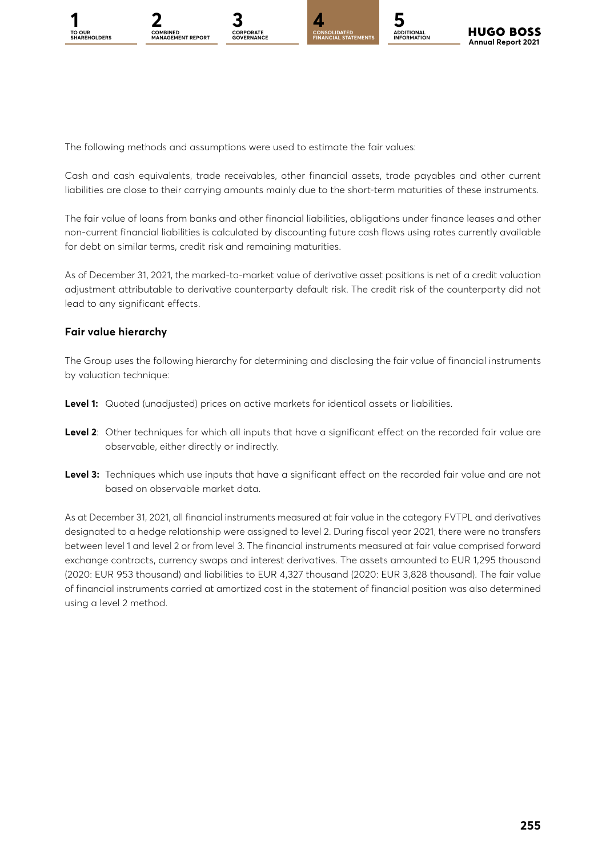The following methods and assumptions were used to estimate the fair values:

Cash and cash equivalents, trade receivables, other financial assets, trade payables and other current liabilities are close to their carrying amounts mainly due to the short-term maturities of these instruments.

The fair value of loans from banks and other financial liabilities, obligations under finance leases and other non-current financial liabilities is calculated by discounting future cash flows using rates currently available for debt on similar terms, credit risk and remaining maturities.

As of December 31, 2021, the marked-to-market value of derivative asset positions is net of a credit valuation adjustment attributable to derivative counterparty default risk. The credit risk of the counterparty did not lead to any significant effects.

### **Fair value hierarchy**

The Group uses the following hierarchy for determining and disclosing the fair value of financial instruments by valuation technique:

- **Level 1:** Quoted (unadjusted) prices on active markets for identical assets or liabilities.
- **Level 2**: Other techniques for which all inputs that have a significant effect on the recorded fair value are observable, either directly or indirectly.
- **Level 3:** Techniques which use inputs that have a significant effect on the recorded fair value and are not based on observable market data.

As at December 31, 2021, all financial instruments measured at fair value in the category FVTPL and derivatives designated to a hedge relationship were assigned to level 2. During fiscal year 2021, there were no transfers between level 1 and level 2 or from level 3. The financial instruments measured at fair value comprised forward exchange contracts, currency swaps and interest derivatives. The assets amounted to EUR 1,295 thousand (2020: EUR 953 thousand) and liabilities to EUR 4,327 thousand (2020: EUR 3,828 thousand). The fair value of financial instruments carried at amortized cost in the statement of financial position was also determined using a level 2 method.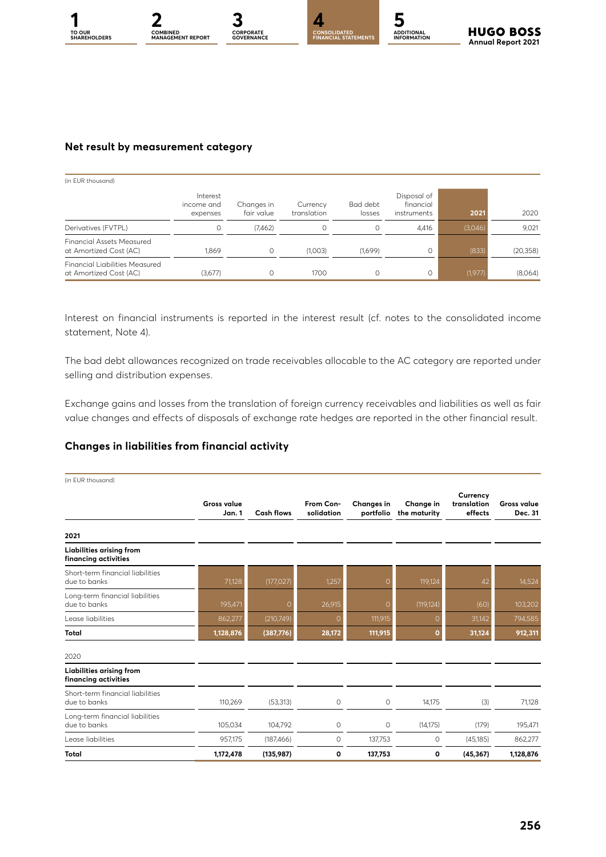

### **Net result by measurement category**

| (in EUR thousand)                                               |                                    |                          |                         |                    |                                         |         |           |
|-----------------------------------------------------------------|------------------------------------|--------------------------|-------------------------|--------------------|-----------------------------------------|---------|-----------|
|                                                                 | Interest<br>income and<br>expenses | Changes in<br>fair value | Currency<br>translation | Bad debt<br>losses | Disposal of<br>financial<br>instruments | 2021    | 2020      |
| Derivatives (FVTPL)                                             | 0                                  | (7,462)                  | 0                       | $\Omega$           | 4,416                                   | (3,046) | 9,021     |
| <b>Financial Assets Measured</b><br>at Amortized Cost (AC)      | 1.869                              | 0                        | (1,003)                 | (1,699)            | 0                                       | (833)   | (20, 358) |
| <b>Financial Liabilities Measured</b><br>at Amortized Cost (AC) | (3,677)                            | 0                        | 1700                    |                    | 0                                       | (1,977) | (8,064)   |

Interest on financial instruments is reported in the interest result (cf. notes to the consolidated income statement, Note 4).

The bad debt allowances recognized on trade receivables allocable to the AC category are reported under selling and distribution expenses.

Exchange gains and losses from the translation of foreign currency receivables and liabilities as well as fair value changes and effects of disposals of exchange rate hedges are reported in the other financial result.

### **Changes in liabilities from financial activity**

| (in EUR thousand)                                       |                              |                   |                         |                                |                           |                                    |                               |
|---------------------------------------------------------|------------------------------|-------------------|-------------------------|--------------------------------|---------------------------|------------------------------------|-------------------------------|
|                                                         | <b>Gross value</b><br>Jan. 1 | <b>Cash flows</b> | From Con-<br>solidation | <b>Changes</b> in<br>portfolio | Change in<br>the maturity | Currency<br>translation<br>effects | <b>Gross value</b><br>Dec. 31 |
| 2021                                                    |                              |                   |                         |                                |                           |                                    |                               |
| <b>Liabilities arising from</b><br>financing activities |                              |                   |                         |                                |                           |                                    |                               |
| Short-term financial liabilities<br>due to banks        | 71,128                       | (177, 027)        | 1,257                   | $\Omega$                       | 119,124                   | 42                                 | 14,524                        |
| Long-term financial liabilities<br>due to banks         | 195,471                      | $\Omega$          | 26,915                  | $\Omega$                       | (119, 124)                | (60)                               | 103,202                       |
| Lease liabilities                                       | 862,277                      | (210, 749)        | Ω                       | 111,915                        | $\circ$                   | 31,142                             | 794,585                       |
| Total                                                   | 1,128,876                    | (387, 776)        | 28,172                  | 111,915                        | $\mathbf{o}$              | 31,124                             | 912,311                       |
| 2020                                                    |                              |                   |                         |                                |                           |                                    |                               |
| <b>Liabilities arising from</b><br>financing activities |                              |                   |                         |                                |                           |                                    |                               |
| Short-term financial liabilities<br>due to banks        | 110,269                      | (53, 313)         | 0                       | 0                              | 14,175                    | (3)                                | 71,128                        |
| Long-term financial liabilities<br>due to banks         | 105,034                      | 104,792           | 0                       | 0                              | (14, 175)                 | (179)                              | 195,471                       |
| Lease liabilities                                       | 957,175                      | (187, 466)        | 0                       | 137,753                        | 0                         | (45, 185)                          | 862,277                       |
| Total                                                   | 1,172,478                    | (135, 987)        | о                       | 137,753                        | 0                         | (45, 367)                          | 1,128,876                     |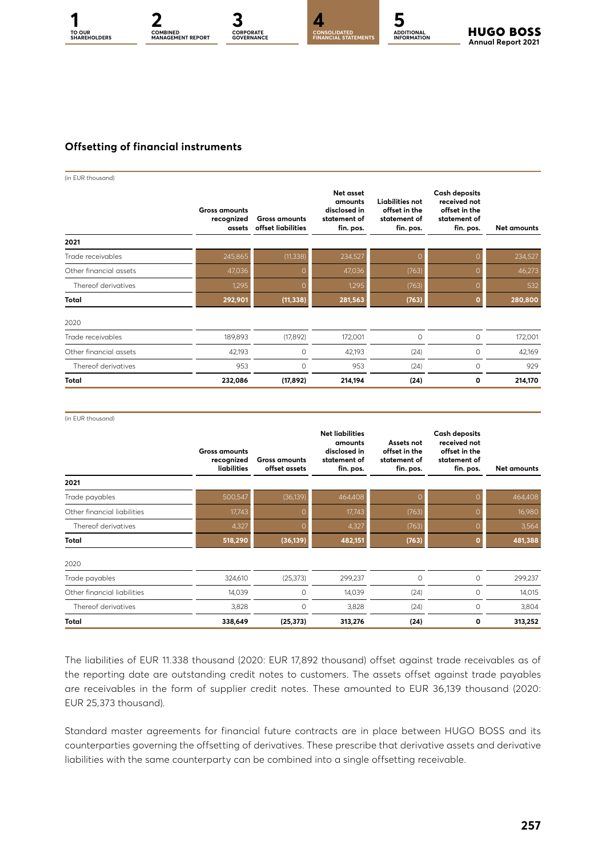### **Offsetting of financial instruments**

(in EUR thousand)

|                        | <b>Gross amounts</b><br>recognized<br>assets | <b>Gross amounts</b><br>offset liabilities | Net asset<br>amounts<br>disclosed in<br>statement of<br>fin. pos. | Liabilities not<br>offset in the<br>statement of<br>fin. pos. | <b>Cash deposits</b><br>received not<br>offset in the<br>statement of<br>fin. pos. | <b>Net amounts</b> |
|------------------------|----------------------------------------------|--------------------------------------------|-------------------------------------------------------------------|---------------------------------------------------------------|------------------------------------------------------------------------------------|--------------------|
| 2021                   |                                              |                                            |                                                                   |                                                               |                                                                                    |                    |
| Trade receivables      | 245,865                                      | (11, 338)                                  | 234,527                                                           |                                                               |                                                                                    | 234,527            |
| Other financial assets | 47,036                                       |                                            | 47,036                                                            | (763)                                                         |                                                                                    | 46,273             |
| Thereof derivatives    | 1,295                                        |                                            | 1,295                                                             | (763)                                                         |                                                                                    | 532                |
| Total                  | 292,901                                      | (11, 338)                                  | 281,563                                                           | (763)                                                         | o                                                                                  | 280,800            |
| 2020                   |                                              |                                            |                                                                   |                                                               |                                                                                    |                    |
| Trade receivables      | 189,893                                      | (17, 892)                                  | 172,001                                                           | 0                                                             | 0                                                                                  | 172,001            |
| Other financial assets | 42,193                                       | 0                                          | 42,193                                                            | (24)                                                          | 0                                                                                  | 42,169             |
| Thereof derivatives    | 953                                          | 0                                          | 953                                                               | (24)                                                          | 0                                                                                  | 929                |
| Total                  | 232,086                                      | (17, 892)                                  | 214,194                                                           | (24)                                                          | о                                                                                  | 214,170            |

| (in EUR thousand)           |                                                   |                                       |                                                                                |                                                          |                                                                                    |                    |
|-----------------------------|---------------------------------------------------|---------------------------------------|--------------------------------------------------------------------------------|----------------------------------------------------------|------------------------------------------------------------------------------------|--------------------|
|                             | <b>Gross amounts</b><br>recognized<br>liabilities | <b>Gross amounts</b><br>offset assets | <b>Net liabilities</b><br>amounts<br>disclosed in<br>statement of<br>fin. pos. | Assets not<br>offset in the<br>statement of<br>fin. pos. | <b>Cash deposits</b><br>received not<br>offset in the<br>statement of<br>fin. pos. | <b>Net amounts</b> |
| 2021                        |                                                   |                                       |                                                                                |                                                          |                                                                                    |                    |
| Trade payables              | 500,547                                           | (36, 139)                             | 464,408                                                                        |                                                          |                                                                                    | 464,408            |
| Other financial liabilities | 17,743                                            |                                       | 17,743                                                                         | (763)                                                    |                                                                                    | 16,980             |
| Thereof derivatives         | 4,327                                             |                                       | 4,327                                                                          | (763)                                                    |                                                                                    | 3,564              |
| Total                       | 518,290                                           | (36, 139)                             | 482,151                                                                        | (763)                                                    | Ω                                                                                  | 481,388            |
| 2020                        |                                                   |                                       |                                                                                |                                                          |                                                                                    |                    |
| Trade payables              | 324,610                                           | (25, 373)                             | 299,237                                                                        | 0                                                        | $\circ$                                                                            | 299,237            |
| Other financial liabilities | 14,039                                            | $\circ$                               | 14,039                                                                         | (24)                                                     | 0                                                                                  | 14,015             |
| Thereof derivatives         | 3,828                                             | 0                                     | 3,828                                                                          | (24)                                                     | 0                                                                                  | 3,804              |
| Total                       | 338,649                                           | (25, 373)                             | 313,276                                                                        | (24)                                                     | 0                                                                                  | 313,252            |

The liabilities of EUR 11.338 thousand (2020: EUR 17,892 thousand) offset against trade receivables as of the reporting date are outstanding credit notes to customers. The assets offset against trade payables are receivables in the form of supplier credit notes. These amounted to EUR 36,139 thousand (2020: EUR 25,373 thousand).

Standard master agreements for financial future contracts are in place between HUGO BOSS and its counterparties governing the offsetting of derivatives. These prescribe that derivative assets and derivative liabilities with the same counterparty can be combined into a single offsetting receivable.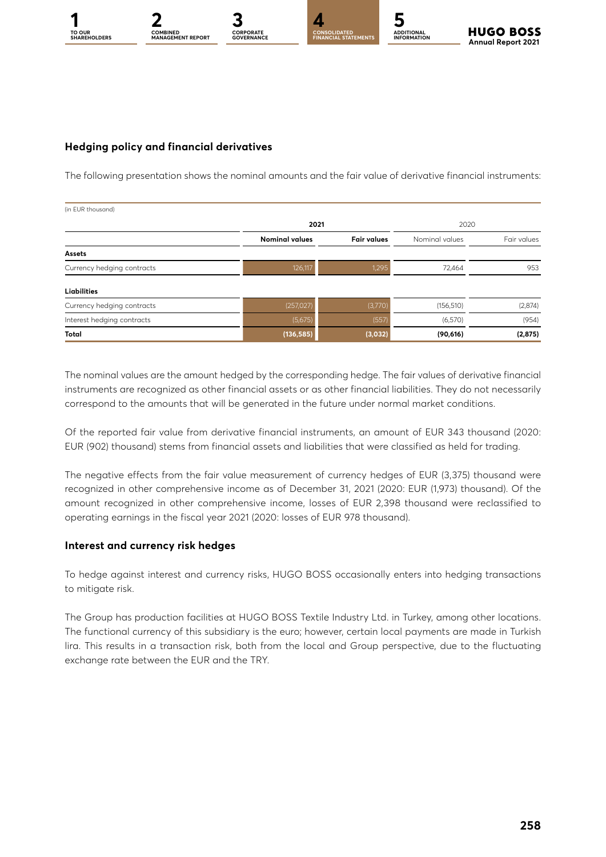



### **Hedging policy and financial derivatives**

The following presentation shows the nominal amounts and the fair value of derivative financial instruments:

| (in EUR thousand)          |                       |                    |                |             |
|----------------------------|-----------------------|--------------------|----------------|-------------|
|                            | 2021                  |                    | 2020           |             |
|                            | <b>Nominal values</b> | <b>Fair values</b> | Nominal values | Fair values |
| Assets                     |                       |                    |                |             |
| Currency hedging contracts | 126,117               | 1,295              | 72,464         | 953         |
| <b>Liabilities</b>         |                       |                    |                |             |
| Currency hedging contracts | (257,027)             | (3,770)            | (156, 510)     | (2,874)     |
| Interest hedging contracts | (5,675)               | (557)              | (6,570)        | (954)       |
| Total                      | (136, 585)            | (3,032)            | (90, 616)      | (2,875)     |

The nominal values are the amount hedged by the corresponding hedge. The fair values of derivative financial instruments are recognized as other financial assets or as other financial liabilities. They do not necessarily correspond to the amounts that will be generated in the future under normal market conditions.

Of the reported fair value from derivative financial instruments, an amount of EUR 343 thousand (2020: EUR (902) thousand) stems from financial assets and liabilities that were classified as held for trading.

The negative effects from the fair value measurement of currency hedges of EUR (3,375) thousand were recognized in other comprehensive income as of December 31, 2021 (2020: EUR (1,973) thousand). Of the amount recognized in other comprehensive income, losses of EUR 2,398 thousand were reclassified to operating earnings in the fiscal year 2021 (2020: losses of EUR 978 thousand).

### **Interest and currency risk hedges**

To hedge against interest and currency risks, HUGO BOSS occasionally enters into hedging transactions to mitigate risk.

The Group has production facilities at HUGO BOSS Textile Industry Ltd. in Turkey, among other locations. The functional currency of this subsidiary is the euro; however, certain local payments are made in Turkish lira. This results in a transaction risk, both from the local and Group perspective, due to the fluctuating exchange rate between the EUR and the TRY.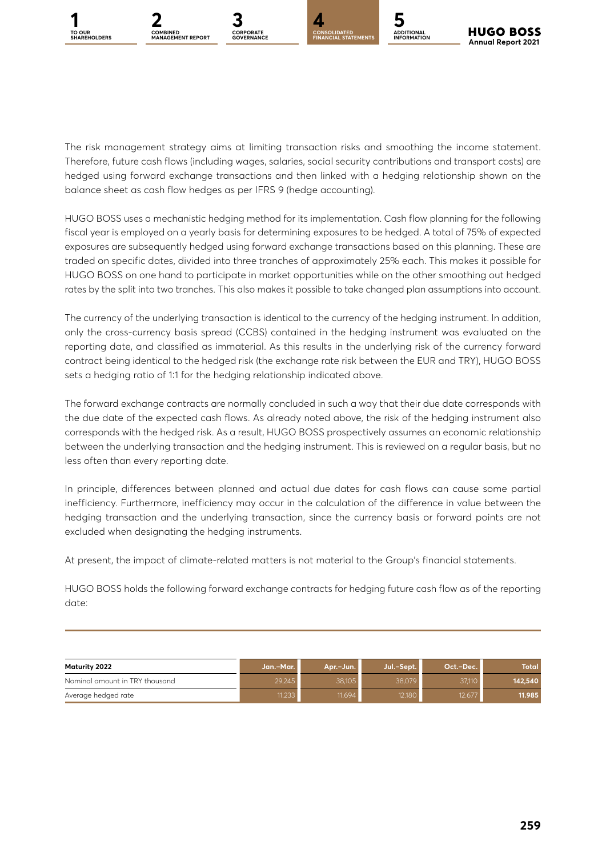



The risk management strategy aims at limiting transaction risks and smoothing the income statement. Therefore, future cash flows (including wages, salaries, social security contributions and transport costs) are hedged using forward exchange transactions and then linked with a hedging relationship shown on the balance sheet as cash flow hedges as per IFRS 9 (hedge accounting).

HUGO BOSS uses a mechanistic hedging method for its implementation. Cash flow planning for the following fiscal year is employed on a yearly basis for determining exposures to be hedged. A total of 75% of expected exposures are subsequently hedged using forward exchange transactions based on this planning. These are traded on specific dates, divided into three tranches of approximately 25% each. This makes it possible for HUGO BOSS on one hand to participate in market opportunities while on the other smoothing out hedged rates by the split into two tranches. This also makes it possible to take changed plan assumptions into account.

The currency of the underlying transaction is identical to the currency of the hedging instrument. In addition, only the cross-currency basis spread (CCBS) contained in the hedging instrument was evaluated on the reporting date, and classified as immaterial. As this results in the underlying risk of the currency forward contract being identical to the hedged risk (the exchange rate risk between the EUR and TRY), HUGO BOSS sets a hedging ratio of 1:1 for the hedging relationship indicated above.

The forward exchange contracts are normally concluded in such a way that their due date corresponds with the due date of the expected cash flows. As already noted above, the risk of the hedging instrument also corresponds with the hedged risk. As a result, HUGO BOSS prospectively assumes an economic relationship between the underlying transaction and the hedging instrument. This is reviewed on a regular basis, but no less often than every reporting date.

In principle, differences between planned and actual due dates for cash flows can cause some partial inefficiency. Furthermore, inefficiency may occur in the calculation of the difference in value between the hedging transaction and the underlying transaction, since the currency basis or forward points are not excluded when designating the hedging instruments.

At present, the impact of climate-related matters is not material to the Group's financial statements.

HUGO BOSS holds the following forward exchange contracts for hedging future cash flow as of the reporting date:

| <b>Maturity 2022</b>           | Jan.-Mar. | Apr.-Jun. | Jul.-Sept. | Oct.-Dec. | <b>Total</b> |
|--------------------------------|-----------|-----------|------------|-----------|--------------|
| Nominal amount in TRY thousand | 29,245    | 38.105    | 38.079     | 37,110    | 142,540      |
| Average hedged rate            | 11.233    | 11.694    | 12.180     | 12.677    | 11.985       |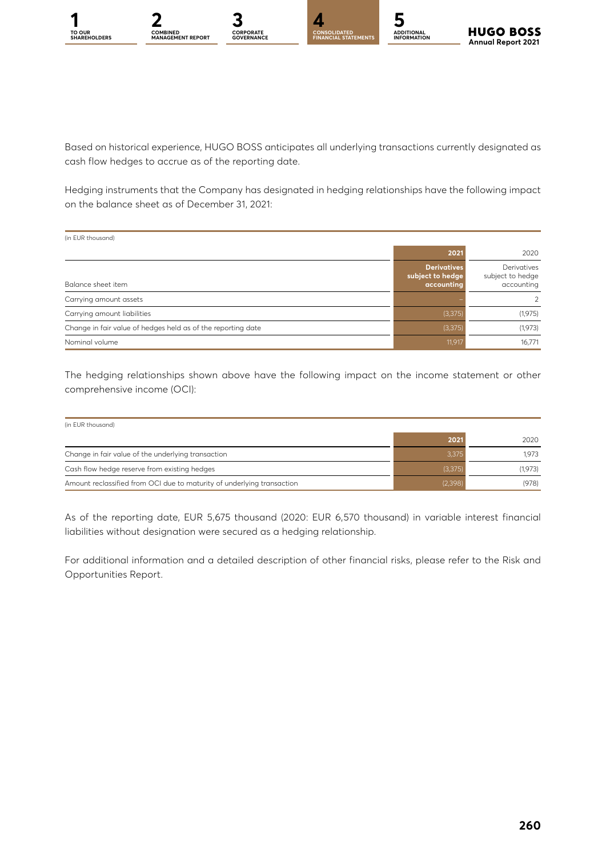



Based on historical experience, HUGO BOSS anticipates all underlying transactions currently designated as cash flow hedges to accrue as of the reporting date.

Hedging instruments that the Company has designated in hedging relationships have the following impact on the balance sheet as of December 31, 2021:

| (in EUR thousand)                                            |                                                      |                                               |
|--------------------------------------------------------------|------------------------------------------------------|-----------------------------------------------|
|                                                              | 2021                                                 | 2020                                          |
| Balance sheet item                                           | <b>Derivatives</b><br>subject to hedge<br>accounting | Derivatives<br>subject to hedge<br>accounting |
| Carrying amount assets                                       |                                                      | $\mathfrak{D}$                                |
| Carrying amount liabilities                                  | (3, 375)                                             | (1, 975)                                      |
| Change in fair value of hedges held as of the reporting date | (3, 375)                                             | (1,973)                                       |
| Nominal volume                                               | 11,917                                               | 16,771                                        |

The hedging relationships shown above have the following impact on the income statement or other comprehensive income (OCI):

| (in EUR thousand)                                                      |         |          |
|------------------------------------------------------------------------|---------|----------|
|                                                                        | 2021    | 2020     |
| Change in fair value of the underlying transaction                     | 3,375   | 1.973    |
| Cash flow hedge reserve from existing hedges                           | (3,375) | (1, 973) |
| Amount reclassified from OCI due to maturity of underlying transaction | (2,398) | (978)    |

As of the reporting date, EUR 5,675 thousand (2020: EUR 6,570 thousand) in variable interest financial liabilities without designation were secured as a hedging relationship.

For additional information and a detailed description of other financial risks, please refer to the Risk and Opportunities Report.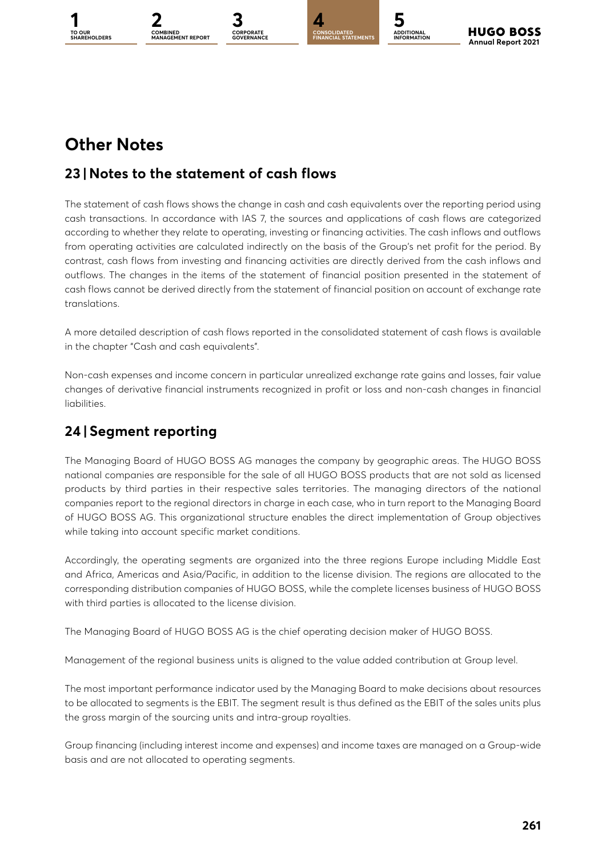

**CORPORATE** 



**ADDITIONAL INFORMATION**

# **Other Notes**

# **23 |Notes to the statement of cash flows**

The statement of cash flows shows the change in cash and cash equivalents over the reporting period using cash transactions. In accordance with IAS 7, the sources and applications of cash flows are categorized according to whether they relate to operating, investing or financing activities. The cash inflows and outflows from operating activities are calculated indirectly on the basis of the Group's net profit for the period. By contrast, cash flows from investing and financing activities are directly derived from the cash inflows and outflows. The changes in the items of the statement of financial position presented in the statement of cash flows cannot be derived directly from the statement of financial position on account of exchange rate translations.

A more detailed description of cash flows reported in the consolidated statement of cash flows is available in the chapter "Cash and cash equivalents".

Non-cash expenses and income concern in particular unrealized exchange rate gains and losses, fair value changes of derivative financial instruments recognized in profit or loss and non-cash changes in financial liabilities.

# **24 |Segment reporting**

The Managing Board of HUGO BOSS AG manages the company by geographic areas. The HUGO BOSS national companies are responsible for the sale of all HUGO BOSS products that are not sold as licensed products by third parties in their respective sales territories. The managing directors of the national companies report to the regional directors in charge in each case, who in turn report to the Managing Board of HUGO BOSS AG. This organizational structure enables the direct implementation of Group objectives while taking into account specific market conditions.

Accordingly, the operating segments are organized into the three regions Europe including Middle East and Africa, Americas and Asia/Pacific, in addition to the license division. The regions are allocated to the corresponding distribution companies of HUGO BOSS, while the complete licenses business of HUGO BOSS with third parties is allocated to the license division.

The Managing Board of HUGO BOSS AG is the chief operating decision maker of HUGO BOSS.

Management of the regional business units is aligned to the value added contribution at Group level.

The most important performance indicator used by the Managing Board to make decisions about resources to be allocated to segments is the EBIT. The segment result is thus defined as the EBIT of the sales units plus the gross margin of the sourcing units and intra-group royalties.

Group financing (including interest income and expenses) and income taxes are managed on a Group-wide basis and are not allocated to operating segments.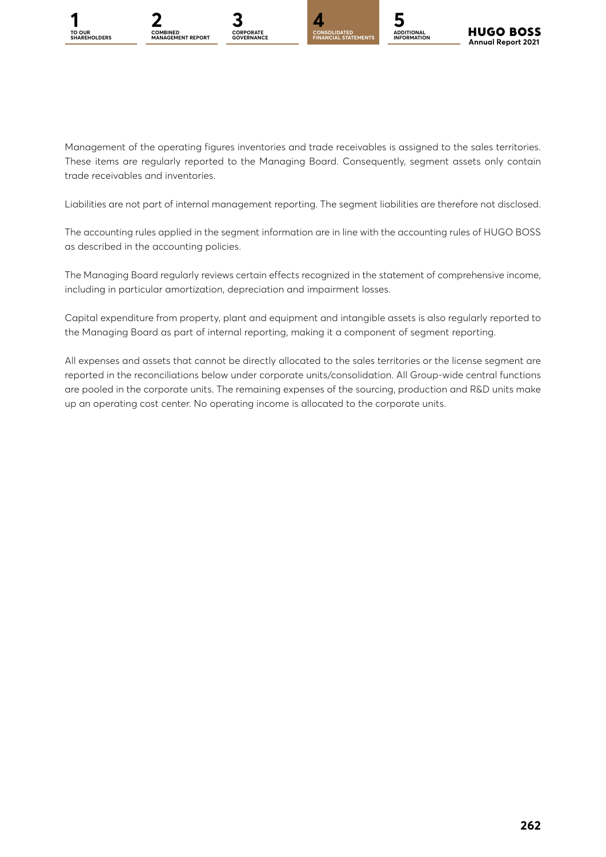

Management of the operating figures inventories and trade receivables is assigned to the sales territories. These items are regularly reported to the Managing Board. Consequently, segment assets only contain trade receivables and inventories.

Liabilities are not part of internal management reporting. The segment liabilities are therefore not disclosed.

The accounting rules applied in the segment information are in line with the accounting rules of HUGO BOSS as described in the accounting policies.

The Managing Board regularly reviews certain effects recognized in the statement of comprehensive income, including in particular amortization, depreciation and impairment losses.

Capital expenditure from property, plant and equipment and intangible assets is also regularly reported to the Managing Board as part of internal reporting, making it a component of segment reporting.

All expenses and assets that cannot be directly allocated to the sales territories or the license segment are reported in the reconciliations below under corporate units/consolidation. All Group-wide central functions are pooled in the corporate units. The remaining expenses of the sourcing, production and R&D units make up an operating cost center. No operating income is allocated to the corporate units.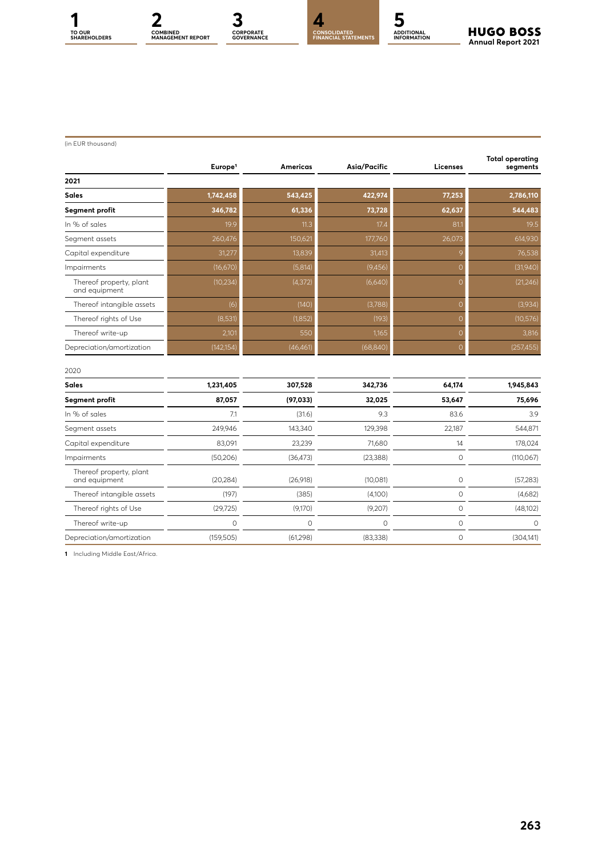







#### (in EUR thousand)

|                                          | Europe <sup>1</sup> | <b>Americas</b> | Asia/Pacific | Licenses | <b>Total operating</b><br>segments |
|------------------------------------------|---------------------|-----------------|--------------|----------|------------------------------------|
| 2021                                     |                     |                 |              |          |                                    |
| <b>Sales</b>                             | 1,742,458           | 543,425         | 422,974      | 77,253   | 2,786,110                          |
| Segment profit                           | 346,782             | 61,336          | 73,728       | 62,637   | 544,483                            |
| In % of sales                            | 19.9                | 11.3            | 17.4         | 81.1     | 19.5                               |
| Segment assets                           | 260,476             | 150,621         | 177,760      | 26,073   | 614,930                            |
| Capital expenditure                      | 31,277              | 13,839          | 31,413       | Q        | 76,538                             |
| Impairments                              | (16, 670)           | (5,814)         | (9,456)      | $\Omega$ | (31,940)                           |
| Thereof property, plant<br>and equipment | (10, 234)           | (4, 372)        | (6,640)      | $\Omega$ | (21, 246)                          |
| Thereof intangible assets                | (6)                 | (140)           | (3,788)      | $\Omega$ | (3,934)                            |
| Thereof rights of Use                    | (8,531)             | (1,852)         | (193)        | $\Omega$ | (10, 576)                          |
| Thereof write-up                         | 2,101               | 550             | 1,165        | $\Omega$ | 3,816                              |
| Depreciation/amortization                | (142, 154)          | (46, 461)       | (68, 840)    | $\Omega$ | (257, 455)                         |
| 2020                                     |                     |                 |              |          |                                    |
| <b>Sales</b>                             | 1,231,405           | 307,528         | 342,736      | 64,174   | 1,945,843                          |

| <b>Sales</b>                             | 1,231,405  | 307,528   | 342,736   | 64,174 | 1,945,843  |
|------------------------------------------|------------|-----------|-----------|--------|------------|
| Segment profit                           | 87,057     | (97, 033) | 32,025    | 53,647 | 75,696     |
| In % of sales                            | 7.1        | (31.6)    | 9.3       | 83.6   | 3.9        |
| Segment assets                           | 249,946    | 143,340   | 129,398   | 22,187 | 544,871    |
| Capital expenditure                      | 83,091     | 23,239    | 71,680    | 14     | 178,024    |
| Impairments                              | (50, 206)  | (36, 473) | (23, 388) | 0      | (110, 067) |
| Thereof property, plant<br>and equipment | (20, 284)  | (26,918)  | (10,081)  | 0      | (57,283)   |
| Thereof intangible assets                | (197)      | (385)     | (4,100)   | 0      | (4,682)    |
| Thereof rights of Use                    | (29, 725)  | (9,170)   | (9,207)   | Ω      | (48, 102)  |
| Thereof write-up                         | $\circ$    | 0         | 0         | 0      | $\Omega$   |
| Depreciation/amortization                | (159, 505) | (61, 298) | (83, 338) | 0      | (304, 141) |

**1** Including Middle East/Africa.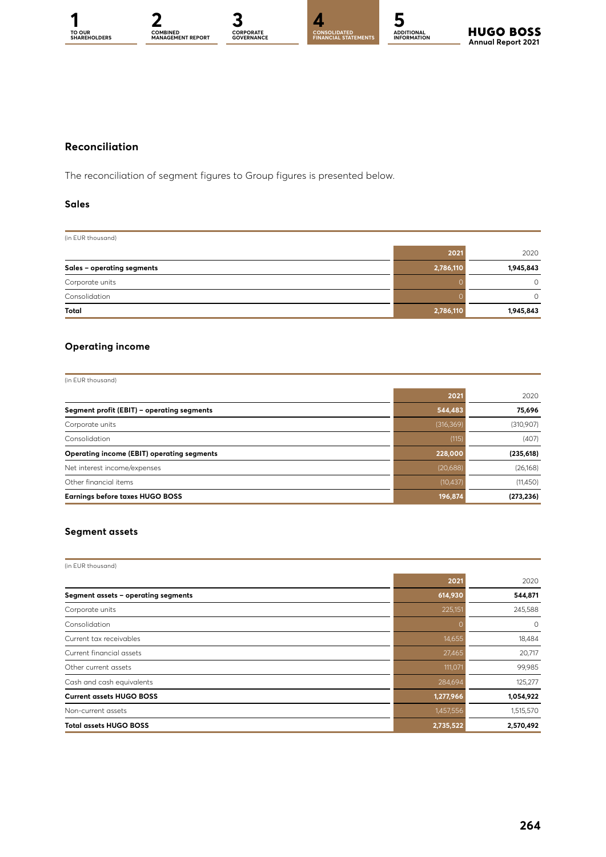

**CORPORATE**<br>GOVERNANCE



**ADDITIONAL INFORMATION**

### **Reconciliation**

The reconciliation of segment figures to Group figures is presented below.

#### **Sales**

(in EUR thousand) **2021** 2020 **Sales – operating segments 2,786,110 1,945,843 Corporate units** and the corporate units of the corporate units of the corporate units of the corporate units of the corporate units of the corporate units of the corporate units of the corporate units of the corporate un Consolidation 0 0 **Total 2,786,110 1,945,843**

### **Operating income**

#### (in EUR thousand)

|                                                   | 2021       | 2020       |
|---------------------------------------------------|------------|------------|
| Segment profit (EBIT) - operating segments        | 544,483    | 75,696     |
| Corporate units                                   | (316, 369) | (310,907)  |
| Consolidation                                     | (115)      | (407)      |
| <b>Operating income (EBIT) operating segments</b> | 228,000    | (235, 618) |
| Net interest income/expenses                      | (20,688)   | (26, 168)  |
| Other financial items                             | (10, 437)  | (11,450)   |
| <b>Earnings before taxes HUGO BOSS</b>            | 196,874    | (273, 236) |

#### **Segment assets**

| (in EUR thousand)                   |           |           |
|-------------------------------------|-----------|-----------|
|                                     | 2021      | 2020      |
| Segment assets - operating segments | 614,930   | 544,871   |
| Corporate units                     | 225,151   | 245,588   |
| Consolidation                       |           | $\circ$   |
| Current tax receivables             | 14,655    | 18,484    |
| Current financial assets            | 27,465    | 20,717    |
| Other current assets                | 111,071   | 99,985    |
| Cash and cash equivalents           | 284,694   | 125,277   |
| <b>Current assets HUGO BOSS</b>     | 1,277,966 | 1,054,922 |
| Non-current assets                  | 1,457,556 | 1,515,570 |
| <b>Total assets HUGO BOSS</b>       | 2,735,522 | 2,570,492 |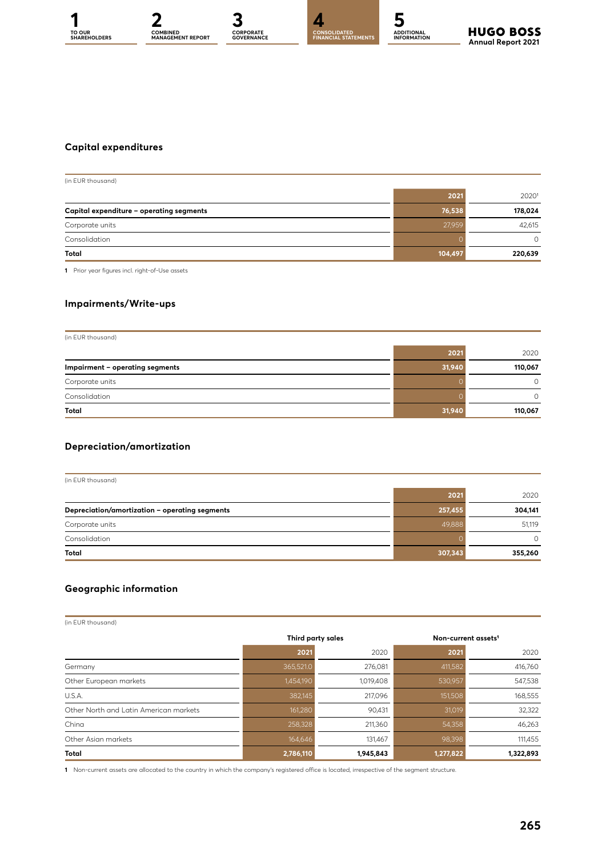



**CORPORATE**<br>GOVERNANCE



**ADDITIONAL INFORMATION**

#### **Capital expenditures**

| <b>Total</b>                             | 104,497 | 220,639 |
|------------------------------------------|---------|---------|
| Consolidation                            |         | 0       |
| Corporate units                          | 27,959  | 42,615  |
| Capital expenditure - operating segments | 76,538  | 178,024 |
|                                          | 2021    | 20201   |
| (in EUR thousand)                        |         |         |

**1** Prior year figures incl. right-of-Use assets

### **Impairments/Write-ups**

| (in EUR thousand)               |        |         |
|---------------------------------|--------|---------|
|                                 | 2021   | 2020    |
| Impairment - operating segments | 31,940 | 110,067 |
| Corporate units                 |        | 0       |
| Consolidation                   |        | 0.      |
| <b>Total</b>                    | 31,940 | 110,067 |

### **Depreciation/amortization**

| (in EUR thousand)                              |         |          |
|------------------------------------------------|---------|----------|
|                                                | 2021    | 2020     |
| Depreciation/amortization - operating segments | 257,455 | 304,141  |
| Corporate units                                | 49,888  | 51,119   |
| Consolidation                                  |         | $\Omega$ |
| <b>Total</b>                                   | 307,343 | 355,260  |

### **Geographic information**

| (in EUR thousand)                      |                   |           |                                 |           |
|----------------------------------------|-------------------|-----------|---------------------------------|-----------|
|                                        | Third party sales |           | Non-current assets <sup>1</sup> |           |
|                                        | 2021              | 2020      | 2021                            | 2020      |
| Germany                                | 365,521.0         | 276,081   | 411,582                         | 416,760   |
| Other European markets                 | 1,454,190         | 1,019,408 | 530,957                         | 547,538   |
| U.S.A.                                 | 382,145           | 217,096   | 151,508                         | 168,555   |
| Other North and Latin American markets | 161,280           | 90,431    | 31,019                          | 32,322    |
| China                                  | 258,328           | 211,360   | 54,358                          | 46,263    |
| Other Asian markets                    | 164,646           | 131,467   | 98,398                          | 111,455   |
| <b>Total</b>                           | 2,786,110         | 1,945,843 | 1,277,822                       | 1,322,893 |

**1** Non-current assets are allocated to the country in which the company's registered office is located, irrespective of the segment structure.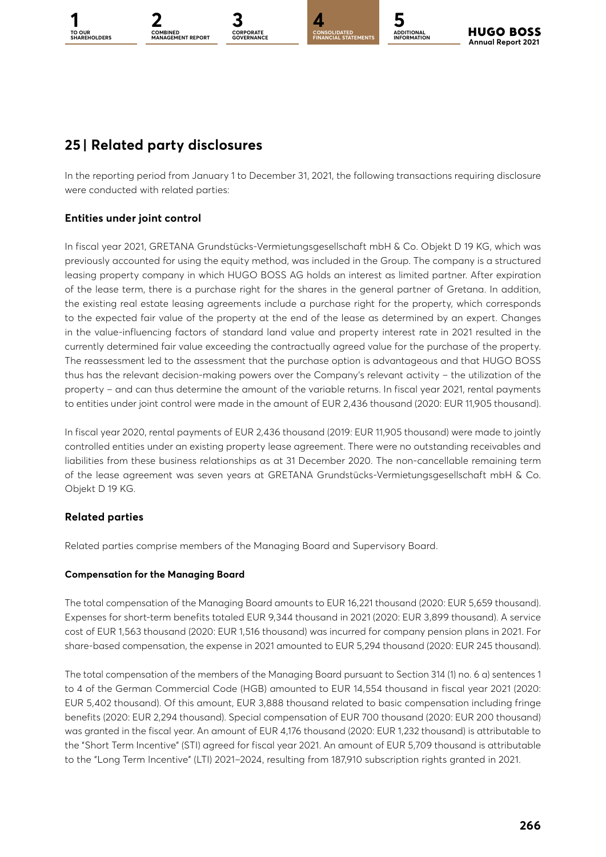CORPORATE<br>GOVERNANCE



**ADDITIONAL INFORMATION**

# **25 | Related party disclosures**

In the reporting period from January 1 to December 31, 2021, the following transactions requiring disclosure were conducted with related parties:

# **Entities under joint control**

In fiscal year 2021, GRETANA Grundstücks-Vermietungsgesellschaft mbH & Co. Objekt D 19 KG, which was previously accounted for using the equity method, was included in the Group. The company is a structured leasing property company in which HUGO BOSS AG holds an interest as limited partner. After expiration of the lease term, there is a purchase right for the shares in the general partner of Gretana. In addition, the existing real estate leasing agreements include a purchase right for the property, which corresponds to the expected fair value of the property at the end of the lease as determined by an expert. Changes in the value-influencing factors of standard land value and property interest rate in 2021 resulted in the currently determined fair value exceeding the contractually agreed value for the purchase of the property. The reassessment led to the assessment that the purchase option is advantageous and that HUGO BOSS thus has the relevant decision-making powers over the Company's relevant activity – the utilization of the property – and can thus determine the amount of the variable returns. In fiscal year 2021, rental payments to entities under joint control were made in the amount of EUR 2,436 thousand (2020: EUR 11,905 thousand).

In fiscal year 2020, rental payments of EUR 2,436 thousand (2019: EUR 11,905 thousand) were made to jointly controlled entities under an existing property lease agreement. There were no outstanding receivables and liabilities from these business relationships as at 31 December 2020. The non-cancellable remaining term of the lease agreement was seven years at GRETANA Grundstücks-Vermietungsgesellschaft mbH & Co. Objekt D 19 KG.

## **Related parties**

Related parties comprise members of the Managing Board and Supervisory Board.

### **Compensation for the Managing Board**

The total compensation of the Managing Board amounts to EUR 16,221 thousand (2020: EUR 5,659 thousand). Expenses for short-term benefits totaled EUR 9,344 thousand in 2021 (2020: EUR 3,899 thousand). A service cost of EUR 1,563 thousand (2020: EUR 1,516 thousand) was incurred for company pension plans in 2021. For share-based compensation, the expense in 2021 amounted to EUR 5,294 thousand (2020: EUR 245 thousand).

The total compensation of the members of the Managing Board pursuant to Section 314 (1) no. 6 a) sentences 1 to 4 of the German Commercial Code (HGB) amounted to EUR 14,554 thousand in fiscal year 2021 (2020: EUR 5,402 thousand). Of this amount, EUR 3,888 thousand related to basic compensation including fringe benefits (2020: EUR 2,294 thousand). Special compensation of EUR 700 thousand (2020: EUR 200 thousand) was granted in the fiscal year. An amount of EUR 4,176 thousand (2020: EUR 1,232 thousand) is attributable to the "Short Term Incentive" (STI) agreed for fiscal year 2021. An amount of EUR 5,709 thousand is attributable to the "Long Term Incentive" (LTI) 2021–2024, resulting from 187,910 subscription rights granted in 2021.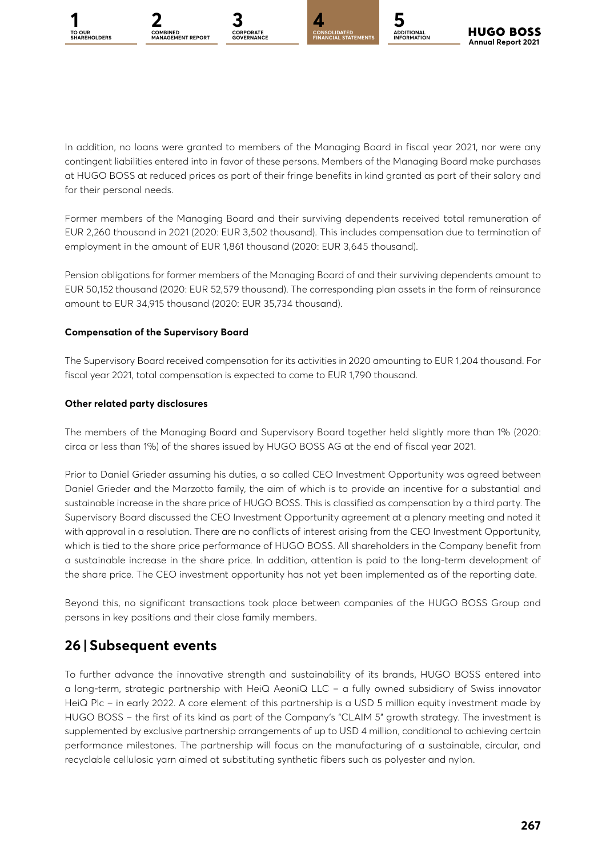

In addition, no loans were granted to members of the Managing Board in fiscal year 2021, nor were any contingent liabilities entered into in favor of these persons. Members of the Managing Board make purchases at HUGO BOSS at reduced prices as part of their fringe benefits in kind granted as part of their salary and for their personal needs.

Former members of the Managing Board and their surviving dependents received total remuneration of EUR 2,260 thousand in 2021 (2020: EUR 3,502 thousand). This includes compensation due to termination of employment in the amount of EUR 1,861 thousand (2020: EUR 3,645 thousand).

Pension obligations for former members of the Managing Board of and their surviving dependents amount to EUR 50,152 thousand (2020: EUR 52,579 thousand). The corresponding plan assets in the form of reinsurance amount to EUR 34,915 thousand (2020: EUR 35,734 thousand).

#### **Compensation of the Supervisory Board**

The Supervisory Board received compensation for its activities in 2020 amounting to EUR 1,204 thousand. For fiscal year 2021, total compensation is expected to come to EUR 1,790 thousand.

#### **Other related party disclosures**

The members of the Managing Board and Supervisory Board together held slightly more than 1% (2020: circa or less than 1%) of the shares issued by HUGO BOSS AG at the end of fiscal year 2021.

Prior to Daniel Grieder assuming his duties, a so called CEO Investment Opportunity was agreed between Daniel Grieder and the Marzotto family, the aim of which is to provide an incentive for a substantial and sustainable increase in the share price of HUGO BOSS. This is classified as compensation by a third party. The Supervisory Board discussed the CEO Investment Opportunity agreement at a plenary meeting and noted it with approval in a resolution. There are no conflicts of interest arising from the CEO Investment Opportunity, which is tied to the share price performance of HUGO BOSS. All shareholders in the Company benefit from a sustainable increase in the share price. In addition, attention is paid to the long-term development of the share price. The CEO investment opportunity has not yet been implemented as of the reporting date.

Beyond this, no significant transactions took place between companies of the HUGO BOSS Group and persons in key positions and their close family members.

## **26|Subsequent events**

To further advance the innovative strength and sustainability of its brands, HUGO BOSS entered into a long-term, strategic partnership with HeiQ AeoniQ LLC – a fully owned subsidiary of Swiss innovator HeiQ Plc – in early 2022. A core element of this partnership is a USD 5 million equity investment made by HUGO BOSS – the first of its kind as part of the Company's "CLAIM 5" growth strategy. The investment is supplemented by exclusive partnership arrangements of up to USD 4 million, conditional to achieving certain performance milestones. The partnership will focus on the manufacturing of a sustainable, circular, and recyclable cellulosic yarn aimed at substituting synthetic fibers such as polyester and nylon.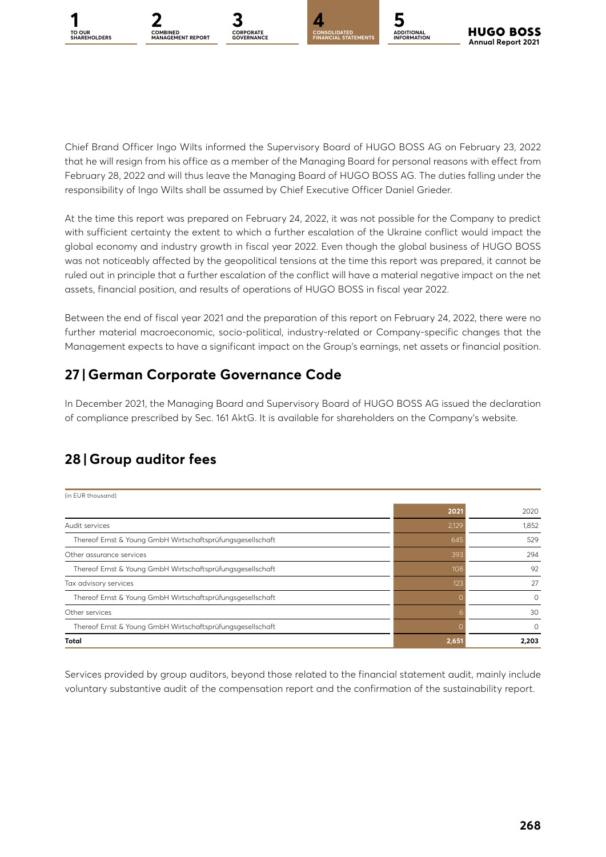



**ADDITIONAL INFORMATION**

Chief Brand Officer Ingo Wilts informed the Supervisory Board of HUGO BOSS AG on February 23, 2022 that he will resign from his office as a member of the Managing Board for personal reasons with effect from February 28, 2022 and will thus leave the Managing Board of HUGO BOSS AG. The duties falling under the responsibility of Ingo Wilts shall be assumed by Chief Executive Officer Daniel Grieder.

At the time this report was prepared on February 24, 2022, it was not possible for the Company to predict with sufficient certainty the extent to which a further escalation of the Ukraine conflict would impact the global economy and industry growth in fiscal year 2022. Even though the global business of HUGO BOSS was not noticeably affected by the geopolitical tensions at the time this report was prepared, it cannot be ruled out in principle that a further escalation of the conflict will have a material negative impact on the net assets, financial position, and results of operations of HUGO BOSS in fiscal year 2022.

Between the end of fiscal year 2021 and the preparation of this report on February 24, 2022, there were no further material macroeconomic, socio-political, industry-related or Company-specific changes that the Management expects to have a significant impact on the Group's earnings, net assets or financial position.

## **27 |German Corporate Governance Code**

In December 2021, the Managing Board and Supervisory Board of HUGO BOSS AG issued the declaration of compliance prescribed by Sec. 161 AktG. It is available for shareholders on the Company's website.

## **28 |Group auditor fees**

| (in EUR thousand)                                          |       |          |
|------------------------------------------------------------|-------|----------|
|                                                            | 2021  | 2020     |
| Audit services                                             | 2,129 | 1,852    |
| Thereof Ernst & Young GmbH Wirtschaftsprüfungsgesellschaft | 645   | 529      |
| Other assurance services                                   | 393   | 294      |
| Thereof Ernst & Young GmbH Wirtschaftsprüfungsgesellschaft | 108   | 92       |
| Tax advisory services                                      | 123   | 27       |
| Thereof Ernst & Young GmbH Wirtschaftsprüfungsgesellschaft |       | $\cap$   |
| Other services                                             |       | 30       |
| Thereof Ernst & Young GmbH Wirtschaftsprüfungsgesellschaft |       | $\Omega$ |
| Total                                                      | 2,651 | 2,203    |

Services provided by group auditors, beyond those related to the financial statement audit, mainly include voluntary substantive audit of the compensation report and the confirmation of the sustainability report.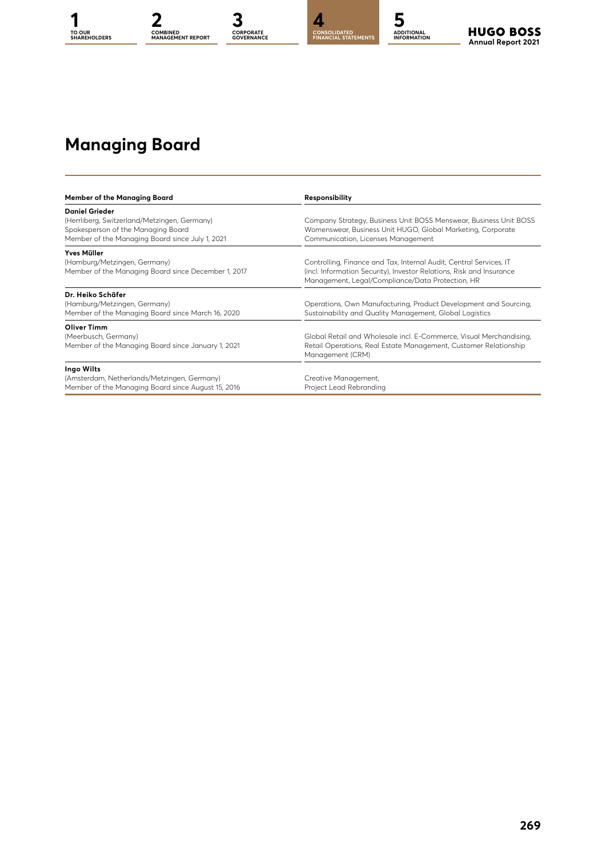





**ADDITIONAL INFORMATION**

## **Managing Board**

| <b>Member of the Managing Board</b>                                                                                                                     | Responsibility                                                                                                                                                                                 |  |  |  |
|---------------------------------------------------------------------------------------------------------------------------------------------------------|------------------------------------------------------------------------------------------------------------------------------------------------------------------------------------------------|--|--|--|
| Daniel Grieder<br>(Herrliberg, Switzerland/Metzingen, Germany)<br>Spokesperson of the Managing Board<br>Member of the Managing Board since July 1, 2021 | Company Strategy, Business Unit BOSS Menswear, Business Unit BOSS<br>Womenswear, Business Unit HUGO, Global Marketing, Corporate<br>Communication, Licenses Management                         |  |  |  |
| Yves Müller<br>(Hamburg/Metzingen, Germany)<br>Member of the Managing Board since December 1, 2017                                                      | Controlling, Finance and Tax, Internal Audit, Central Services, IT<br>(incl. Information Security), Investor Relations, Risk and Insurance<br>Management, Legal/Compliance/Data Protection, HR |  |  |  |
| Dr. Heiko Schäfer<br>(Hamburg/Metzingen, Germany)<br>Member of the Managing Board since March 16, 2020                                                  | Operations, Own Manufacturing, Product Development and Sourcing,<br>Sustainability and Quality Management, Global Logistics                                                                    |  |  |  |
| <b>Oliver Timm</b><br>(Meerbusch, Germany)<br>Member of the Managing Board since January 1, 2021                                                        | Global Retail and Wholesale incl. E-Commerce, Visual Merchandising,<br>Retail Operations, Real Estate Management, Customer Relationship<br>Management (CRM)                                    |  |  |  |
| Ingo Wilts<br>(Amsterdam, Netherlands/Metzingen, Germany)<br>Member of the Managing Board since August 15, 2016                                         | Creative Management,<br>Project Lead Rebranding                                                                                                                                                |  |  |  |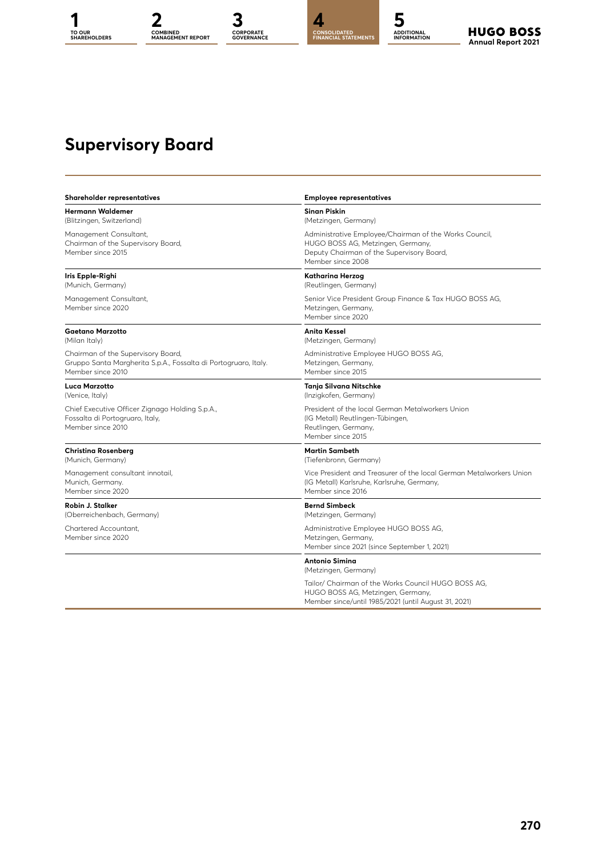



## **Supervisory Board**

| Shareholder representatives                                                                             | <b>Employee representatives</b>                                                                                                                               |  |  |  |
|---------------------------------------------------------------------------------------------------------|---------------------------------------------------------------------------------------------------------------------------------------------------------------|--|--|--|
| <b>Hermann Waldemer</b>                                                                                 | <b>Sinan Piskin</b>                                                                                                                                           |  |  |  |
| (Blitzingen, Switzerland)                                                                               | (Metzingen, Germany)                                                                                                                                          |  |  |  |
| Management Consultant,<br>Chairman of the Supervisory Board,<br>Member since 2015                       | Administrative Employee/Chairman of the Works Council,<br>HUGO BOSS AG, Metzingen, Germany,<br>Deputy Chairman of the Supervisory Board,<br>Member since 2008 |  |  |  |
| Iris Epple-Righi                                                                                        | Katharina Herzog                                                                                                                                              |  |  |  |
| (Munich, Germany)                                                                                       | (Reutlingen, Germany)                                                                                                                                         |  |  |  |
| Management Consultant,<br>Member since 2020                                                             | Senior Vice President Group Finance & Tax HUGO BOSS AG,<br>Metzingen, Germany,<br>Member since 2020                                                           |  |  |  |
| Gaetano Marzotto                                                                                        | Anita Kessel                                                                                                                                                  |  |  |  |
| (Milan Italy)                                                                                           | (Metzingen, Germany)                                                                                                                                          |  |  |  |
| Chairman of the Supervisory Board,                                                                      | Administrative Employee HUGO BOSS AG,                                                                                                                         |  |  |  |
| Gruppo Santa Margherita S.p.A., Fossalta di Portogruaro, Italy.                                         | Metzingen, Germany,                                                                                                                                           |  |  |  |
| Member since 2010                                                                                       | Member since 2015                                                                                                                                             |  |  |  |
| Luca Marzotto                                                                                           | Tanja Silvana Nitschke                                                                                                                                        |  |  |  |
| (Venice, Italy)                                                                                         | (Inzigkofen, Germany)                                                                                                                                         |  |  |  |
| Chief Executive Officer Zignago Holding S.p.A.,<br>Fossalta di Portogruaro, Italy,<br>Member since 2010 | President of the local German Metalworkers Union<br>(IG Metall) Reutlingen-Tübingen,<br>Reutlingen, Germany,<br>Member since 2015                             |  |  |  |
| <b>Christina Rosenberg</b>                                                                              | <b>Martin Sambeth</b>                                                                                                                                         |  |  |  |
| (Munich, Germany)                                                                                       | (Tiefenbronn, Germany)                                                                                                                                        |  |  |  |
| Management consultant innotail,                                                                         | Vice President and Treasurer of the local German Metalworkers Union                                                                                           |  |  |  |
| Munich, Germany.                                                                                        | (IG Metall) Karlsruhe, Karlsruhe, Germany,                                                                                                                    |  |  |  |
| Member since 2020                                                                                       | Member since 2016                                                                                                                                             |  |  |  |
| Robin J. Stalker                                                                                        | <b>Bernd Simbeck</b>                                                                                                                                          |  |  |  |
| (Oberreichenbach, Germany)                                                                              | (Metzingen, Germany)                                                                                                                                          |  |  |  |
| Chartered Accountant.<br>Member since 2020                                                              | Administrative Employee HUGO BOSS AG,<br>Metzingen, Germany,<br>Member since 2021 (since September 1, 2021)                                                   |  |  |  |
|                                                                                                         | <b>Antonio Simina</b><br>(Metzingen, Germany)                                                                                                                 |  |  |  |
|                                                                                                         | Tailor/ Chairman of the Works Council HUGO BOSS AG,<br>HUGO BOSS AG, Metzingen, Germany,<br>Member since/until 1985/2021 (until August 31, 2021)              |  |  |  |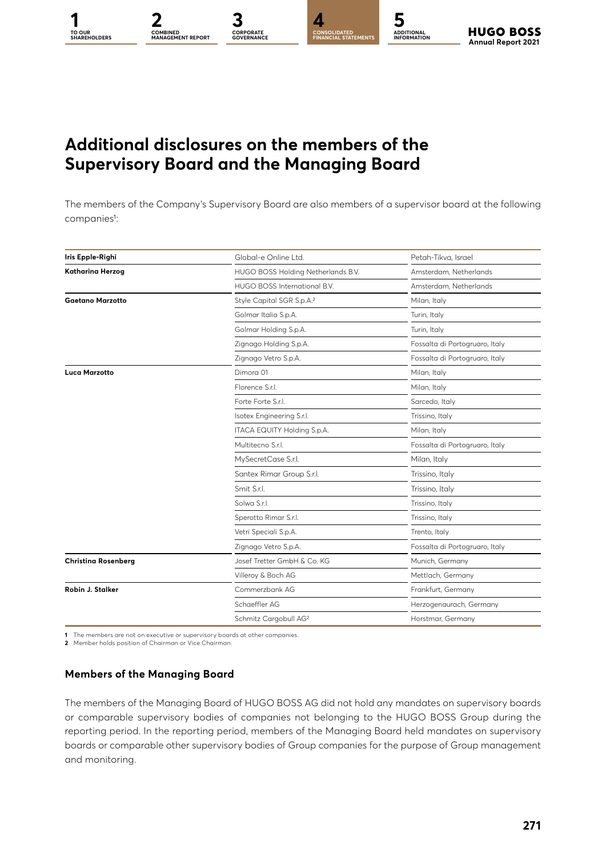**CONSOLIDATED FINANCIAL STATEMENTS**

**ADDITIONAL INFORMATION**

## **Additional disclosures on the members of the Supervisory Board and the Managing Board**

The members of the Company's Supervisory Board are also members of a supervisor board at the following companies<sup>1</sup>:

| Iris Epple-Righi           | Global-e Online Ltd.                  | Petah-Tikva, Israel            |  |  |
|----------------------------|---------------------------------------|--------------------------------|--|--|
| Katharina Herzog           | HUGO BOSS Holding Netherlands B.V.    | Amsterdam, Netherlands         |  |  |
|                            | HUGO BOSS International B.V.          | Amsterdam, Netherlands         |  |  |
| <b>Gaetano Marzotto</b>    | Style Capital SGR S.p.A. <sup>2</sup> | Milan, Italy                   |  |  |
|                            | Golmar Italia S.p.A.                  | Turin, Italy                   |  |  |
|                            | Golmar Holding S.p.A.                 | Turin, Italy                   |  |  |
|                            | Zignago Holding S.p.A.                | Fossalta di Portogruaro, Italy |  |  |
|                            | Zignago Vetro S.p.A.                  | Fossalta di Portogruaro, Italy |  |  |
| Luca Marzotto              | Dimora 01                             | Milan, Italy                   |  |  |
|                            | Florence S.r.l.                       | Milan, Italy                   |  |  |
|                            | Forte Forte S.r.l.                    | Sarcedo, Italy                 |  |  |
|                            | Isotex Engineering S.r.l.             | Trissino, Italy                |  |  |
|                            | ITACA EQUITY Holding S.p.A.           | Milan, Italy                   |  |  |
|                            | Multitecno S.r.l.                     | Fossalta di Portogruaro, Italy |  |  |
|                            | MySecretCase S.r.l.                   | Milan, Italy                   |  |  |
|                            | Santex Rimar Group S.r.l.             | Trissino, Italy                |  |  |
|                            | Smit S.r.l.                           | Trissino, Italy                |  |  |
|                            | Solwa S.r.l.                          | Trissino, Italy                |  |  |
|                            | Sperotto Rimar S.r.l.                 | Trissino, Italy                |  |  |
|                            | Vetri Speciali S.p.A.                 | Trento, Italy                  |  |  |
|                            | Zignago Vetro S.p.A.                  | Fossalta di Portogruaro, Italy |  |  |
| <b>Christina Rosenberg</b> | Josef Tretter GmbH & Co. KG           | Munich, Germany                |  |  |
|                            | Villeroy & Boch AG                    | Mettlach, Germany              |  |  |
| Robin J. Stalker           | Commerzbank AG                        | Frankfurt, Germany             |  |  |
|                            | Schaeffler AG                         | Herzogenaurach, Germany        |  |  |
|                            | Schmitz Cargobull AG <sup>2</sup>     | Horstmar, Germany              |  |  |

**1** The members are not on executive or supervisory boards at other companies.

**2** Member holds position of Chairman or Vice Chairman.

#### **Members of the Managing Board**

The members of the Managing Board of HUGO BOSS AG did not hold any mandates on supervisory boards or comparable supervisory bodies of companies not belonging to the HUGO BOSS Group during the reporting period. In the reporting period, members of the Managing Board held mandates on supervisory boards or comparable other supervisory bodies of Group companies for the purpose of Group management and monitoring.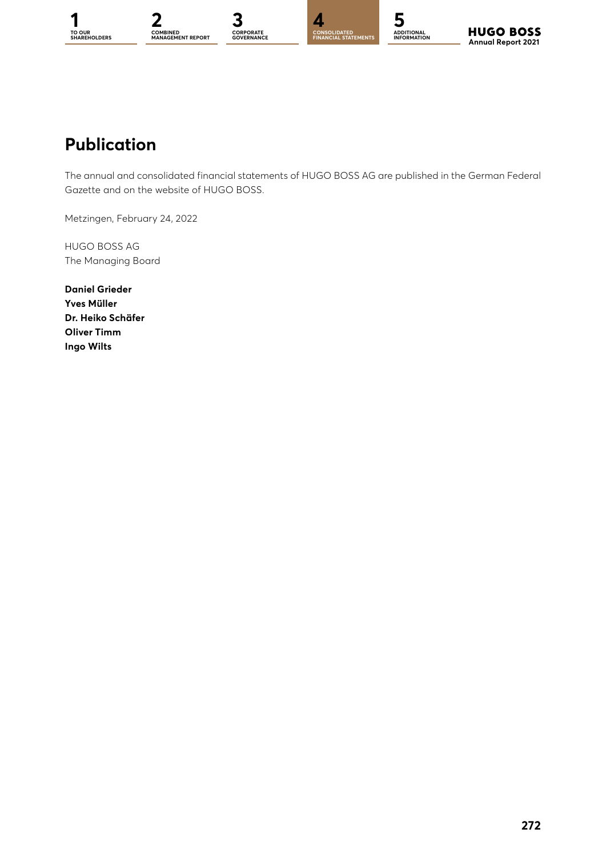







## **Publication**

The annual and consolidated financial statements of HUGO BOSS AG are published in the German Federal Gazette and on the website of HUGO BOSS.

Metzingen, February 24, 2022

HUGO BOSS AG The Managing Board

**Daniel Grieder Yves Müller Dr. Heiko Schäfer Oliver Timm Ingo Wilts**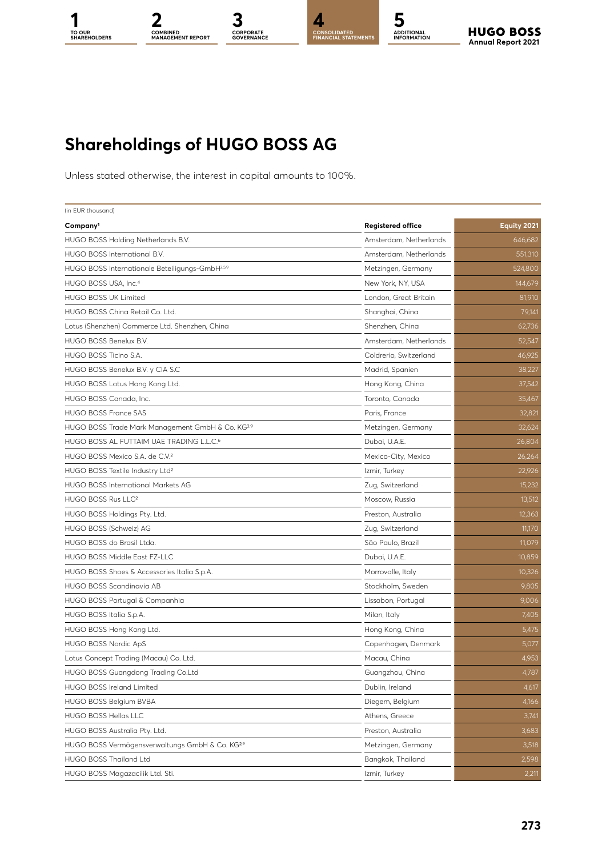**1 2 3 [4](#page-0-0) 5 CORPORATE CONSOLIDATED FINANCIAL STATEMENTS**

**ADDITIONAL INFORMATION**

## **Shareholdings of HUGO BOSS AG**

Unless stated otherwise, the interest in capital amounts to 100%.

| (in EUR thousand)                                            |                        |             |
|--------------------------------------------------------------|------------------------|-------------|
| Company <sup>1</sup>                                         | Registered office      | Equity 2021 |
| HUGO BOSS Holding Netherlands B.V.                           | Amsterdam, Netherlands | 646,682     |
| HUGO BOSS International B.V.                                 | Amsterdam, Netherlands | 551,310     |
| HUGO BOSS Internationale Beteiligungs-GmbH <sup>2,5,9</sup>  | Metzingen, Germany     | 524,800     |
| HUGO BOSS USA, Inc. <sup>4</sup>                             | New York, NY, USA      | 144,679     |
| <b>HUGO BOSS UK Limited</b>                                  | London, Great Britain  | 81,910      |
| HUGO BOSS China Retail Co. Ltd.                              | Shanghai, China        | 79,141      |
| Lotus (Shenzhen) Commerce Ltd. Shenzhen, China               | Shenzhen, China        | 62,736      |
| HUGO BOSS Benelux B.V.                                       | Amsterdam, Netherlands | 52,547      |
| HUGO BOSS Ticino S.A.                                        | Coldrerio, Switzerland | 46,925      |
| HUGO BOSS Benelux B.V. y CIA S.C                             | Madrid, Spanien        | 38,227      |
| HUGO BOSS Lotus Hong Kong Ltd.                               | Hong Kong, China       | 37,542      |
| HUGO BOSS Canada, Inc.                                       | Toronto, Canada        | 35,467      |
| <b>HUGO BOSS France SAS</b>                                  | Paris, France          | 32,821      |
| HUGO BOSS Trade Mark Management GmbH & Co. KG <sup>2,9</sup> | Metzingen, Germany     | 32,624      |
| HUGO BOSS AL FUTTAIM UAE TRADING L.L.C. <sup>6</sup>         | Dubai, U.A.E.          | 26,804      |
| HUGO BOSS Mexico S.A. de C.V. <sup>2</sup>                   | Mexico-City, Mexico    | 26,264      |
| HUGO BOSS Textile Industry Ltd <sup>2</sup>                  | Izmir, Turkey          | 22,926      |
| <b>HUGO BOSS International Markets AG</b>                    | Zug, Switzerland       | 15,232      |
| HUGO BOSS Rus LLC <sup>2</sup>                               | Moscow, Russia         | 13,512      |
| HUGO BOSS Holdings Pty. Ltd.                                 | Preston, Australia     | 12,363      |
| HUGO BOSS (Schweiz) AG                                       | Zug, Switzerland       | 11,170      |
| HUGO BOSS do Brasil Ltda.                                    | São Paulo, Brazil      | 11,079      |
| HUGO BOSS Middle East FZ-LLC                                 | Dubai, U.A.E.          | 10,859      |
| HUGO BOSS Shoes & Accessories Italia S.p.A.                  | Morrovalle, Italy      | 10,326      |
| HUGO BOSS Scandinavia AB                                     | Stockholm, Sweden      | 9,805       |
| HUGO BOSS Portugal & Companhia                               | Lissabon, Portugal     | 9,006       |
| HUGO BOSS Italia S.p.A.                                      | Milan, Italy           | 7,405       |
| HUGO BOSS Hong Kong Ltd.                                     | Hong Kong, China       | 5,475       |
| <b>HUGO BOSS Nordic ApS</b>                                  | Copenhagen, Denmark    | 5,077       |
| Lotus Concept Trading (Macau) Co. Ltd.                       | Macau, China           | 4,953       |
| HUGO BOSS Guangdong Trading Co.Ltd                           | Guangzhou, China       | 4,787       |
| HUGO BOSS Ireland Limited                                    | Dublin, Ireland        | 4,617       |
| HUGO BOSS Belgium BVBA                                       | Diegem, Belgium        | 4,166       |
| HUGO BOSS Hellas LLC                                         | Athens, Greece         | 3,741       |
| HUGO BOSS Australia Pty. Ltd.                                | Preston, Australia     | 3,683       |
| HUGO BOSS Vermögensverwaltungs GmbH & Co. KG <sup>2,9</sup>  | Metzingen, Germany     | 3,518       |
| HUGO BOSS Thailand Ltd                                       | Bangkok, Thailand      | 2,598       |
| HUGO BOSS Magazacilik Ltd. Sti.                              | Izmir, Turkey          | 2,211       |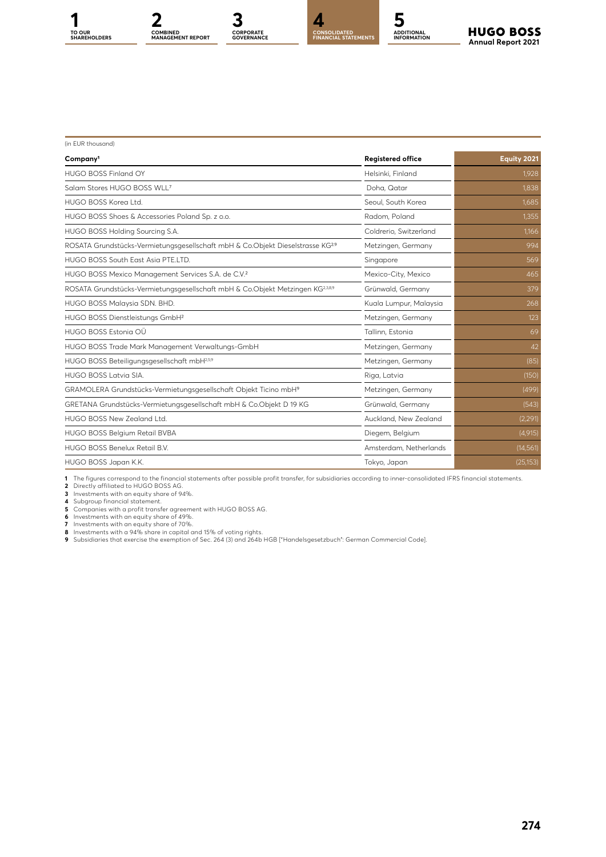





| (in EUR thousand)                                                                          |                          |             |
|--------------------------------------------------------------------------------------------|--------------------------|-------------|
| Company <sup>1</sup>                                                                       | <b>Registered office</b> | Equity 2021 |
| HUGO BOSS Finland OY                                                                       | Helsinki, Finland        | 1,928       |
| Salam Stores HUGO BOSS WLL7                                                                | Doha, Qatar              | 1.838       |
| HUGO BOSS Korea Ltd.                                                                       | Seoul, South Korea       | 1,685       |
| HUGO BOSS Shoes & Accessories Poland Sp. z o.o.                                            | Radom, Poland            | 1.355       |
| HUGO BOSS Holding Sourcing S.A.                                                            | Coldrerio, Switzerland   | 1,166       |
| ROSATA Grundstücks-Vermietungsgesellschaft mbH & Co.Objekt Dieselstrasse KG <sup>29</sup>  | Metzingen, Germany       | 994         |
| HUGO BOSS South East Asia PTE.LTD.                                                         | Singapore                | 569         |
| HUGO BOSS Mexico Management Services S.A. de C.V. <sup>2</sup>                             | Mexico-City, Mexico      | 465         |
| ROSATA Grundstücks-Vermietungsgesellschaft mbH & Co.Objekt Metzingen KG <sup>2,3,8,9</sup> | Grünwald, Germany        | 379         |
| HUGO BOSS Malaysia SDN. BHD.                                                               | Kuala Lumpur, Malaysia   | 268         |
| HUGO BOSS Dienstleistungs GmbH <sup>2</sup>                                                | Metzingen, Germany       | 123         |
| HUGO BOSS Estonia OÜ                                                                       | Tallinn, Estonia         | 69          |
| HUGO BOSS Trade Mark Management Verwaltungs-GmbH                                           | Metzingen, Germany       | 42          |
| HUGO BOSS Beteiligungsgesellschaft mbH <sup>2,5,9</sup>                                    | Metzingen, Germany       | (85)        |
| HUGO BOSS Latvia SIA.                                                                      | Riga, Latvia             | (150)       |
| GRAMOLERA Grundstücks-Vermietungsgesellschaft Objekt Ticino mbH9                           | Metzingen, Germany       | (499)       |
| GRETANA Grundstücks-Vermietungsgesellschaft mbH & Co.Objekt D 19 KG                        | Grünwald, Germany        | (543)       |
| HUGO BOSS New Zealand Ltd.                                                                 | Auckland, New Zealand    | (2, 291)    |
| HUGO BOSS Belgium Retail BVBA                                                              | Diegem, Belgium          | (4,915)     |
| HUGO BOSS Benelux Retail B.V.                                                              | Amsterdam, Netherlands   | (14, 561)   |
| HUGO BOSS Japan K.K.                                                                       | Tokyo, Japan             | (25, 153)   |

**1** The figures correspond to the financial statements after possible profit transfer, for subsidiaries according to inner-consolidated IFRS financial statements. **2** Directly affiliated to HUGO BOSS AG.

**3** Investments with an equity share of 94%. **4** Subgroup financial statement. **5** Companies with a profit transfer agreement with HUGO BOSS AG.

6 Investments with an equity share of 49%.<br>7 Investments with an equity share of 70%.<br>8 Investments with a 94% share in capital and 15% of voting rights.<br>9 Subsidiaries that exercise the exemption of Sec. 264 (3) a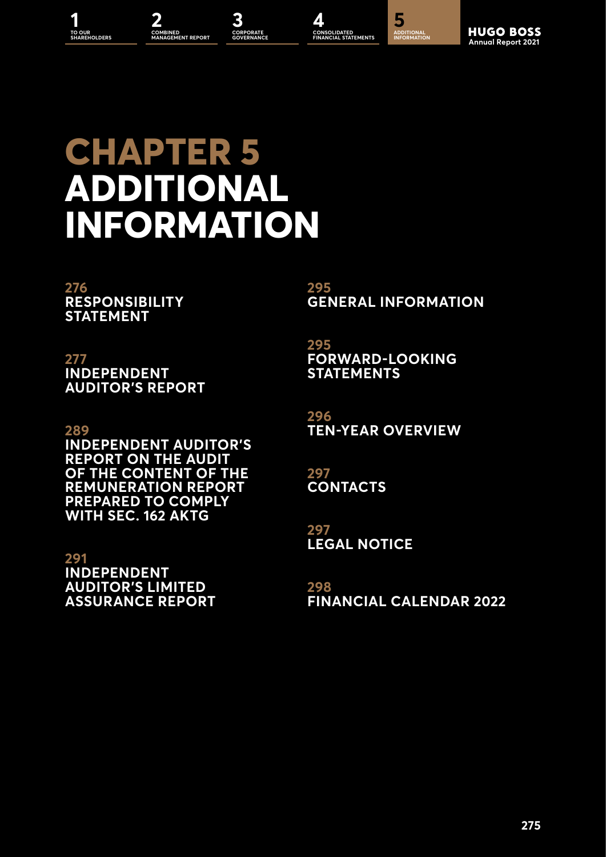**COMBINED MANAGEMENT REPORT**

**CORPORATE**<br>GOVERNANCE

<span id="page-80-0"></span>



## **CHAPTER 5 ADDITIONAL INFORMATION**

## **[276](#page-81-0)**

**[RESPONSIBILITY](#page-81-0)  [STATEMENT](#page-81-0)**

## **[277](#page-82-0)**

**[INDEPENDENT](#page-82-0)  [AUDITOR'S REPORT](#page-82-0)**

### **[289](#page-94-0)**

**[INDEPENDENT AUDITOR'S](#page-94-0)  [REPORT ON THE AUDIT](#page-94-0)  [OF THE CONTENT OF THE](#page-94-0)  [REMUNERATION REPORT](#page-94-0)  [PREPARED TO COMPLY](#page-94-0)  WITH SEC. [162 AKTG](#page-94-0)**

### **[291](#page-96-0)**

**[INDEPENDENT](#page-96-0)  [AUDITOR'S LIMITED](#page-96-0)  [ASSURANCE REPORT](#page-96-0)** **[295](#page-100-0) [GENERAL INFORMATION](#page-100-0)**

**[295](#page-100-0) [FORWARD-LOOKING](#page-100-0)  [STATEMENTS](#page-100-0)**

**[296](#page-101-0) [TEN-YEAR OVERVIEW](#page-101-0)**

**[297](#page-102-0) [CONTACTS](#page-102-0)**

**[297](#page-102-0) [LEGAL NOTICE](#page-102-0)**

## **[298](#page-103-0)**

**[FINANCIAL CALENDAR 2022](#page-103-0)**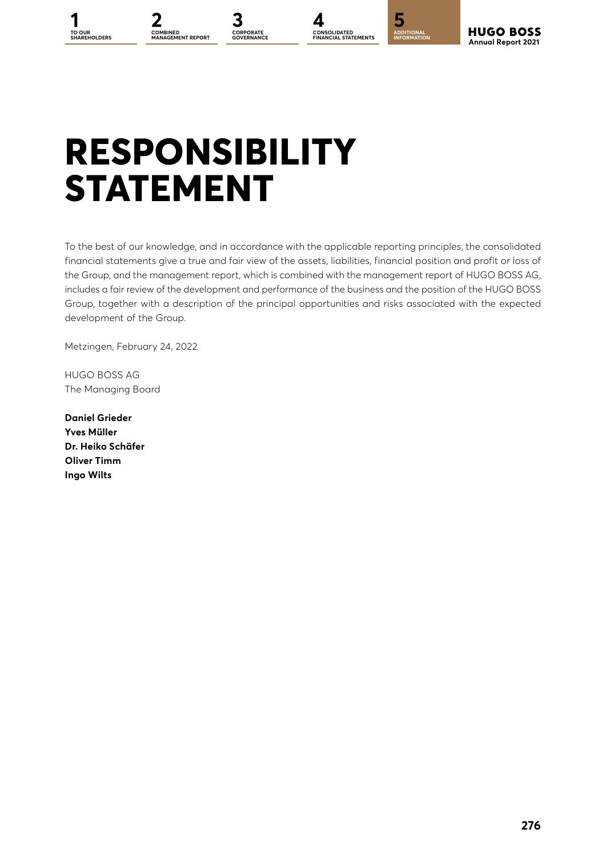<span id="page-81-0"></span>



# **RESPONSIBILITY STATEMENT**

To the best of our knowledge, and in accordance with the applicable reporting principles, the consolidated financial statements give a true and fair view of the assets, liabilities, financial position and profit or loss of the Group, and the management report, which is combined with the management report of HUGO BOSS AG, includes a fair review of the development and performance of the business and the position of the HUGO BOSS Group, together with a description of the principal opportunities and risks associated with the expected development of the Group.

Metzingen, February 24, 2022

HUGO BOSS AG The Managing Board

**Daniel Grieder Yves Müller Dr. Heiko Schäfer Oliver Timm Ingo Wilts**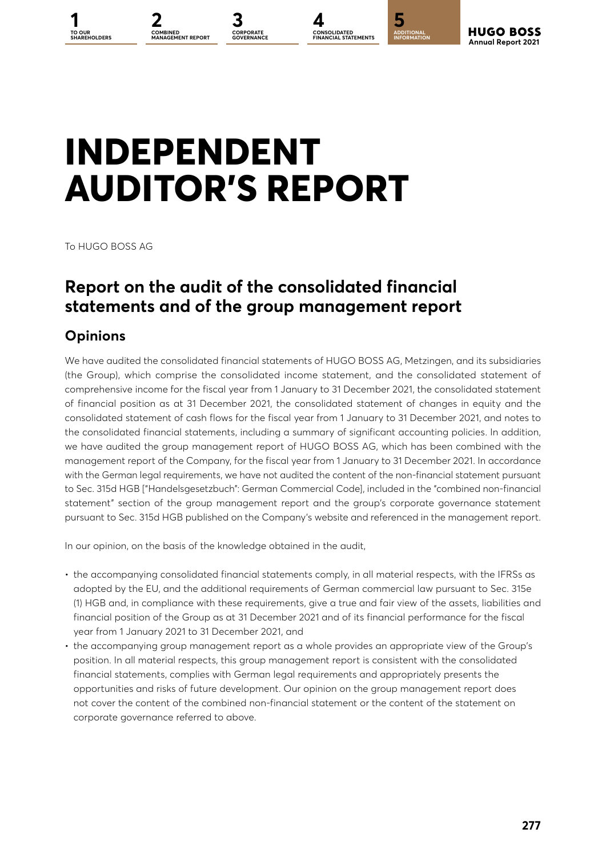**COMBINED MANAGEMENT REPORT**

**CORPORATE** 

<span id="page-82-0"></span>**1 2 3 4 [5](#page-80-0) CORPORATE CONSOLIDATED FINANCIAL STATEMENTS**



# **INDEPENDENT AUDITOR'S REPORT**

To HUGO BOSS AG

## **Report on the audit of the consolidated financial statements and of the group management report**

## **Opinions**

We have audited the consolidated financial statements of HUGO BOSS AG, Metzingen, and its subsidiaries (the Group), which comprise the consolidated income statement, and the consolidated statement of comprehensive income for the fiscal year from 1 January to 31 December 2021, the consolidated statement of financial position as at 31 December 2021, the consolidated statement of changes in equity and the consolidated statement of cash flows for the fiscal year from 1 January to 31 December 2021, and notes to the consolidated financial statements, including a summary of significant accounting policies. In addition, we have audited the group management report of HUGO BOSS AG, which has been combined with the management report of the Company, for the fiscal year from 1 January to 31 December 2021. In accordance with the German legal requirements, we have not audited the content of the non-financial statement pursuant to Sec. 315d HGB ["Handelsgesetzbuch": German Commercial Code], included in the "combined non-financial statement" section of the group management report and the group's corporate governance statement pursuant to Sec. 315d HGB published on the Company's website and referenced in the management report.

In our opinion, on the basis of the knowledge obtained in the audit,

- the accompanying consolidated financial statements comply, in all material respects, with the IFRSs as adopted by the EU, and the additional requirements of German commercial law pursuant to Sec. 315e (1) HGB and, in compliance with these requirements, give a true and fair view of the assets, liabilities and financial position of the Group as at 31 December 2021 and of its financial performance for the fiscal year from 1 January 2021 to 31 December 2021, and
- the accompanying group management report as a whole provides an appropriate view of the Group's position. In all material respects, this group management report is consistent with the consolidated financial statements, complies with German legal requirements and appropriately presents the opportunities and risks of future development. Our opinion on the group management report does not cover the content of the combined non-financial statement or the content of the statement on corporate governance referred to above.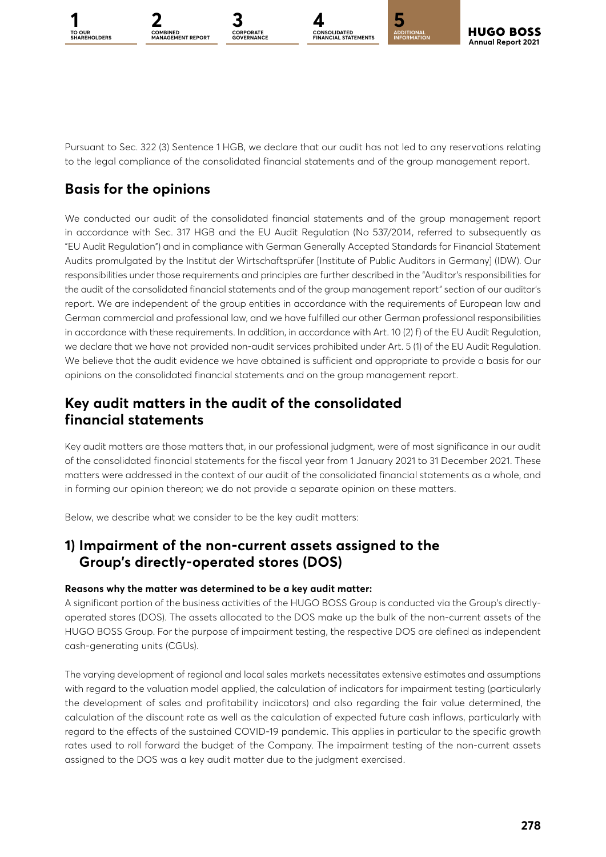**1 2 3 4 [5](#page-80-0) CORPORATE**  CORPORATE<br>GOVERNANCE **CONSOLIDATED FINANCIAL STATEMENTS ADDITIONAL INFORMATION COMBINED MANAGEMENT REPORT TO OUR** 

Pursuant to Sec. 322 (3) Sentence 1 HGB, we declare that our audit has not led to any reservations relating to the legal compliance of the consolidated financial statements and of the group management report.

## **Basis for the opinions**

We conducted our audit of the consolidated financial statements and of the group management report in accordance with Sec. 317 HGB and the EU Audit Regulation (No 537/2014, referred to subsequently as "EU Audit Regulation") and in compliance with German Generally Accepted Standards for Financial Statement Audits promulgated by the Institut der Wirtschaftsprüfer [Institute of Public Auditors in Germany] (IDW). Our responsibilities under those requirements and principles are further described in the "Auditor's responsibilities for the audit of the consolidated financial statements and of the group management report" section of our auditor's report. We are independent of the group entities in accordance with the requirements of European law and German commercial and professional law, and we have fulfilled our other German professional responsibilities in accordance with these requirements. In addition, in accordance with Art. 10 (2) f) of the EU Audit Regulation, we declare that we have not provided non-audit services prohibited under Art. 5 (1) of the EU Audit Regulation. We believe that the audit evidence we have obtained is sufficient and appropriate to provide a basis for our opinions on the consolidated financial statements and on the group management report.

## **Key audit matters in the audit of the consolidated financial statements**

Key audit matters are those matters that, in our professional judgment, were of most significance in our audit of the consolidated financial statements for the fiscal year from 1 January 2021 to 31 December 2021. These matters were addressed in the context of our audit of the consolidated financial statements as a whole, and in forming our opinion thereon; we do not provide a separate opinion on these matters.

Below, we describe what we consider to be the key audit matters:

### **1) Impairment of the non-current assets assigned to the Group's directly-operated stores (DOS)**

#### **Reasons why the matter was determined to be a key audit matter:**

A significant portion of the business activities of the HUGO BOSS Group is conducted via the Group's directlyoperated stores (DOS). The assets allocated to the DOS make up the bulk of the non-current assets of the HUGO BOSS Group. For the purpose of impairment testing, the respective DOS are defined as independent cash-generating units (CGUs).

The varying development of regional and local sales markets necessitates extensive estimates and assumptions with regard to the valuation model applied, the calculation of indicators for impairment testing (particularly the development of sales and profitability indicators) and also regarding the fair value determined, the calculation of the discount rate as well as the calculation of expected future cash inflows, particularly with regard to the effects of the sustained COVID-19 pandemic. This applies in particular to the specific growth rates used to roll forward the budget of the Company. The impairment testing of the non-current assets assigned to the DOS was a key audit matter due to the judgment exercised.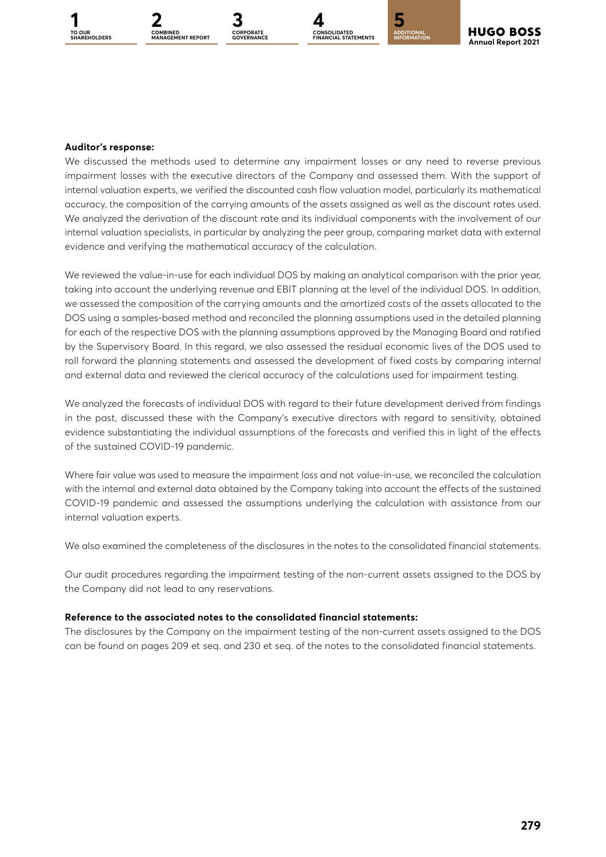**TO OUR** 



#### **Auditor's response:**

We discussed the methods used to determine any impairment losses or any need to reverse previous impairment losses with the executive directors of the Company and assessed them. With the support of internal valuation experts, we verified the discounted cash flow valuation model, particularly its mathematical accuracy, the composition of the carrying amounts of the assets assigned as well as the discount rates used. We analyzed the derivation of the discount rate and its individual components with the involvement of our internal valuation specialists, in particular by analyzing the peer group, comparing market data with external evidence and verifying the mathematical accuracy of the calculation.

We reviewed the value-in-use for each individual DOS by making an analytical comparison with the prior year, taking into account the underlying revenue and EBIT planning at the level of the individual DOS. In addition, we assessed the composition of the carrying amounts and the amortized costs of the assets allocated to the DOS using a samples-based method and reconciled the planning assumptions used in the detailed planning for each of the respective DOS with the planning assumptions approved by the Managing Board and ratified by the Supervisory Board. In this regard, we also assessed the residual economic lives of the DOS used to roll forward the planning statements and assessed the development of fixed costs by comparing internal and external data and reviewed the clerical accuracy of the calculations used for impairment testing.

We analyzed the forecasts of individual DOS with regard to their future development derived from findings in the past, discussed these with the Company's executive directors with regard to sensitivity, obtained evidence substantiating the individual assumptions of the forecasts and verified this in light of the effects of the sustained COVID-19 pandemic.

Where fair value was used to measure the impairment loss and not value-in-use, we reconciled the calculation with the internal and external data obtained by the Company taking into account the effects of the sustained COVID-19 pandemic and assessed the assumptions underlying the calculation with assistance from our internal valuation experts.

We also examined the completeness of the disclosures in the notes to the consolidated financial statements.

Our audit procedures regarding the impairment testing of the non-current assets assigned to the DOS by the Company did not lead to any reservations.

#### **Reference to the associated notes to the consolidated financial statements:**

The disclosures by the Company on the impairment testing of the non-current assets assigned to the DOS can be found on pages 209 et seq. and 230 et seq. of the notes to the consolidated financial statements.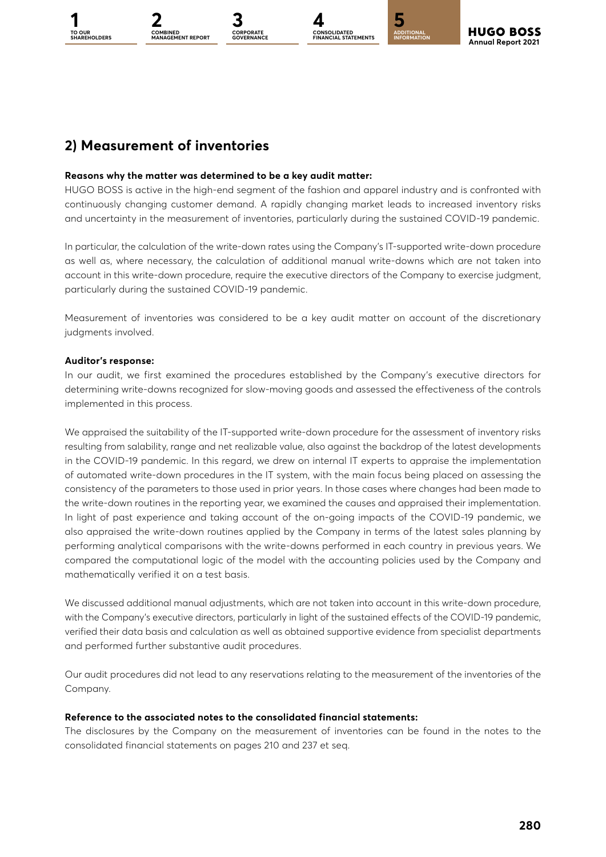**GOVERNANCE**



## **2) Measurement of inventories**

#### **Reasons why the matter was determined to be a key audit matter:**

HUGO BOSS is active in the high-end segment of the fashion and apparel industry and is confronted with continuously changing customer demand. A rapidly changing market leads to increased inventory risks and uncertainty in the measurement of inventories, particularly during the sustained COVID-19 pandemic.

In particular, the calculation of the write-down rates using the Company's IT-supported write-down procedure as well as, where necessary, the calculation of additional manual write-downs which are not taken into account in this write-down procedure, require the executive directors of the Company to exercise judgment, particularly during the sustained COVID-19 pandemic.

Measurement of inventories was considered to be a key audit matter on account of the discretionary judgments involved.

#### **Auditor's response:**

In our audit, we first examined the procedures established by the Company's executive directors for determining write-downs recognized for slow-moving goods and assessed the effectiveness of the controls implemented in this process.

We appraised the suitability of the IT-supported write-down procedure for the assessment of inventory risks resulting from salability, range and net realizable value, also against the backdrop of the latest developments in the COVID-19 pandemic. In this regard, we drew on internal IT experts to appraise the implementation of automated write-down procedures in the IT system, with the main focus being placed on assessing the consistency of the parameters to those used in prior years. In those cases where changes had been made to the write-down routines in the reporting year, we examined the causes and appraised their implementation. In light of past experience and taking account of the on-going impacts of the COVID-19 pandemic, we also appraised the write-down routines applied by the Company in terms of the latest sales planning by performing analytical comparisons with the write-downs performed in each country in previous years. We compared the computational logic of the model with the accounting policies used by the Company and mathematically verified it on a test basis.

We discussed additional manual adjustments, which are not taken into account in this write-down procedure, with the Company's executive directors, particularly in light of the sustained effects of the COVID-19 pandemic, verified their data basis and calculation as well as obtained supportive evidence from specialist departments and performed further substantive audit procedures.

Our audit procedures did not lead to any reservations relating to the measurement of the inventories of the Company.

#### **Reference to the associated notes to the consolidated financial statements:**

The disclosures by the Company on the measurement of inventories can be found in the notes to the consolidated financial statements on pages 210 and 237 et seq.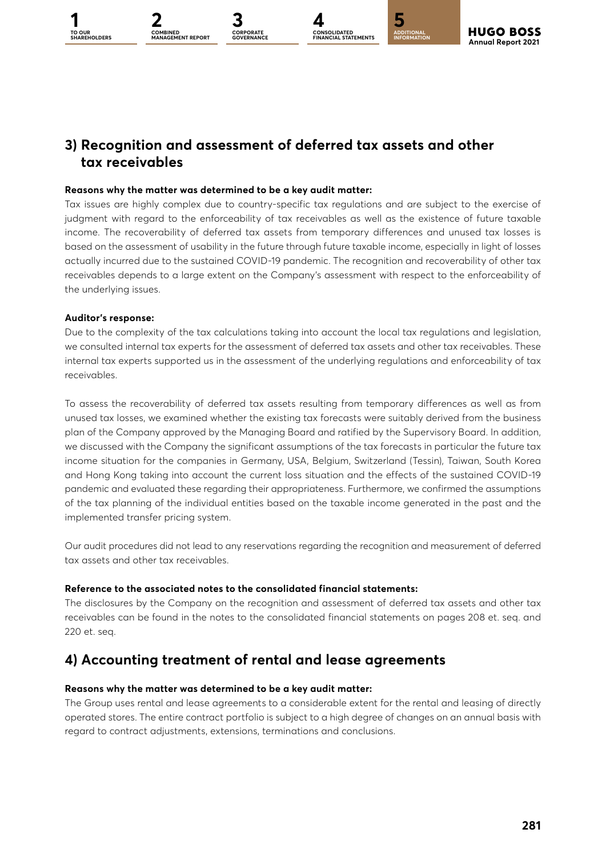

## **3) Recognition and assessment of deferred tax assets and other tax receivables**

#### **Reasons why the matter was determined to be a key audit matter:**

Tax issues are highly complex due to country-specific tax regulations and are subject to the exercise of judgment with regard to the enforceability of tax receivables as well as the existence of future taxable income. The recoverability of deferred tax assets from temporary differences and unused tax losses is based on the assessment of usability in the future through future taxable income, especially in light of losses actually incurred due to the sustained COVID-19 pandemic. The recognition and recoverability of other tax receivables depends to a large extent on the Company's assessment with respect to the enforceability of the underlying issues.

#### **Auditor's response:**

Due to the complexity of the tax calculations taking into account the local tax regulations and legislation, we consulted internal tax experts for the assessment of deferred tax assets and other tax receivables. These internal tax experts supported us in the assessment of the underlying regulations and enforceability of tax receivables.

To assess the recoverability of deferred tax assets resulting from temporary differences as well as from unused tax losses, we examined whether the existing tax forecasts were suitably derived from the business plan of the Company approved by the Managing Board and ratified by the Supervisory Board. In addition, we discussed with the Company the significant assumptions of the tax forecasts in particular the future tax income situation for the companies in Germany, USA, Belgium, Switzerland (Tessin), Taiwan, South Korea and Hong Kong taking into account the current loss situation and the effects of the sustained COVID-19 pandemic and evaluated these regarding their appropriateness. Furthermore, we confirmed the assumptions of the tax planning of the individual entities based on the taxable income generated in the past and the implemented transfer pricing system.

Our audit procedures did not lead to any reservations regarding the recognition and measurement of deferred tax assets and other tax receivables.

#### **Reference to the associated notes to the consolidated financial statements:**

The disclosures by the Company on the recognition and assessment of deferred tax assets and other tax receivables can be found in the notes to the consolidated financial statements on pages 208 et. seq. and 220 et. seq.

## **4) Accounting treatment of rental and lease agreements**

#### **Reasons why the matter was determined to be a key audit matter:**

The Group uses rental and lease agreements to a considerable extent for the rental and leasing of directly operated stores. The entire contract portfolio is subject to a high degree of changes on an annual basis with regard to contract adjustments, extensions, terminations and conclusions.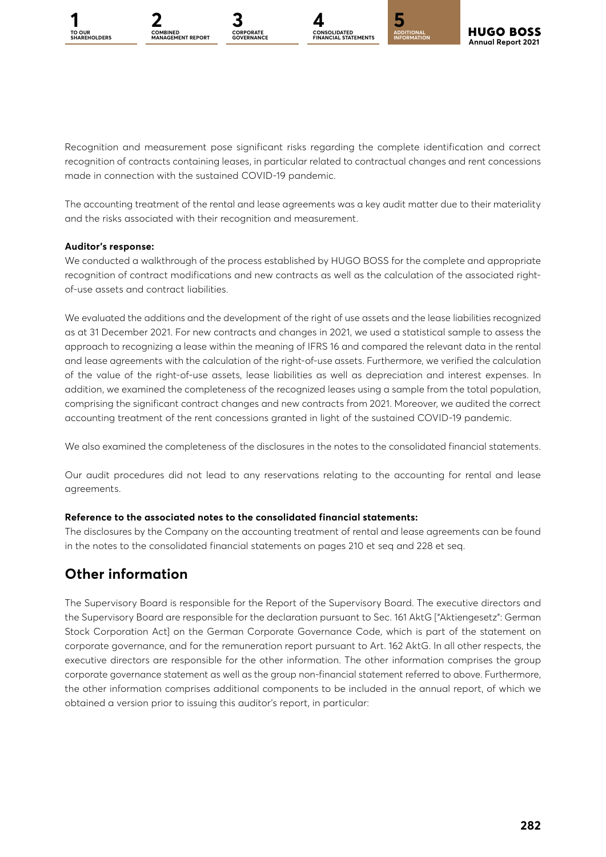**ADDITIONAL INFORMATION**

Recognition and measurement pose significant risks regarding the complete identification and correct recognition of contracts containing leases, in particular related to contractual changes and rent concessions made in connection with the sustained COVID-19 pandemic.

The accounting treatment of the rental and lease agreements was a key audit matter due to their materiality and the risks associated with their recognition and measurement.

#### **Auditor's response:**

We conducted a walkthrough of the process established by HUGO BOSS for the complete and appropriate recognition of contract modifications and new contracts as well as the calculation of the associated rightof-use assets and contract liabilities.

We evaluated the additions and the development of the right of use assets and the lease liabilities recognized as at 31 December 2021. For new contracts and changes in 2021, we used a statistical sample to assess the approach to recognizing a lease within the meaning of IFRS 16 and compared the relevant data in the rental and lease agreements with the calculation of the right-of-use assets. Furthermore, we verified the calculation of the value of the right-of-use assets, lease liabilities as well as depreciation and interest expenses. In addition, we examined the completeness of the recognized leases using a sample from the total population, comprising the significant contract changes and new contracts from 2021. Moreover, we audited the correct accounting treatment of the rent concessions granted in light of the sustained COVID-19 pandemic.

We also examined the completeness of the disclosures in the notes to the consolidated financial statements.

Our audit procedures did not lead to any reservations relating to the accounting for rental and lease agreements.

#### **Reference to the associated notes to the consolidated financial statements:**

The disclosures by the Company on the accounting treatment of rental and lease agreements can be found in the notes to the consolidated financial statements on pages 210 et seq and 228 et seq.

## **Other information**

The Supervisory Board is responsible for the Report of the Supervisory Board. The executive directors and the Supervisory Board are responsible for the declaration pursuant to Sec. 161 AktG ["Aktiengesetz": German Stock Corporation Act] on the German Corporate Governance Code, which is part of the statement on corporate governance, and for the remuneration report pursuant to Art. 162 AktG. In all other respects, the executive directors are responsible for the other information. The other information comprises the group corporate governance statement as well as the group non-financial statement referred to above. Furthermore, the other information comprises additional components to be included in the annual report, of which we obtained a version prior to issuing this auditor's report, in particular: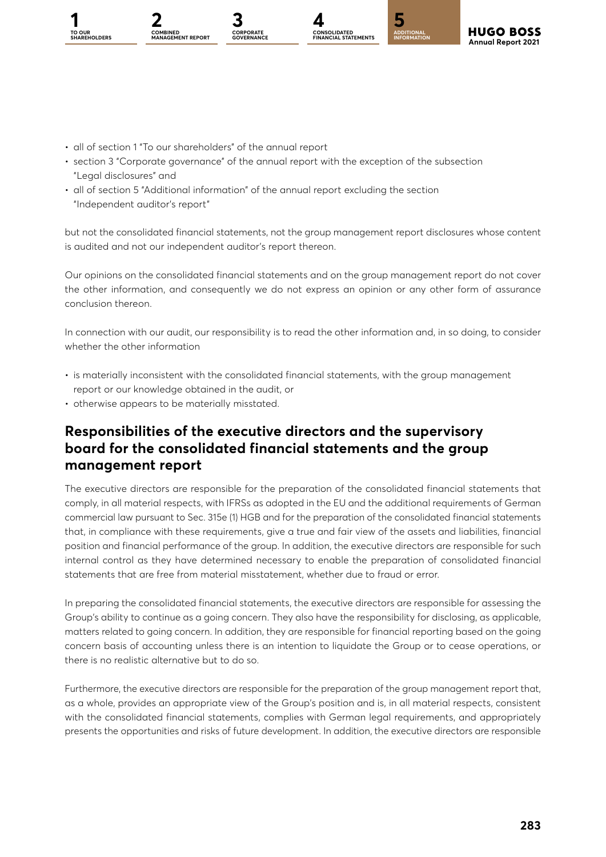- all of section 1 "To our shareholders" of the annual report
- section 3 "Corporate governance" of the annual report with the exception of the subsection "Legal disclosures" and
- all of section 5 "Additional information" of the annual report excluding the section "Independent auditor's report"

but not the consolidated financial statements, not the group management report disclosures whose content is audited and not our independent auditor's report thereon.

Our opinions on the consolidated financial statements and on the group management report do not cover the other information, and consequently we do not express an opinion or any other form of assurance conclusion thereon.

In connection with our audit, our responsibility is to read the other information and, in so doing, to consider whether the other information

- is materially inconsistent with the consolidated financial statements, with the group management report or our knowledge obtained in the audit, or
- otherwise appears to be materially misstated.

## **Responsibilities of the executive directors and the supervisory board for the consolidated financial statements and the group management report**

The executive directors are responsible for the preparation of the consolidated financial statements that comply, in all material respects, with IFRSs as adopted in the EU and the additional requirements of German commercial law pursuant to Sec. 315e (1) HGB and for the preparation of the consolidated financial statements that, in compliance with these requirements, give a true and fair view of the assets and liabilities, financial position and financial performance of the group. In addition, the executive directors are responsible for such internal control as they have determined necessary to enable the preparation of consolidated financial statements that are free from material misstatement, whether due to fraud or error.

In preparing the consolidated financial statements, the executive directors are responsible for assessing the Group's ability to continue as a going concern. They also have the responsibility for disclosing, as applicable, matters related to going concern. In addition, they are responsible for financial reporting based on the going concern basis of accounting unless there is an intention to liquidate the Group or to cease operations, or there is no realistic alternative but to do so.

Furthermore, the executive directors are responsible for the preparation of the group management report that, as a whole, provides an appropriate view of the Group's position and is, in all material respects, consistent with the consolidated financial statements, complies with German legal requirements, and appropriately presents the opportunities and risks of future development. In addition, the executive directors are responsible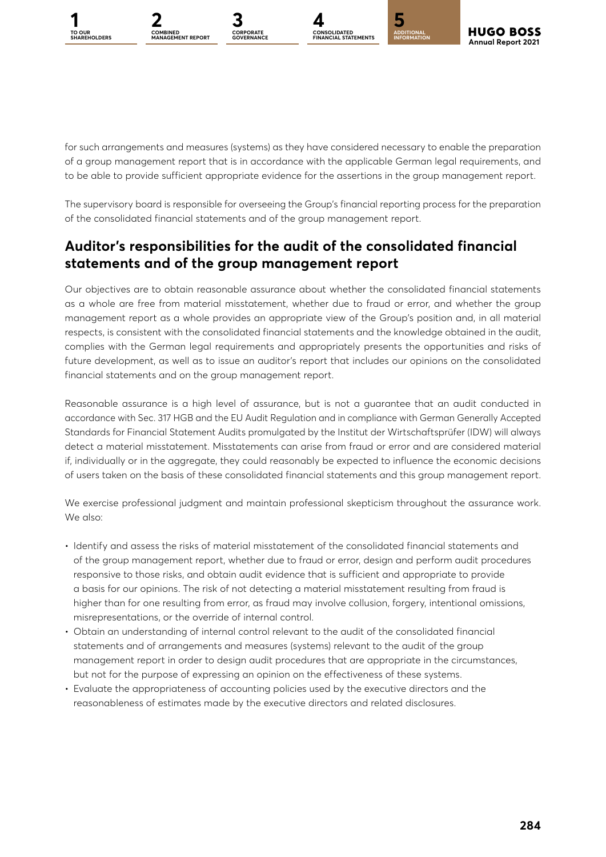

for such arrangements and measures (systems) as they have considered necessary to enable the preparation of a group management report that is in accordance with the applicable German legal requirements, and to be able to provide sufficient appropriate evidence for the assertions in the group management report.

The supervisory board is responsible for overseeing the Group's financial reporting process for the preparation of the consolidated financial statements and of the group management report.

## **Auditor's responsibilities for the audit of the consolidated financial statements and of the group management report**

Our objectives are to obtain reasonable assurance about whether the consolidated financial statements as a whole are free from material misstatement, whether due to fraud or error, and whether the group management report as a whole provides an appropriate view of the Group's position and, in all material respects, is consistent with the consolidated financial statements and the knowledge obtained in the audit, complies with the German legal requirements and appropriately presents the opportunities and risks of future development, as well as to issue an auditor's report that includes our opinions on the consolidated financial statements and on the group management report.

Reasonable assurance is a high level of assurance, but is not a guarantee that an audit conducted in accordance with Sec. 317 HGB and the EU Audit Regulation and in compliance with German Generally Accepted Standards for Financial Statement Audits promulgated by the Institut der Wirtschaftsprüfer (IDW) will always detect a material misstatement. Misstatements can arise from fraud or error and are considered material if, individually or in the aggregate, they could reasonably be expected to influence the economic decisions of users taken on the basis of these consolidated financial statements and this group management report.

We exercise professional judgment and maintain professional skepticism throughout the assurance work. We also:

- Identify and assess the risks of material misstatement of the consolidated financial statements and of the group management report, whether due to fraud or error, design and perform audit procedures responsive to those risks, and obtain audit evidence that is sufficient and appropriate to provide a basis for our opinions. The risk of not detecting a material misstatement resulting from fraud is higher than for one resulting from error, as fraud may involve collusion, forgery, intentional omissions, misrepresentations, or the override of internal control.
- Obtain an understanding of internal control relevant to the audit of the consolidated financial statements and of arrangements and measures (systems) relevant to the audit of the group management report in order to design audit procedures that are appropriate in the circumstances, but not for the purpose of expressing an opinion on the effectiveness of these systems.
- Evaluate the appropriateness of accounting policies used by the executive directors and the reasonableness of estimates made by the executive directors and related disclosures.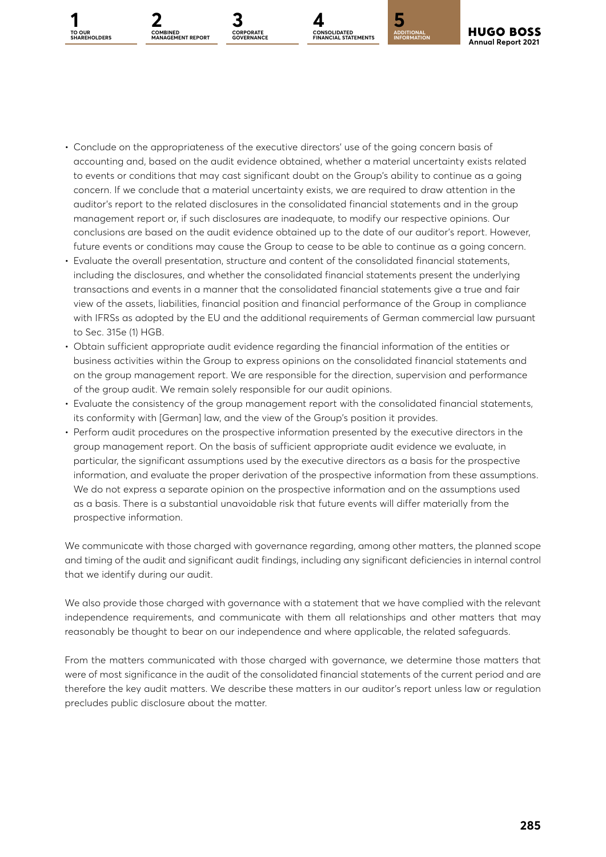• Conclude on the appropriateness of the executive directors' use of the going concern basis of accounting and, based on the audit evidence obtained, whether a material uncertainty exists related to events or conditions that may cast significant doubt on the Group's ability to continue as a going concern. If we conclude that a material uncertainty exists, we are required to draw attention in the auditor's report to the related disclosures in the consolidated financial statements and in the group management report or, if such disclosures are inadequate, to modify our respective opinions. Our conclusions are based on the audit evidence obtained up to the date of our auditor's report. However, future events or conditions may cause the Group to cease to be able to continue as a going concern.

**CONSOLIDATED FINANCIAL STATEMENTS**

**ADDITIONAL INFORMATION**

**Annual Report 2021** 

HUGO ROSS

**1 2 3 4 [5](#page-80-0) CORPORATE CORPORATE**<br>SOVERNANCE

**COMBINED MANAGEMENT REPORT**

**TO OUR** 

- Evaluate the overall presentation, structure and content of the consolidated financial statements, including the disclosures, and whether the consolidated financial statements present the underlying transactions and events in a manner that the consolidated financial statements give a true and fair view of the assets, liabilities, financial position and financial performance of the Group in compliance with IFRSs as adopted by the EU and the additional requirements of German commercial law pursuant to Sec. 315e (1) HGB.
- Obtain sufficient appropriate audit evidence regarding the financial information of the entities or business activities within the Group to express opinions on the consolidated financial statements and on the group management report. We are responsible for the direction, supervision and performance of the group audit. We remain solely responsible for our audit opinions.
- Evaluate the consistency of the group management report with the consolidated financial statements, its conformity with [German] law, and the view of the Group's position it provides.
- Perform audit procedures on the prospective information presented by the executive directors in the group management report. On the basis of sufficient appropriate audit evidence we evaluate, in particular, the significant assumptions used by the executive directors as a basis for the prospective information, and evaluate the proper derivation of the prospective information from these assumptions. We do not express a separate opinion on the prospective information and on the assumptions used as a basis. There is a substantial unavoidable risk that future events will differ materially from the prospective information.

We communicate with those charged with governance regarding, among other matters, the planned scope and timing of the audit and significant audit findings, including any significant deficiencies in internal control that we identify during our audit.

We also provide those charged with governance with a statement that we have complied with the relevant independence requirements, and communicate with them all relationships and other matters that may reasonably be thought to bear on our independence and where applicable, the related safeguards.

From the matters communicated with those charged with governance, we determine those matters that were of most significance in the audit of the consolidated financial statements of the current period and are therefore the key audit matters. We describe these matters in our auditor's report unless law or regulation precludes public disclosure about the matter.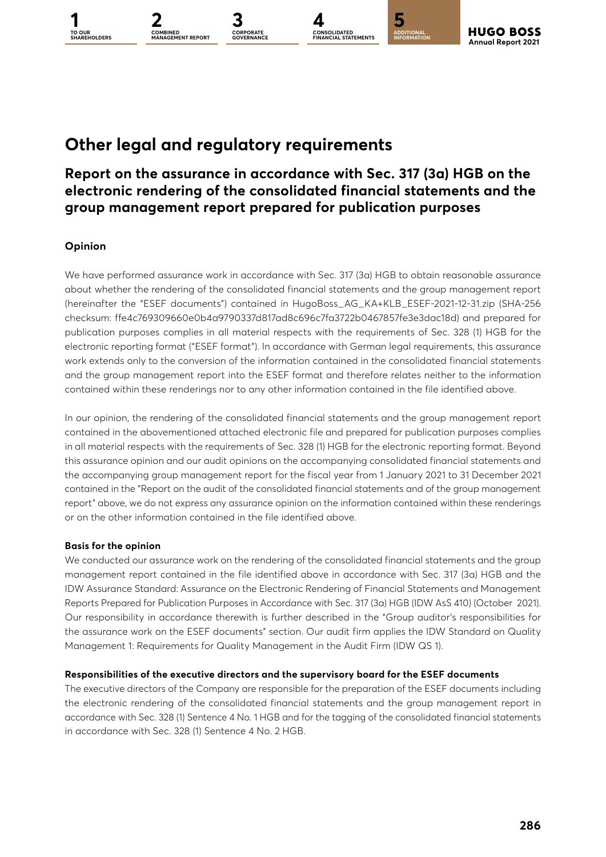CORPORA<mark>TE</mark><br>GOVERNANCE

**1 2 3 4 [5](#page-80-0) CORPORATE CONSOLIDATED FINANCIAL STATEMENTS**



## **Other legal and regulatory requirements**

## **Report on the assurance in accordance with Sec. 317 (3a) HGB on the electronic rendering of the consolidated financial statements and the group management report prepared for publication purposes**

### **Opinion**

We have performed assurance work in accordance with Sec. 317 (3a) HGB to obtain reasonable assurance about whether the rendering of the consolidated financial statements and the group management report (hereinafter the "ESEF documents") contained in HugoBoss\_AG\_KA+KLB\_ESEF-2021-12-31.zip (SHA-256 checksum: ffe4c769309660e0b4a9790337d817ad8c696c7fa3722b0467857fe3e3dac18d) and prepared for publication purposes complies in all material respects with the requirements of Sec. 328 (1) HGB for the electronic reporting format ("ESEF format"). In accordance with German legal requirements, this assurance work extends only to the conversion of the information contained in the consolidated financial statements and the group management report into the ESEF format and therefore relates neither to the information contained within these renderings nor to any other information contained in the file identified above.

In our opinion, the rendering of the consolidated financial statements and the group management report contained in the abovementioned attached electronic file and prepared for publication purposes complies in all material respects with the requirements of Sec. 328 (1) HGB for the electronic reporting format. Beyond this assurance opinion and our audit opinions on the accompanying consolidated financial statements and the accompanying group management report for the fiscal year from 1 January 2021 to 31 December 2021 contained in the "Report on the audit of the consolidated financial statements and of the group management report" above, we do not express any assurance opinion on the information contained within these renderings or on the other information contained in the file identified above.

#### **Basis for the opinion**

We conducted our assurance work on the rendering of the consolidated financial statements and the group management report contained in the file identified above in accordance with Sec. 317 (3a) HGB and the IDW Assurance Standard: Assurance on the Electronic Rendering of Financial Statements and Management Reports Prepared for Publication Purposes in Accordance with Sec. 317 (3a) HGB (IDW AsS 410) (October 2021). Our responsibility in accordance therewith is further described in the "Group auditor's responsibilities for the assurance work on the ESEF documents" section. Our audit firm applies the IDW Standard on Quality Management 1: Requirements for Quality Management in the Audit Firm (IDW QS 1).

#### **Responsibilities of the executive directors and the supervisory board for the ESEF documents**

The executive directors of the Company are responsible for the preparation of the ESEF documents including the electronic rendering of the consolidated financial statements and the group management report in accordance with Sec. 328 (1) Sentence 4 No. 1 HGB and for the tagging of the consolidated financial statements in accordance with Sec. 328 (1) Sentence 4 No. 2 HGB.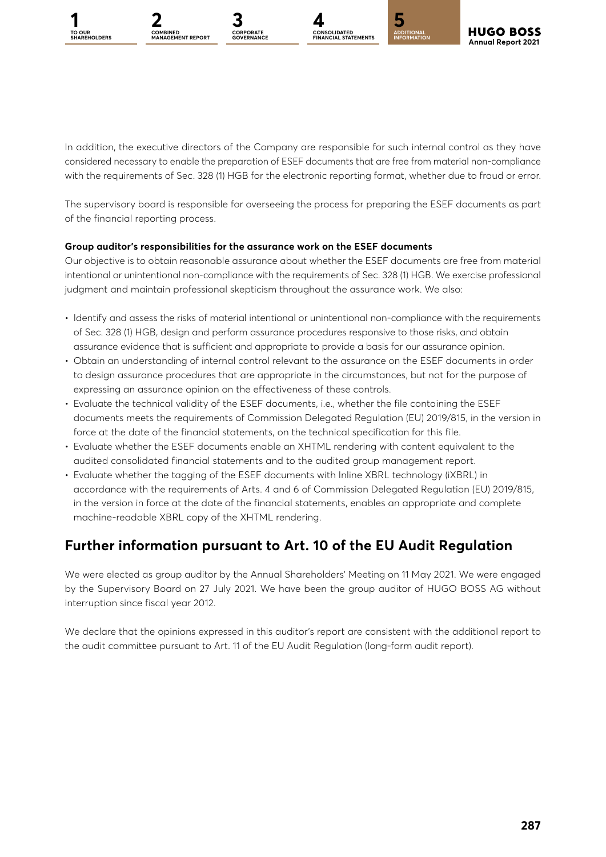

In addition, the executive directors of the Company are responsible for such internal control as they have considered necessary to enable the preparation of ESEF documents that are free from material non-compliance with the requirements of Sec. 328 (1) HGB for the electronic reporting format, whether due to fraud or error.

The supervisory board is responsible for overseeing the process for preparing the ESEF documents as part of the financial reporting process.

#### **Group auditor's responsibilities for the assurance work on the ESEF documents**

Our objective is to obtain reasonable assurance about whether the ESEF documents are free from material intentional or unintentional non-compliance with the requirements of Sec. 328 (1) HGB. We exercise professional judgment and maintain professional skepticism throughout the assurance work. We also:

- Identify and assess the risks of material intentional or unintentional non-compliance with the requirements of Sec. 328 (1) HGB, design and perform assurance procedures responsive to those risks, and obtain assurance evidence that is sufficient and appropriate to provide a basis for our assurance opinion.
- Obtain an understanding of internal control relevant to the assurance on the ESEF documents in order to design assurance procedures that are appropriate in the circumstances, but not for the purpose of expressing an assurance opinion on the effectiveness of these controls.
- Evaluate the technical validity of the ESEF documents, i.e., whether the file containing the ESEF documents meets the requirements of Commission Delegated Regulation (EU) 2019/815, in the version in force at the date of the financial statements, on the technical specification for this file.
- Evaluate whether the ESEF documents enable an XHTML rendering with content equivalent to the audited consolidated financial statements and to the audited group management report.
- Evaluate whether the tagging of the ESEF documents with Inline XBRL technology (iXBRL) in accordance with the requirements of Arts. 4 and 6 of Commission Delegated Regulation (EU) 2019/815, in the version in force at the date of the financial statements, enables an appropriate and complete machine-readable XBRL copy of the XHTML rendering.

## **Further information pursuant to Art. 10 of the EU Audit Regulation**

We were elected as group auditor by the Annual Shareholders' Meeting on 11 May 2021. We were engaged by the Supervisory Board on 27 July 2021. We have been the group auditor of HUGO BOSS AG without interruption since fiscal year 2012.

We declare that the opinions expressed in this auditor's report are consistent with the additional report to the audit committee pursuant to Art. 11 of the EU Audit Regulation (long-form audit report).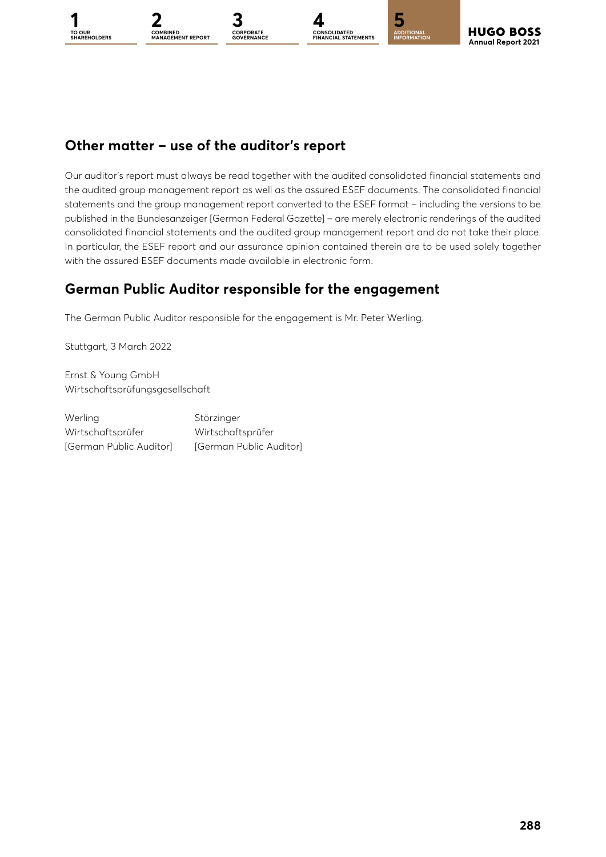**TO OUR** 

CORPORA<mark>TE</mark><br>GOVERNANCE





## **Other matter – use of the auditor's report**

Our auditor's report must always be read together with the audited consolidated financial statements and the audited group management report as well as the assured ESEF documents. The consolidated financial statements and the group management report converted to the ESEF format – including the versions to be published in the Bundesanzeiger [German Federal Gazette] – are merely electronic renderings of the audited consolidated financial statements and the audited group management report and do not take their place. In particular, the ESEF report and our assurance opinion contained therein are to be used solely together with the assured ESEF documents made available in electronic form.

## **German Public Auditor responsible for the engagement**

The German Public Auditor responsible for the engagement is Mr. Peter Werling.

Stuttgart, 3 March 2022

Ernst & Young GmbH Wirtschaftsprüfungsgesellschaft

Werling Störzinger Wirtschaftsprüfer Wirtschaftsprüfer [German Public Auditor] [German Public Auditor]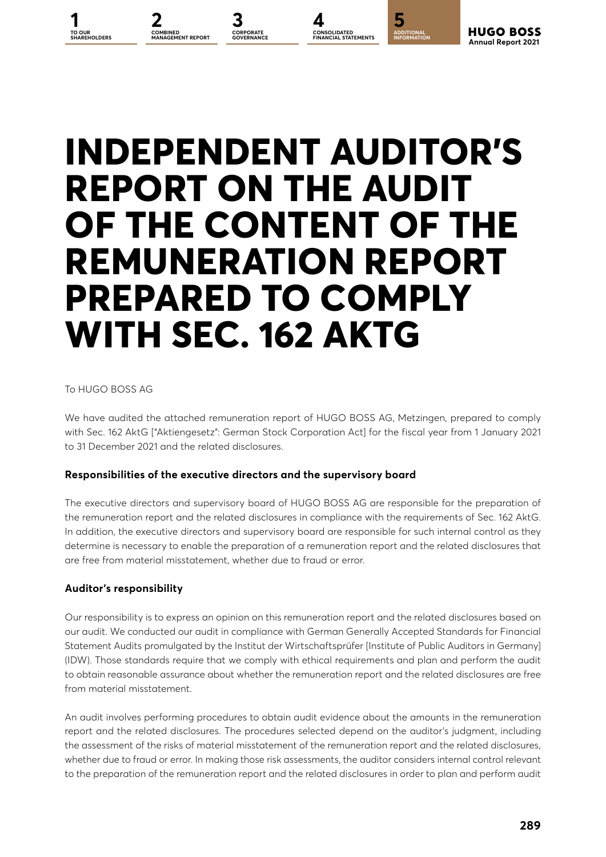**CORPORATE** 

<span id="page-94-0"></span>



## **INDEPENDENT AUDITOR'S REPORT ON THE AUDIT OF THE CONTENT OF THE REMUNERATION REPORT PREPARED TO COMPLY WITH SEC. 162 AKTG**

#### To HUGO BOSS AG

We have audited the attached remuneration report of HUGO BOSS AG, Metzingen, prepared to comply with Sec. 162 AktG ["Aktiengesetz": German Stock Corporation Act] for the fiscal year from 1 January 2021 to 31 December 2021 and the related disclosures.

### **Responsibilities of the executive directors and the supervisory board**

The executive directors and supervisory board of HUGO BOSS AG are responsible for the preparation of the remuneration report and the related disclosures in compliance with the requirements of Sec. 162 AktG. In addition, the executive directors and supervisory board are responsible for such internal control as they determine is necessary to enable the preparation of a remuneration report and the related disclosures that are free from material misstatement, whether due to fraud or error.

### **Auditor's responsibility**

Our responsibility is to express an opinion on this remuneration report and the related disclosures based on our audit. We conducted our audit in compliance with German Generally Accepted Standards for Financial Statement Audits promulgated by the Institut der Wirtschaftsprüfer [Institute of Public Auditors in Germany] (IDW). Those standards require that we comply with ethical requirements and plan and perform the audit to obtain reasonable assurance about whether the remuneration report and the related disclosures are free from material misstatement.

An audit involves performing procedures to obtain audit evidence about the amounts in the remuneration report and the related disclosures. The procedures selected depend on the auditor's judgment, including the assessment of the risks of material misstatement of the remuneration report and the related disclosures, whether due to fraud or error. In making those risk assessments, the auditor considers internal control relevant to the preparation of the remuneration report and the related disclosures in order to plan and perform audit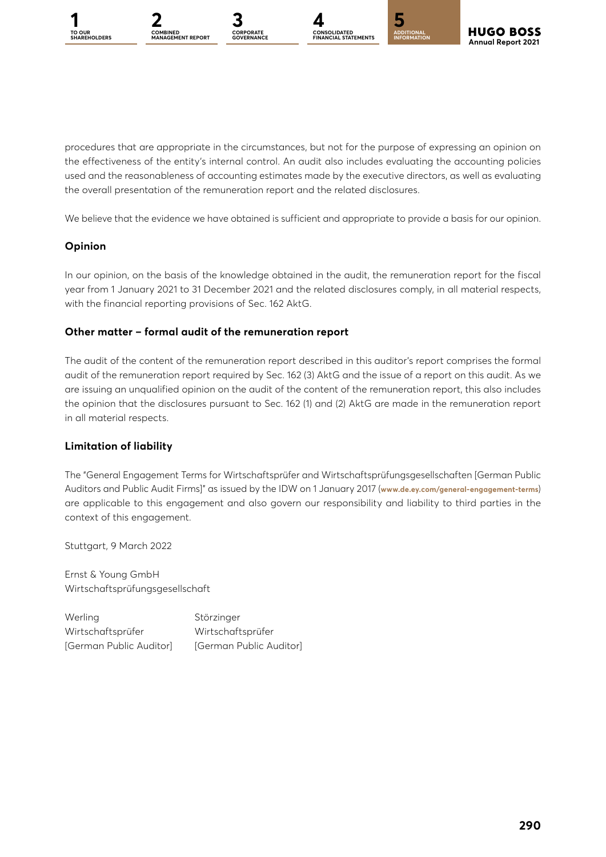

procedures that are appropriate in the circumstances, but not for the purpose of expressing an opinion on the effectiveness of the entity's internal control. An audit also includes evaluating the accounting policies used and the reasonableness of accounting estimates made by the executive directors, as well as evaluating the overall presentation of the remuneration report and the related disclosures.

We believe that the evidence we have obtained is sufficient and appropriate to provide a basis for our opinion.

### **Opinion**

In our opinion, on the basis of the knowledge obtained in the audit, the remuneration report for the fiscal year from 1 January 2021 to 31 December 2021 and the related disclosures comply, in all material respects, with the financial reporting provisions of Sec. 162 AktG.

### **Other matter – formal audit of the remuneration report**

The audit of the content of the remuneration report described in this auditor's report comprises the formal audit of the remuneration report required by Sec. 162 (3) AktG and the issue of a report on this audit. As we are issuing an unqualified opinion on the audit of the content of the remuneration report, this also includes the opinion that the disclosures pursuant to Sec. 162 (1) and (2) AktG are made in the remuneration report in all material respects.

### **Limitation of liability**

The "General Engagement Terms for Wirtschaftsprüfer and Wirtschaftsprüfungsgesellschaften [German Public Auditors and Public Audit Firms]" as issued by the IDW on 1 January 2017 (**[www.de.ey.com/general-engagement-terms](http://www.de.ey.com/general-engagement-terms)**) are applicable to this engagement and also govern our responsibility and liability to third parties in the context of this engagement.

Stuttgart, 9 March 2022

Ernst & Young GmbH Wirtschaftsprüfungsgesellschaft

Werling Störzinger Wirtschaftsprüfer Wirtschaftsprüfer [German Public Auditor] [German Public Auditor]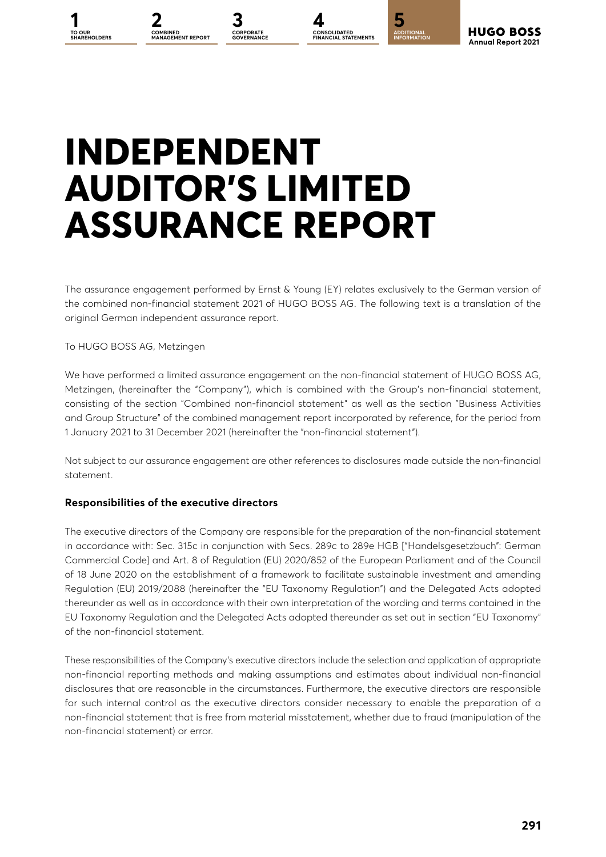<span id="page-96-0"></span>



## **INDEPENDENT AUDITOR'S LIMITED ASSURANCE REPORT**

The assurance engagement performed by Ernst & Young (EY) relates exclusively to the German version of the combined non-financial statement 2021 of HUGO BOSS AG. The following text is a translation of the original German independent assurance report.

To HUGO BOSS AG, Metzingen

We have performed a limited assurance engagement on the non-financial statement of HUGO BOSS AG, Metzingen, (hereinafter the "Company"), which is combined with the Group's non-financial statement, consisting of the section "Combined non-financial statement" as well as the section "Business Activities and Group Structure" of the combined management report incorporated by reference, for the period from 1 January 2021 to 31 December 2021 (hereinafter the "non-financial statement").

Not subject to our assurance engagement are other references to disclosures made outside the non-financial statement.

### **Responsibilities of the executive directors**

The executive directors of the Company are responsible for the preparation of the non-financial statement in accordance with: Sec. 315c in conjunction with Secs. 289c to 289e HGB ["Handelsgesetzbuch": German Commercial Code] and Art. 8 of Regulation (EU) 2020/852 of the European Parliament and of the Council of 18 June 2020 on the establishment of a framework to facilitate sustainable investment and amending Regulation (EU) 2019/2088 (hereinafter the "EU Taxonomy Regulation") and the Delegated Acts adopted thereunder as well as in accordance with their own interpretation of the wording and terms contained in the EU Taxonomy Regulation and the Delegated Acts adopted thereunder as set out in section "EU Taxonomy" of the non-financial statement.

These responsibilities of the Company's executive directors include the selection and application of appropriate non-financial reporting methods and making assumptions and estimates about individual non-financial disclosures that are reasonable in the circumstances. Furthermore, the executive directors are responsible for such internal control as the executive directors consider necessary to enable the preparation of a non-financial statement that is free from material misstatement, whether due to fraud (manipulation of the non-financial statement) or error.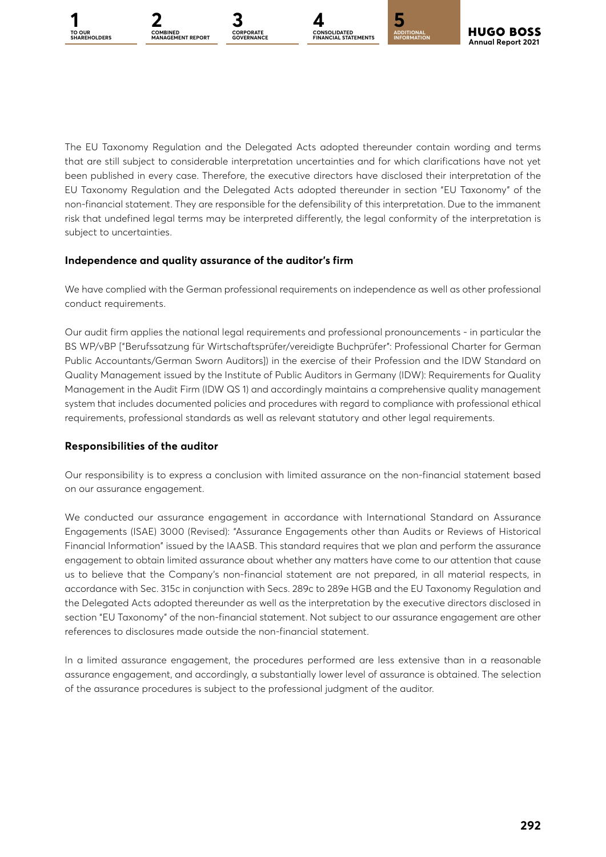

The EU Taxonomy Regulation and the Delegated Acts adopted thereunder contain wording and terms that are still subject to considerable interpretation uncertainties and for which clarifications have not yet been published in every case. Therefore, the executive directors have disclosed their interpretation of the EU Taxonomy Regulation and the Delegated Acts adopted thereunder in section "EU Taxonomy" of the non-financial statement. They are responsible for the defensibility of this interpretation. Due to the immanent risk that undefined legal terms may be interpreted differently, the legal conformity of the interpretation is subject to uncertainties.

#### **Independence and quality assurance of the auditor's firm**

We have complied with the German professional requirements on independence as well as other professional conduct requirements.

Our audit firm applies the national legal requirements and professional pronouncements - in particular the BS WP/vBP ["Berufssatzung für Wirtschaftsprüfer/vereidigte Buchprüfer": Professional Charter for German Public Accountants/German Sworn Auditors]) in the exercise of their Profession and the IDW Standard on Quality Management issued by the Institute of Public Auditors in Germany (IDW): Requirements for Quality Management in the Audit Firm (IDW QS 1) and accordingly maintains a comprehensive quality management system that includes documented policies and procedures with regard to compliance with professional ethical requirements, professional standards as well as relevant statutory and other legal requirements.

### **Responsibilities of the auditor**

Our responsibility is to express a conclusion with limited assurance on the non-financial statement based on our assurance engagement.

We conducted our assurance engagement in accordance with International Standard on Assurance Engagements (ISAE) 3000 (Revised): "Assurance Engagements other than Audits or Reviews of Historical Financial Information" issued by the IAASB. This standard requires that we plan and perform the assurance engagement to obtain limited assurance about whether any matters have come to our attention that cause us to believe that the Company's non-financial statement are not prepared, in all material respects, in accordance with Sec. 315c in conjunction with Secs. 289c to 289e HGB and the EU Taxonomy Regulation and the Delegated Acts adopted thereunder as well as the interpretation by the executive directors disclosed in section "EU Taxonomy" of the non-financial statement. Not subject to our assurance engagement are other references to disclosures made outside the non-financial statement.

In a limited assurance engagement, the procedures performed are less extensive than in a reasonable assurance engagement, and accordingly, a substantially lower level of assurance is obtained. The selection of the assurance procedures is subject to the professional judgment of the auditor.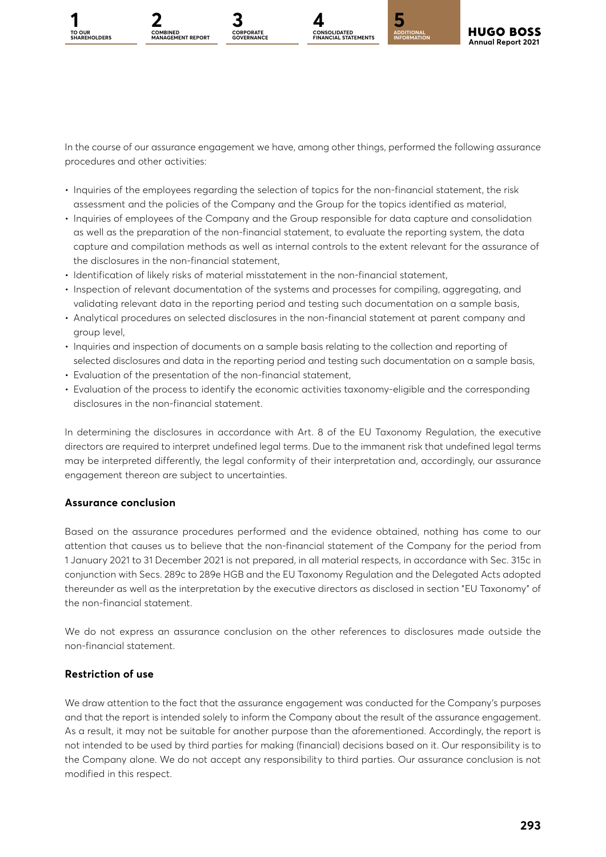HUGO ROSS **Annual Report 2021** 

**COMBINED MANAGEMENT REPORT**

**TO OUR** 

**GOVERNANCE**



**ADDITIONAL INFORMATION**

In the course of our assurance engagement we have, among other things, performed the following assurance procedures and other activities:

- Inquiries of the employees regarding the selection of topics for the non-financial statement, the risk assessment and the policies of the Company and the Group for the topics identified as material,
- Inquiries of employees of the Company and the Group responsible for data capture and consolidation as well as the preparation of the non-financial statement, to evaluate the reporting system, the data capture and compilation methods as well as internal controls to the extent relevant for the assurance of the disclosures in the non-financial statement,
- Identification of likely risks of material misstatement in the non-financial statement,
- Inspection of relevant documentation of the systems and processes for compiling, aggregating, and validating relevant data in the reporting period and testing such documentation on a sample basis,
- Analytical procedures on selected disclosures in the non-financial statement at parent company and group level,
- Inquiries and inspection of documents on a sample basis relating to the collection and reporting of selected disclosures and data in the reporting period and testing such documentation on a sample basis,
- Evaluation of the presentation of the non-financial statement,
- Evaluation of the process to identify the economic activities taxonomy-eligible and the corresponding disclosures in the non-financial statement.

In determining the disclosures in accordance with Art. 8 of the EU Taxonomy Regulation, the executive directors are required to interpret undefined legal terms. Due to the immanent risk that undefined legal terms may be interpreted differently, the legal conformity of their interpretation and, accordingly, our assurance engagement thereon are subject to uncertainties.

#### **Assurance conclusion**

Based on the assurance procedures performed and the evidence obtained, nothing has come to our attention that causes us to believe that the non-financial statement of the Company for the period from 1 January 2021 to 31 December 2021 is not prepared, in all material respects, in accordance with Sec. 315c in conjunction with Secs. 289c to 289e HGB and the EU Taxonomy Regulation and the Delegated Acts adopted thereunder as well as the interpretation by the executive directors as disclosed in section "EU Taxonomy" of the non-financial statement.

We do not express an assurance conclusion on the other references to disclosures made outside the non-financial statement.

#### **Restriction of use**

We draw attention to the fact that the assurance engagement was conducted for the Company's purposes and that the report is intended solely to inform the Company about the result of the assurance engagement. As a result, it may not be suitable for another purpose than the aforementioned. Accordingly, the report is not intended to be used by third parties for making (financial) decisions based on it. Our responsibility is to the Company alone. We do not accept any responsibility to third parties. Our assurance conclusion is not modified in this respect.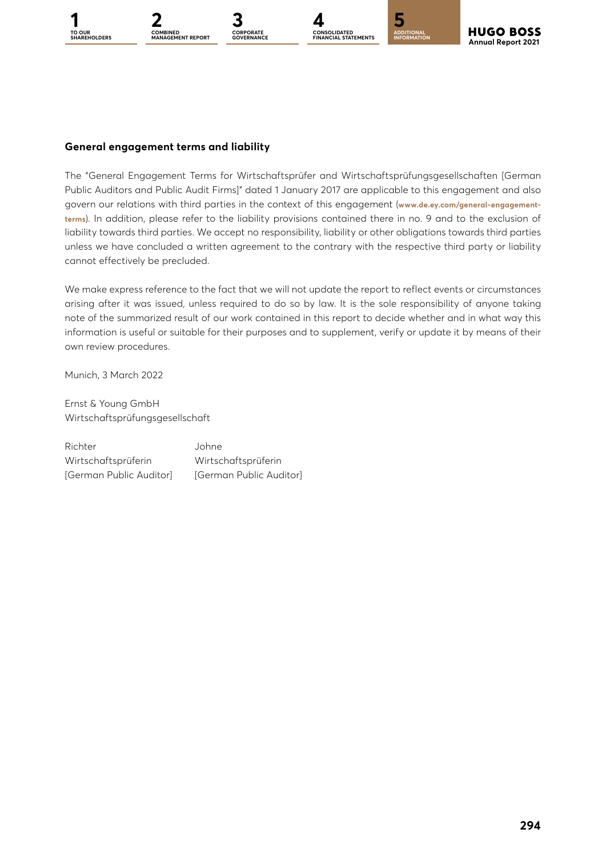**TO OUR** 

CORPORA<mark>TE</mark><br>GOVERNANCE



### **General engagement terms and liability**

The "General Engagement Terms for Wirtschaftsprüfer and Wirtschaftsprüfungsgesellschaften [German Public Auditors and Public Audit Firms]" dated 1 January 2017 are applicable to this engagement and also govern our relations with third parties in the context of this engagement (**[www.de.ey.com/general-engagement](http://www.de.ey.com/general-engagement-terms)[terms](http://www.de.ey.com/general-engagement-terms)**). In addition, please refer to the liability provisions contained there in no. 9 and to the exclusion of liability towards third parties. We accept no responsibility, liability or other obligations towards third parties unless we have concluded a written agreement to the contrary with the respective third party or liability cannot effectively be precluded.

We make express reference to the fact that we will not update the report to reflect events or circumstances arising after it was issued, unless required to do so by law. It is the sole responsibility of anyone taking note of the summarized result of our work contained in this report to decide whether and in what way this information is useful or suitable for their purposes and to supplement, verify or update it by means of their own review procedures.

Munich, 3 March 2022

Ernst & Young GmbH Wirtschaftsprüfungsgesellschaft

Richter Johne Wirtschaftsprüferin Wirtschaftsprüferin [German Public Auditor] [German Public Auditor]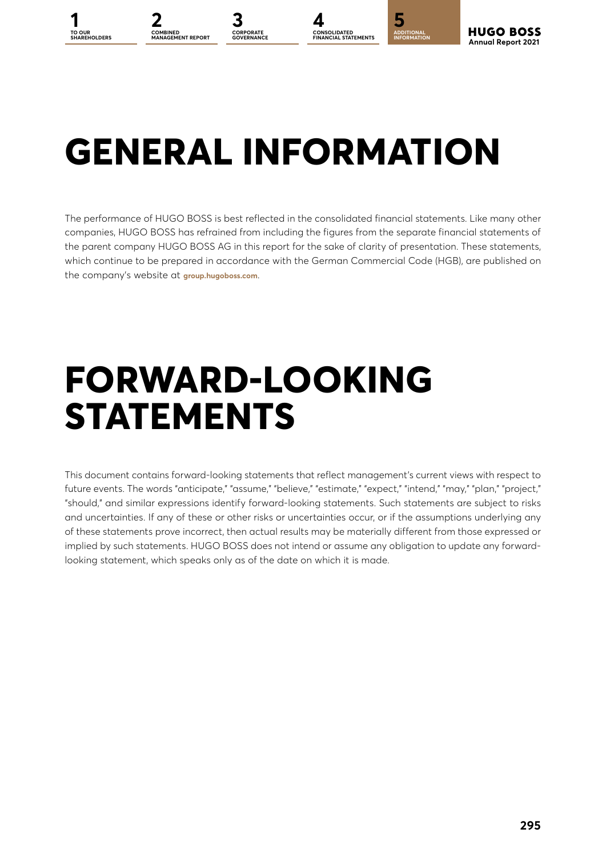<span id="page-100-0"></span>

# **GENERAL INFORMATION**

The performance of HUGO BOSS is best reflected in the consolidated financial statements. Like many other companies, HUGO BOSS has refrained from including the figures from the separate financial statements of the parent company HUGO BOSS AG in this report for the sake of clarity of presentation. These statements, which continue to be prepared in accordance with the German Commercial Code (HGB), are published on the company's website at **[group.hugoboss.com](http://group.hugoboss.com)**.

## **FORWARD-LOOKING STATEMENTS**

This document contains forward-looking statements that reflect management's current views with respect to future events. The words "anticipate," "assume," "believe," "estimate," "expect," "intend," "may," "plan," "project," "should," and similar expressions identify forward-looking statements. Such statements are subject to risks and uncertainties. If any of these or other risks or uncertainties occur, or if the assumptions underlying any of these statements prove incorrect, then actual results may be materially different from those expressed or implied by such statements. HUGO BOSS does not intend or assume any obligation to update any forwardlooking statement, which speaks only as of the date on which it is made.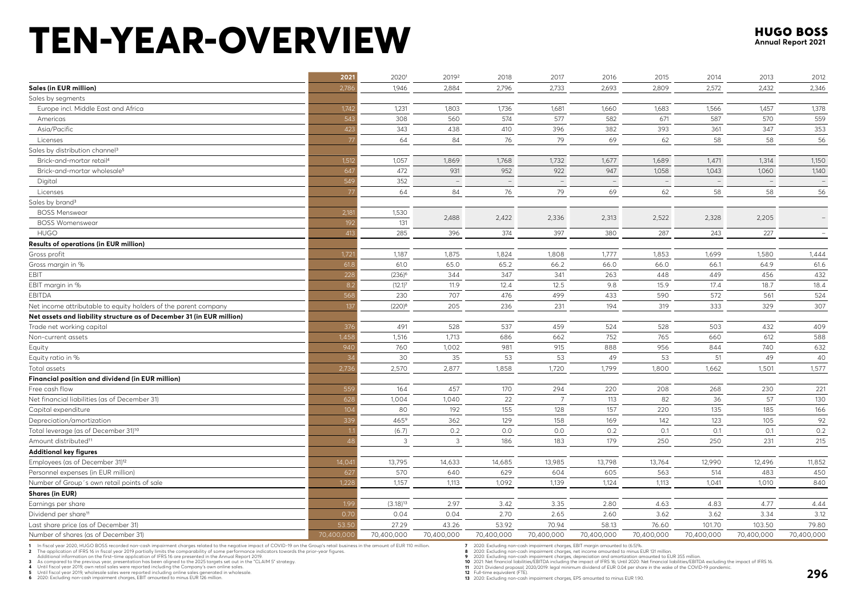## <span id="page-101-0"></span>**TEN-YEAR-OVERVIEW**

|                                                                       | 2021       | 20201               | 20192      | 2018       | 2017                     | 2016                     | 2015       | 2014       | 2013       | 2012                     |
|-----------------------------------------------------------------------|------------|---------------------|------------|------------|--------------------------|--------------------------|------------|------------|------------|--------------------------|
| <b>Sales (in EUR million)</b>                                         | 2,786      | 1,946               | 2,884      | 2,796      | 2,733                    | 2,693                    | 2,809      | 2,572      | 2,432      | 2,346                    |
| Sales by segments                                                     |            |                     |            |            |                          |                          |            |            |            |                          |
| Europe incl. Middle East and Africa                                   | 1,742      | 1,231               | 1,803      | 1,736      | 1,681                    | 1,660                    | 1,683      | 1,566      | 1,457      | 1,378                    |
| Americas                                                              | 543        | 308                 | 560        | 574        | 577                      | 582                      | 671        | 587        | 570        | 559                      |
| Asia/Pacific                                                          | 423        | 343                 | 438        | 410        | 396                      | 382                      | 393        | 361        | 347        | 353                      |
| Licenses                                                              | 77         | 64                  | 84         | 76         | 79                       | 69                       | 62         | 58         | 58         | 56                       |
| Sales by distribution channel <sup>3</sup>                            |            |                     |            |            |                          |                          |            |            |            |                          |
| Brick-and-mortar retail <sup>4</sup>                                  | 1,512      | 1,057               | 1,869      | 1,768      | 1,732                    | 1,677                    | 1,689      | 1,471      | 1,314      | 1,150                    |
| Brick-and-mortar wholesale <sup>5</sup>                               | 647        | 472                 | 931        | 952        | 922                      | 947                      | 1,058      | 1,043      | 1,060      | 1,140                    |
| Digital                                                               | 549        | 352                 | $\equiv$   | $\equiv$   | $\overline{\phantom{a}}$ | $\overline{\phantom{a}}$ | $\equiv$   | $\equiv$   | $\equiv$   |                          |
| Licenses                                                              | 77         | 64                  | 84         | 76         | 79                       | 69                       | 62         | 58         | 58         | 56                       |
| Sales by brand <sup>3</sup>                                           |            |                     |            |            |                          |                          |            |            |            |                          |
| <b>BOSS Menswear</b>                                                  | 2,18'      | 1,530               |            |            |                          |                          |            |            |            |                          |
| <b>BOSS Womenswear</b>                                                | 192        | 131                 | 2,488      | 2,422      | 2,336                    | 2,313                    | 2,522      | 2,328      | 2,205      | $\overline{\phantom{0}}$ |
| <b>HUGO</b>                                                           | 413        | 285                 | 396        | 374        | 397                      | 380                      | 287        | 243        | 227        |                          |
| <b>Results of operations (in EUR million)</b>                         |            |                     |            |            |                          |                          |            |            |            |                          |
| Gross profit                                                          | 1,721      | 1,187               | 1,875      | 1,824      | 1,808                    | 1,777                    | 1,853      | 1,699      | 1,580      | 1,444                    |
| Gross margin in %                                                     | 61.8       | 61.0                | 65.0       | 65.2       | 66.2                     | 66.0                     | 66.0       | 66.1       | 64.9       | 61.6                     |
| EBIT                                                                  | 228        | $(236)^6$           | 344        | 347        | 341                      | 263                      | 448        | 449        | 456        | 432                      |
| EBIT margin in %                                                      | 8.2        | (12.1) <sup>7</sup> | 11.9       | 12.4       | 12.5                     | 9.8                      | 15.9       | 17.4       | 18.7       | 18.4                     |
| <b>EBITDA</b>                                                         | 568        | 230                 | 707        | 476        | 499                      | 433                      | 590        | 572        | 561        | 524                      |
| Net income attributable to equity holders of the parent company       | 137        | $(220)^8$           | 205        | 236        | 231                      | 194                      | 319        | 333        | 329        | 307                      |
| Net assets and liability structure as of December 31 (in EUR million) |            |                     |            |            |                          |                          |            |            |            |                          |
| Trade net working capital                                             | 376        | 491                 | 528        | 537        | 459                      | 524                      | 528        | 503        | 432        | 409                      |
| Non-current assets                                                    | 1,458      | 1,516               | 1,713      | 686        | 662                      | 752                      | 765        | 660        | 612        | 588                      |
| Equity                                                                | <b>940</b> | 760                 | 1,002      | 981        | 915                      | 888                      | 956        | 844        | 740        | 632                      |
| Equity ratio in %                                                     | 34         | 30                  | 35         | 53         | 53                       | 49                       | 53         | 51         | 49         | 40                       |
| Total assets                                                          | 2,736      | 2,570               | 2,877      | 1,858      | 1,720                    | 1,799                    | 1,800      | 1,662      | 1,501      | 1,577                    |
| Financial position and dividend (in EUR million)                      |            |                     |            |            |                          |                          |            |            |            |                          |
| Free cash flow                                                        | 559        | 164                 | 457        | 170        | 294                      | 220                      | 208        | 268        | 230        | 221                      |
| Net financial liabilities (as of December 31)                         | 628        | 1,004               | 1,040      | 22         | $\overline{7}$           | 113                      | 82         | 36         | 57         | 130                      |
| Capital expenditure                                                   | 104        | 80                  | 192        | 155        | 128                      | 157                      | 220        | 135        | 185        | 166                      |
| Depreciation/amortization                                             | 339        | 4659                | 362        | 129        | 158                      | 169                      | 142        | 123        | 105        | 92                       |
| Total leverage (as of December 31) <sup>10</sup>                      | 1.1        | (6.7)               | 0.2        | 0.0        | 0.0                      | 0.2                      | 0.1        | 0.1        | 0.1        | 0.2                      |
| Amount distributed <sup>11</sup>                                      | 48         | 3                   | 3          | 186        | 183                      | 179                      | 250        | 250        | 231        | 215                      |
| <b>Additional key figures</b>                                         |            |                     |            |            |                          |                          |            |            |            |                          |
| Employees (as of December 31) <sup>12</sup>                           | 14,04      | 13,795              | 14,633     | 14,685     | 13,985                   | 13,798                   | 13,764     | 12,990     | 12,496     | 11,852                   |
| Personnel expenses (in EUR million)                                   | 627        | 570                 | 640        | 629        | 604                      | 605                      | 563        | 514        | 483        | 450                      |
| Number of Group's own retail points of sale                           | 1,228      | 1,157               | 1,113      | 1,092      | 1,139                    | 1,124                    | 1,113      | 1,041      | 1,010      | 840                      |
| Shares (in EUR)                                                       |            |                     |            |            |                          |                          |            |            |            |                          |
| Earnings per share                                                    | 1.99       | $(3.18)^{13}$       | 2.97       | 3.42       | 3.35                     | 2.80                     | 4.63       | 4.83       | 4.77       | 4.44                     |
| Dividend per share <sup>11</sup>                                      | 0.70       | 0.04                | 0.04       | 2.70       | 2.65                     | 2.60                     | 3.62       | 3.62       | 3.34       | 3.12                     |
| Last share price (as of December 31)                                  | 53.50      | 27.29               | 43.26      | 53.92      | 70.94                    | 58.13                    | 76.60      | 101.70     | 103.50     | 79.80                    |
| Number of shares (as of December 31)                                  | 70.400.000 | 70,400,000          | 70,400,000 | 70,400,000 | 70,400,000               | 70,400,000               | 70,400,000 | 70,400,000 | 70,400,000 | 70,400,000               |

1 In fiscal year 2020, HUGO BOSS recorded non-cash impairment charges related to the negative impact of COVID-19 on the Group's retail business in the amount of EUR 110 million.<br>Additional information on the first-time app

**4** Until fiscal year 2019, own retail sales were reported including the Company's own online sales.

**5** Until fiscal year 2019, wholesale sales were reported including online sales generated in wholesale. **6** 2020: Excluding non-cash impairment charges, EBIT amounted to minus EUR 126 million.

**7** 2020: Excluding non-cash impairment charges, EBIT margin amounted to (6.5)%. **8** 2020: Excluding non-cash impairment charges, net income amounted to minus EUR 131 million.

**9** 2020: Excluding non-cash impairment charges, depreciation and amortization amounted to EUR 355 million.<br>**10** 2021: Net financial liabilities/EBITDA including the impact of IFRS 16; Until 2020: Net financial liabilities

**12** Full-time equivalent (FTE). **13** 2020: Excluding non-cash impairment charges, EPS amounted to minus EUR 1.90.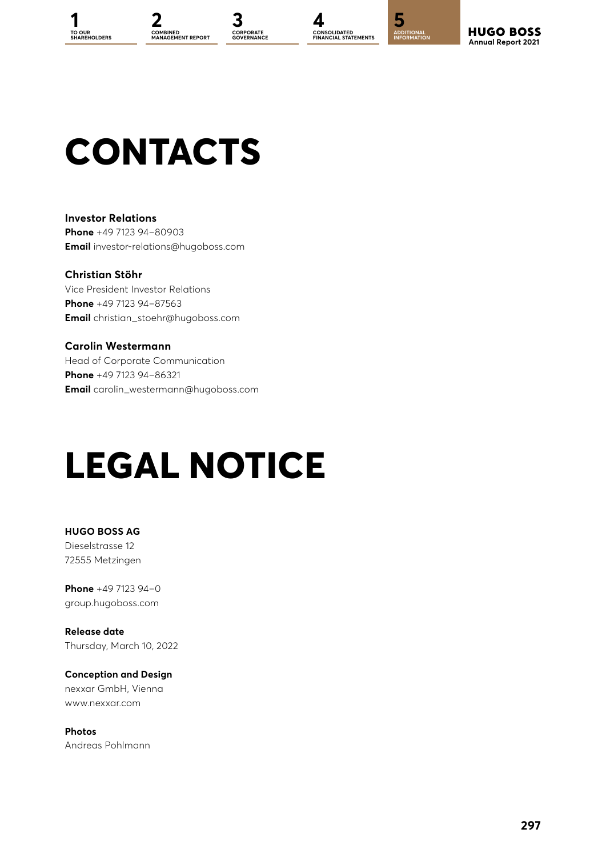<span id="page-102-0"></span>

# **CONTACTS**

**Investor Relations Phone** +49 7123 94–80903 **Email** investor-relations@hugoboss.com

**Christian Stöhr** Vice President Investor Relations **Phone** +49 7123 94–87563 **Email** christian\_stoehr@hugoboss.com

**Carolin Westermann** Head of Corporate Communication **Phone** +49 7123 94–86321 **Email** carolin\_westermann@hugoboss.com

# **LEGAL NOTICE**

#### **HUGO BOSS AG**

Dieselstrasse 12 72555 Metzingen

**Phone** +49 7123 94–0 group.hugoboss.com

**Release date** Thursday, March 10, 2022

## **Conception and Design**

nexxar GmbH, Vienna www.nexxar.com

**Photos** Andreas Pohlmann